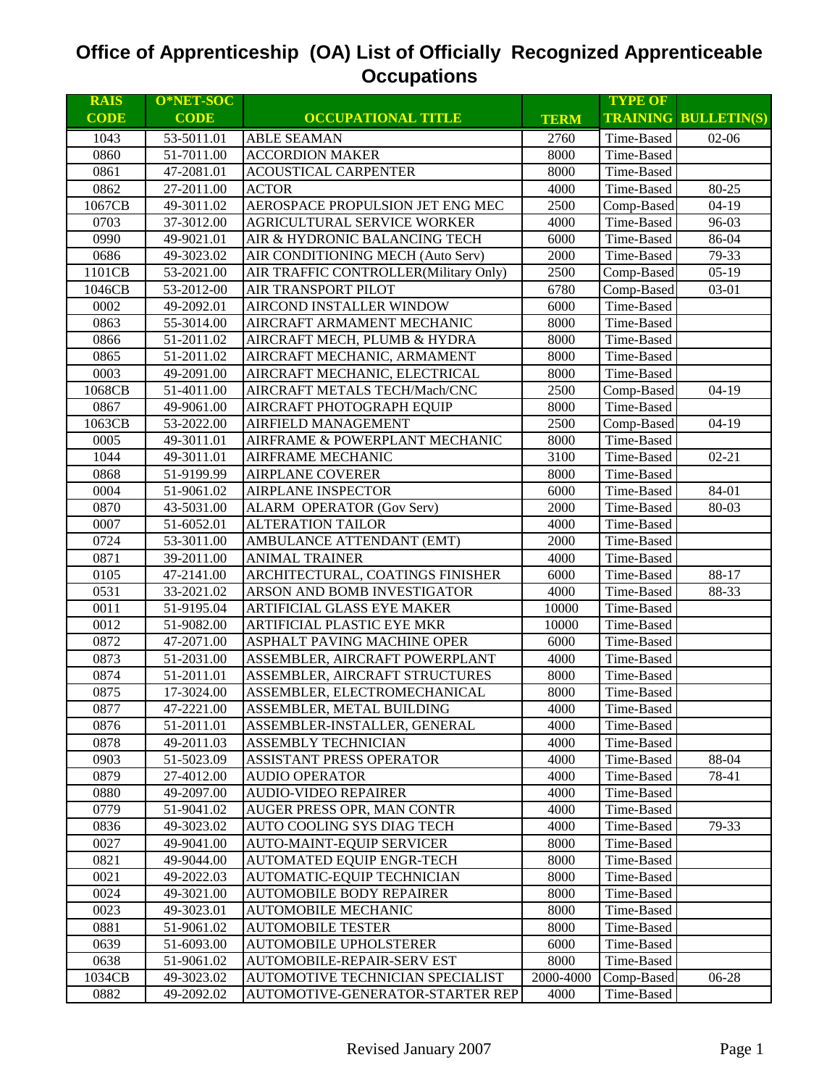| <b>CODE</b><br><b>TRAINING BULLETIN(S)</b><br><b>CODE</b><br><b>OCCUPATIONAL TITLE</b><br><b>TERM</b><br>1043<br><b>ABLE SEAMAN</b><br>2760<br>53-5011.01<br>Time-Based<br>$02-06$<br>0860<br>51-7011.00<br>8000<br><b>ACCORDION MAKER</b><br>Time-Based<br>0861<br>8000<br>47-2081.01<br><b>ACOUSTICAL CARPENTER</b><br>Time-Based<br>80-25<br>0862<br><b>ACTOR</b><br>27-2011.00<br>4000<br>Time-Based<br>AEROSPACE PROPULSION JET ENG MEC<br>2500<br>$04-19$<br>1067CB<br>49-3011.02<br>Comp-Based<br>96-03<br>0703<br>37-3012.00<br>AGRICULTURAL SERVICE WORKER<br>4000<br>Time-Based<br>86-04<br>0990<br>49-9021.01<br>AIR & HYDRONIC BALANCING TECH<br>6000<br>Time-Based<br>0686<br>79-33<br>49-3023.02<br>AIR CONDITIONING MECH (Auto Serv)<br>2000<br>Time-Based<br>$05-19$<br>1101CB<br>53-2021.00<br>AIR TRAFFIC CONTROLLER(Military Only)<br>2500<br>Comp-Based<br>AIR TRANSPORT PILOT<br>1046CB<br>53-2012-00<br>6780<br>Comp-Based<br>03-01<br>AIRCOND INSTALLER WINDOW<br>Time-Based<br>0002<br>49-2092.01<br>6000<br>0863<br>55-3014.00<br>AIRCRAFT ARMAMENT MECHANIC<br>8000<br>Time-Based<br>0866<br>51-2011.02<br>AIRCRAFT MECH, PLUMB & HYDRA<br>8000<br>Time-Based<br>AIRCRAFT MECHANIC, ARMAMENT<br>0865<br>51-2011.02<br>8000<br>Time-Based<br>0003<br>8000<br>49-2091.00<br>AIRCRAFT MECHANIC, ELECTRICAL<br>Time-Based<br>2500<br>1068CB<br>51-4011.00<br>AIRCRAFT METALS TECH/Mach/CNC<br>Comp-Based<br>$04-19$<br>0867<br>49-9061.00<br>8000<br>Time-Based<br>AIRCRAFT PHOTOGRAPH EQUIP<br>2500<br>1063CB<br>53-2022.00<br><b>AIRFIELD MANAGEMENT</b><br>Comp-Based<br>$04-19$<br>Time-Based<br>0005<br>49-3011.01<br>8000<br>AIRFRAME & POWERPLANT MECHANIC<br>1044<br>49-3011.01<br>3100<br>Time-Based<br>$02 - 21$<br>AIRFRAME MECHANIC<br>0868<br>51-9199.99<br><b>AIRPLANE COVERER</b><br>8000<br>Time-Based<br>0004<br><b>AIRPLANE INSPECTOR</b><br>6000<br>Time-Based<br>84-01<br>51-9061.02<br>0870<br>2000<br>Time-Based<br>43-5031.00<br><b>ALARM OPERATOR (Gov Serv)</b><br>80-03<br>0007<br>51-6052.01<br><b>ALTERATION TAILOR</b><br>4000<br>Time-Based<br>0724<br>53-3011.00<br>AMBULANCE ATTENDANT (EMT)<br>2000<br>Time-Based<br>0871<br>39-2011.00<br><b>ANIMAL TRAINER</b><br>4000<br>Time-Based<br>88-17<br>0105<br>ARCHITECTURAL, COATINGS FINISHER<br>6000<br>Time-Based<br>47-2141.00<br>0531<br>ARSON AND BOMB INVESTIGATOR<br>88-33<br>33-2021.02<br>4000<br>Time-Based<br>0011<br>51-9195.04<br>ARTIFICIAL GLASS EYE MAKER<br>10000<br>Time-Based<br>0012<br>51-9082.00<br>ARTIFICIAL PLASTIC EYE MKR<br>10000<br>Time-Based<br>0872<br>ASPHALT PAVING MACHINE OPER<br>6000<br>47-2071.00<br>Time-Based<br>ASSEMBLER, AIRCRAFT POWERPLANT<br>0873<br>51-2031.00<br>4000<br>Time-Based<br>ASSEMBLER, AIRCRAFT STRUCTURES<br>8000<br>0874<br>51-2011.01<br>Time-Based<br>0875<br>17-3024.00<br>ASSEMBLER, ELECTROMECHANICAL<br>8000<br>Time-Based<br>0877<br>ASSEMBLER, METAL BUILDING<br>47-2221.00<br>4000<br>Time-Based<br>0876<br>51-2011.01<br>ASSEMBLER-INSTALLER, GENERAL<br>4000<br>Time-Based<br>0878<br>49-2011.03<br>ASSEMBLY TECHNICIAN<br>4000<br>Time-Based<br>0903<br>51-5023.09<br>ASSISTANT PRESS OPERATOR<br>4000<br>88-04<br>Time-Based<br>0879<br>27-4012.00<br>4000<br>78-41<br><b>AUDIO OPERATOR</b><br>Time-Based<br>0880<br>4000<br>49-2097.00<br><b>AUDIO-VIDEO REPAIRER</b><br>Time-Based<br>0779<br>51-9041.02<br>AUGER PRESS OPR, MAN CONTR<br>4000<br>Time-Based<br>0836<br>49-3023.02<br>AUTO COOLING SYS DIAG TECH<br>4000<br>Time-Based<br>79-33<br>0027<br>49-9041.00<br>8000<br>Time-Based<br><b>AUTO-MAINT-EQUIP SERVICER</b><br>0821<br>49-9044.00<br>8000<br>Time-Based<br><b>AUTOMATED EQUIP ENGR-TECH</b><br>0021<br>8000<br>Time-Based<br>49-2022.03<br>AUTOMATIC-EQUIP TECHNICIAN<br>0024<br>49-3021.00<br><b>AUTOMOBILE BODY REPAIRER</b><br>8000<br>Time-Based<br>0023<br>49-3023.01<br><b>AUTOMOBILE MECHANIC</b><br>8000<br>Time-Based<br>0881<br>51-9061.02<br><b>AUTOMOBILE TESTER</b><br>8000<br>Time-Based<br>0639<br>51-6093.00<br>AUTOMOBILE UPHOLSTERER<br>6000<br>Time-Based<br>0638<br>51-9061.02<br>AUTOMOBILE-REPAIR-SERV EST<br>8000<br>Time-Based<br>AUTOMOTIVE TECHNICIAN SPECIALIST<br>2000-4000<br>06-28<br>1034CB<br>49-3023.02<br>Comp-Based | <b>RAIS</b> | O*NET-SOC  |                                  |      | <b>TYPE OF</b> |  |
|---------------------------------------------------------------------------------------------------------------------------------------------------------------------------------------------------------------------------------------------------------------------------------------------------------------------------------------------------------------------------------------------------------------------------------------------------------------------------------------------------------------------------------------------------------------------------------------------------------------------------------------------------------------------------------------------------------------------------------------------------------------------------------------------------------------------------------------------------------------------------------------------------------------------------------------------------------------------------------------------------------------------------------------------------------------------------------------------------------------------------------------------------------------------------------------------------------------------------------------------------------------------------------------------------------------------------------------------------------------------------------------------------------------------------------------------------------------------------------------------------------------------------------------------------------------------------------------------------------------------------------------------------------------------------------------------------------------------------------------------------------------------------------------------------------------------------------------------------------------------------------------------------------------------------------------------------------------------------------------------------------------------------------------------------------------------------------------------------------------------------------------------------------------------------------------------------------------------------------------------------------------------------------------------------------------------------------------------------------------------------------------------------------------------------------------------------------------------------------------------------------------------------------------------------------------------------------------------------------------------------------------------------------------------------------------------------------------------------------------------------------------------------------------------------------------------------------------------------------------------------------------------------------------------------------------------------------------------------------------------------------------------------------------------------------------------------------------------------------------------------------------------------------------------------------------------------------------------------------------------------------------------------------------------------------------------------------------------------------------------------------------------------------------------------------------------------------------------------------------------------------------------------------------------------------------------------------------------------------------------------------------------------------------------------------------------------------------------------------------------------------------------------------------------------------------------------------------------------------------------------------------------------------------------------------------------------------------------------------------------------------------------------------------------------------------------------------------------------------------------------------------------------------------------------------------------------------------------------------------------------------------|-------------|------------|----------------------------------|------|----------------|--|
|                                                                                                                                                                                                                                                                                                                                                                                                                                                                                                                                                                                                                                                                                                                                                                                                                                                                                                                                                                                                                                                                                                                                                                                                                                                                                                                                                                                                                                                                                                                                                                                                                                                                                                                                                                                                                                                                                                                                                                                                                                                                                                                                                                                                                                                                                                                                                                                                                                                                                                                                                                                                                                                                                                                                                                                                                                                                                                                                                                                                                                                                                                                                                                                                                                                                                                                                                                                                                                                                                                                                                                                                                                                                                                                                                                                                                                                                                                                                                                                                                                                                                                                                                                                                                                                               |             |            |                                  |      |                |  |
|                                                                                                                                                                                                                                                                                                                                                                                                                                                                                                                                                                                                                                                                                                                                                                                                                                                                                                                                                                                                                                                                                                                                                                                                                                                                                                                                                                                                                                                                                                                                                                                                                                                                                                                                                                                                                                                                                                                                                                                                                                                                                                                                                                                                                                                                                                                                                                                                                                                                                                                                                                                                                                                                                                                                                                                                                                                                                                                                                                                                                                                                                                                                                                                                                                                                                                                                                                                                                                                                                                                                                                                                                                                                                                                                                                                                                                                                                                                                                                                                                                                                                                                                                                                                                                                               |             |            |                                  |      |                |  |
|                                                                                                                                                                                                                                                                                                                                                                                                                                                                                                                                                                                                                                                                                                                                                                                                                                                                                                                                                                                                                                                                                                                                                                                                                                                                                                                                                                                                                                                                                                                                                                                                                                                                                                                                                                                                                                                                                                                                                                                                                                                                                                                                                                                                                                                                                                                                                                                                                                                                                                                                                                                                                                                                                                                                                                                                                                                                                                                                                                                                                                                                                                                                                                                                                                                                                                                                                                                                                                                                                                                                                                                                                                                                                                                                                                                                                                                                                                                                                                                                                                                                                                                                                                                                                                                               |             |            |                                  |      |                |  |
|                                                                                                                                                                                                                                                                                                                                                                                                                                                                                                                                                                                                                                                                                                                                                                                                                                                                                                                                                                                                                                                                                                                                                                                                                                                                                                                                                                                                                                                                                                                                                                                                                                                                                                                                                                                                                                                                                                                                                                                                                                                                                                                                                                                                                                                                                                                                                                                                                                                                                                                                                                                                                                                                                                                                                                                                                                                                                                                                                                                                                                                                                                                                                                                                                                                                                                                                                                                                                                                                                                                                                                                                                                                                                                                                                                                                                                                                                                                                                                                                                                                                                                                                                                                                                                                               |             |            |                                  |      |                |  |
|                                                                                                                                                                                                                                                                                                                                                                                                                                                                                                                                                                                                                                                                                                                                                                                                                                                                                                                                                                                                                                                                                                                                                                                                                                                                                                                                                                                                                                                                                                                                                                                                                                                                                                                                                                                                                                                                                                                                                                                                                                                                                                                                                                                                                                                                                                                                                                                                                                                                                                                                                                                                                                                                                                                                                                                                                                                                                                                                                                                                                                                                                                                                                                                                                                                                                                                                                                                                                                                                                                                                                                                                                                                                                                                                                                                                                                                                                                                                                                                                                                                                                                                                                                                                                                                               |             |            |                                  |      |                |  |
|                                                                                                                                                                                                                                                                                                                                                                                                                                                                                                                                                                                                                                                                                                                                                                                                                                                                                                                                                                                                                                                                                                                                                                                                                                                                                                                                                                                                                                                                                                                                                                                                                                                                                                                                                                                                                                                                                                                                                                                                                                                                                                                                                                                                                                                                                                                                                                                                                                                                                                                                                                                                                                                                                                                                                                                                                                                                                                                                                                                                                                                                                                                                                                                                                                                                                                                                                                                                                                                                                                                                                                                                                                                                                                                                                                                                                                                                                                                                                                                                                                                                                                                                                                                                                                                               |             |            |                                  |      |                |  |
|                                                                                                                                                                                                                                                                                                                                                                                                                                                                                                                                                                                                                                                                                                                                                                                                                                                                                                                                                                                                                                                                                                                                                                                                                                                                                                                                                                                                                                                                                                                                                                                                                                                                                                                                                                                                                                                                                                                                                                                                                                                                                                                                                                                                                                                                                                                                                                                                                                                                                                                                                                                                                                                                                                                                                                                                                                                                                                                                                                                                                                                                                                                                                                                                                                                                                                                                                                                                                                                                                                                                                                                                                                                                                                                                                                                                                                                                                                                                                                                                                                                                                                                                                                                                                                                               |             |            |                                  |      |                |  |
|                                                                                                                                                                                                                                                                                                                                                                                                                                                                                                                                                                                                                                                                                                                                                                                                                                                                                                                                                                                                                                                                                                                                                                                                                                                                                                                                                                                                                                                                                                                                                                                                                                                                                                                                                                                                                                                                                                                                                                                                                                                                                                                                                                                                                                                                                                                                                                                                                                                                                                                                                                                                                                                                                                                                                                                                                                                                                                                                                                                                                                                                                                                                                                                                                                                                                                                                                                                                                                                                                                                                                                                                                                                                                                                                                                                                                                                                                                                                                                                                                                                                                                                                                                                                                                                               |             |            |                                  |      |                |  |
|                                                                                                                                                                                                                                                                                                                                                                                                                                                                                                                                                                                                                                                                                                                                                                                                                                                                                                                                                                                                                                                                                                                                                                                                                                                                                                                                                                                                                                                                                                                                                                                                                                                                                                                                                                                                                                                                                                                                                                                                                                                                                                                                                                                                                                                                                                                                                                                                                                                                                                                                                                                                                                                                                                                                                                                                                                                                                                                                                                                                                                                                                                                                                                                                                                                                                                                                                                                                                                                                                                                                                                                                                                                                                                                                                                                                                                                                                                                                                                                                                                                                                                                                                                                                                                                               |             |            |                                  |      |                |  |
|                                                                                                                                                                                                                                                                                                                                                                                                                                                                                                                                                                                                                                                                                                                                                                                                                                                                                                                                                                                                                                                                                                                                                                                                                                                                                                                                                                                                                                                                                                                                                                                                                                                                                                                                                                                                                                                                                                                                                                                                                                                                                                                                                                                                                                                                                                                                                                                                                                                                                                                                                                                                                                                                                                                                                                                                                                                                                                                                                                                                                                                                                                                                                                                                                                                                                                                                                                                                                                                                                                                                                                                                                                                                                                                                                                                                                                                                                                                                                                                                                                                                                                                                                                                                                                                               |             |            |                                  |      |                |  |
|                                                                                                                                                                                                                                                                                                                                                                                                                                                                                                                                                                                                                                                                                                                                                                                                                                                                                                                                                                                                                                                                                                                                                                                                                                                                                                                                                                                                                                                                                                                                                                                                                                                                                                                                                                                                                                                                                                                                                                                                                                                                                                                                                                                                                                                                                                                                                                                                                                                                                                                                                                                                                                                                                                                                                                                                                                                                                                                                                                                                                                                                                                                                                                                                                                                                                                                                                                                                                                                                                                                                                                                                                                                                                                                                                                                                                                                                                                                                                                                                                                                                                                                                                                                                                                                               |             |            |                                  |      |                |  |
|                                                                                                                                                                                                                                                                                                                                                                                                                                                                                                                                                                                                                                                                                                                                                                                                                                                                                                                                                                                                                                                                                                                                                                                                                                                                                                                                                                                                                                                                                                                                                                                                                                                                                                                                                                                                                                                                                                                                                                                                                                                                                                                                                                                                                                                                                                                                                                                                                                                                                                                                                                                                                                                                                                                                                                                                                                                                                                                                                                                                                                                                                                                                                                                                                                                                                                                                                                                                                                                                                                                                                                                                                                                                                                                                                                                                                                                                                                                                                                                                                                                                                                                                                                                                                                                               |             |            |                                  |      |                |  |
|                                                                                                                                                                                                                                                                                                                                                                                                                                                                                                                                                                                                                                                                                                                                                                                                                                                                                                                                                                                                                                                                                                                                                                                                                                                                                                                                                                                                                                                                                                                                                                                                                                                                                                                                                                                                                                                                                                                                                                                                                                                                                                                                                                                                                                                                                                                                                                                                                                                                                                                                                                                                                                                                                                                                                                                                                                                                                                                                                                                                                                                                                                                                                                                                                                                                                                                                                                                                                                                                                                                                                                                                                                                                                                                                                                                                                                                                                                                                                                                                                                                                                                                                                                                                                                                               |             |            |                                  |      |                |  |
|                                                                                                                                                                                                                                                                                                                                                                                                                                                                                                                                                                                                                                                                                                                                                                                                                                                                                                                                                                                                                                                                                                                                                                                                                                                                                                                                                                                                                                                                                                                                                                                                                                                                                                                                                                                                                                                                                                                                                                                                                                                                                                                                                                                                                                                                                                                                                                                                                                                                                                                                                                                                                                                                                                                                                                                                                                                                                                                                                                                                                                                                                                                                                                                                                                                                                                                                                                                                                                                                                                                                                                                                                                                                                                                                                                                                                                                                                                                                                                                                                                                                                                                                                                                                                                                               |             |            |                                  |      |                |  |
|                                                                                                                                                                                                                                                                                                                                                                                                                                                                                                                                                                                                                                                                                                                                                                                                                                                                                                                                                                                                                                                                                                                                                                                                                                                                                                                                                                                                                                                                                                                                                                                                                                                                                                                                                                                                                                                                                                                                                                                                                                                                                                                                                                                                                                                                                                                                                                                                                                                                                                                                                                                                                                                                                                                                                                                                                                                                                                                                                                                                                                                                                                                                                                                                                                                                                                                                                                                                                                                                                                                                                                                                                                                                                                                                                                                                                                                                                                                                                                                                                                                                                                                                                                                                                                                               |             |            |                                  |      |                |  |
|                                                                                                                                                                                                                                                                                                                                                                                                                                                                                                                                                                                                                                                                                                                                                                                                                                                                                                                                                                                                                                                                                                                                                                                                                                                                                                                                                                                                                                                                                                                                                                                                                                                                                                                                                                                                                                                                                                                                                                                                                                                                                                                                                                                                                                                                                                                                                                                                                                                                                                                                                                                                                                                                                                                                                                                                                                                                                                                                                                                                                                                                                                                                                                                                                                                                                                                                                                                                                                                                                                                                                                                                                                                                                                                                                                                                                                                                                                                                                                                                                                                                                                                                                                                                                                                               |             |            |                                  |      |                |  |
|                                                                                                                                                                                                                                                                                                                                                                                                                                                                                                                                                                                                                                                                                                                                                                                                                                                                                                                                                                                                                                                                                                                                                                                                                                                                                                                                                                                                                                                                                                                                                                                                                                                                                                                                                                                                                                                                                                                                                                                                                                                                                                                                                                                                                                                                                                                                                                                                                                                                                                                                                                                                                                                                                                                                                                                                                                                                                                                                                                                                                                                                                                                                                                                                                                                                                                                                                                                                                                                                                                                                                                                                                                                                                                                                                                                                                                                                                                                                                                                                                                                                                                                                                                                                                                                               |             |            |                                  |      |                |  |
|                                                                                                                                                                                                                                                                                                                                                                                                                                                                                                                                                                                                                                                                                                                                                                                                                                                                                                                                                                                                                                                                                                                                                                                                                                                                                                                                                                                                                                                                                                                                                                                                                                                                                                                                                                                                                                                                                                                                                                                                                                                                                                                                                                                                                                                                                                                                                                                                                                                                                                                                                                                                                                                                                                                                                                                                                                                                                                                                                                                                                                                                                                                                                                                                                                                                                                                                                                                                                                                                                                                                                                                                                                                                                                                                                                                                                                                                                                                                                                                                                                                                                                                                                                                                                                                               |             |            |                                  |      |                |  |
|                                                                                                                                                                                                                                                                                                                                                                                                                                                                                                                                                                                                                                                                                                                                                                                                                                                                                                                                                                                                                                                                                                                                                                                                                                                                                                                                                                                                                                                                                                                                                                                                                                                                                                                                                                                                                                                                                                                                                                                                                                                                                                                                                                                                                                                                                                                                                                                                                                                                                                                                                                                                                                                                                                                                                                                                                                                                                                                                                                                                                                                                                                                                                                                                                                                                                                                                                                                                                                                                                                                                                                                                                                                                                                                                                                                                                                                                                                                                                                                                                                                                                                                                                                                                                                                               |             |            |                                  |      |                |  |
|                                                                                                                                                                                                                                                                                                                                                                                                                                                                                                                                                                                                                                                                                                                                                                                                                                                                                                                                                                                                                                                                                                                                                                                                                                                                                                                                                                                                                                                                                                                                                                                                                                                                                                                                                                                                                                                                                                                                                                                                                                                                                                                                                                                                                                                                                                                                                                                                                                                                                                                                                                                                                                                                                                                                                                                                                                                                                                                                                                                                                                                                                                                                                                                                                                                                                                                                                                                                                                                                                                                                                                                                                                                                                                                                                                                                                                                                                                                                                                                                                                                                                                                                                                                                                                                               |             |            |                                  |      |                |  |
|                                                                                                                                                                                                                                                                                                                                                                                                                                                                                                                                                                                                                                                                                                                                                                                                                                                                                                                                                                                                                                                                                                                                                                                                                                                                                                                                                                                                                                                                                                                                                                                                                                                                                                                                                                                                                                                                                                                                                                                                                                                                                                                                                                                                                                                                                                                                                                                                                                                                                                                                                                                                                                                                                                                                                                                                                                                                                                                                                                                                                                                                                                                                                                                                                                                                                                                                                                                                                                                                                                                                                                                                                                                                                                                                                                                                                                                                                                                                                                                                                                                                                                                                                                                                                                                               |             |            |                                  |      |                |  |
|                                                                                                                                                                                                                                                                                                                                                                                                                                                                                                                                                                                                                                                                                                                                                                                                                                                                                                                                                                                                                                                                                                                                                                                                                                                                                                                                                                                                                                                                                                                                                                                                                                                                                                                                                                                                                                                                                                                                                                                                                                                                                                                                                                                                                                                                                                                                                                                                                                                                                                                                                                                                                                                                                                                                                                                                                                                                                                                                                                                                                                                                                                                                                                                                                                                                                                                                                                                                                                                                                                                                                                                                                                                                                                                                                                                                                                                                                                                                                                                                                                                                                                                                                                                                                                                               |             |            |                                  |      |                |  |
|                                                                                                                                                                                                                                                                                                                                                                                                                                                                                                                                                                                                                                                                                                                                                                                                                                                                                                                                                                                                                                                                                                                                                                                                                                                                                                                                                                                                                                                                                                                                                                                                                                                                                                                                                                                                                                                                                                                                                                                                                                                                                                                                                                                                                                                                                                                                                                                                                                                                                                                                                                                                                                                                                                                                                                                                                                                                                                                                                                                                                                                                                                                                                                                                                                                                                                                                                                                                                                                                                                                                                                                                                                                                                                                                                                                                                                                                                                                                                                                                                                                                                                                                                                                                                                                               |             |            |                                  |      |                |  |
|                                                                                                                                                                                                                                                                                                                                                                                                                                                                                                                                                                                                                                                                                                                                                                                                                                                                                                                                                                                                                                                                                                                                                                                                                                                                                                                                                                                                                                                                                                                                                                                                                                                                                                                                                                                                                                                                                                                                                                                                                                                                                                                                                                                                                                                                                                                                                                                                                                                                                                                                                                                                                                                                                                                                                                                                                                                                                                                                                                                                                                                                                                                                                                                                                                                                                                                                                                                                                                                                                                                                                                                                                                                                                                                                                                                                                                                                                                                                                                                                                                                                                                                                                                                                                                                               |             |            |                                  |      |                |  |
|                                                                                                                                                                                                                                                                                                                                                                                                                                                                                                                                                                                                                                                                                                                                                                                                                                                                                                                                                                                                                                                                                                                                                                                                                                                                                                                                                                                                                                                                                                                                                                                                                                                                                                                                                                                                                                                                                                                                                                                                                                                                                                                                                                                                                                                                                                                                                                                                                                                                                                                                                                                                                                                                                                                                                                                                                                                                                                                                                                                                                                                                                                                                                                                                                                                                                                                                                                                                                                                                                                                                                                                                                                                                                                                                                                                                                                                                                                                                                                                                                                                                                                                                                                                                                                                               |             |            |                                  |      |                |  |
|                                                                                                                                                                                                                                                                                                                                                                                                                                                                                                                                                                                                                                                                                                                                                                                                                                                                                                                                                                                                                                                                                                                                                                                                                                                                                                                                                                                                                                                                                                                                                                                                                                                                                                                                                                                                                                                                                                                                                                                                                                                                                                                                                                                                                                                                                                                                                                                                                                                                                                                                                                                                                                                                                                                                                                                                                                                                                                                                                                                                                                                                                                                                                                                                                                                                                                                                                                                                                                                                                                                                                                                                                                                                                                                                                                                                                                                                                                                                                                                                                                                                                                                                                                                                                                                               |             |            |                                  |      |                |  |
|                                                                                                                                                                                                                                                                                                                                                                                                                                                                                                                                                                                                                                                                                                                                                                                                                                                                                                                                                                                                                                                                                                                                                                                                                                                                                                                                                                                                                                                                                                                                                                                                                                                                                                                                                                                                                                                                                                                                                                                                                                                                                                                                                                                                                                                                                                                                                                                                                                                                                                                                                                                                                                                                                                                                                                                                                                                                                                                                                                                                                                                                                                                                                                                                                                                                                                                                                                                                                                                                                                                                                                                                                                                                                                                                                                                                                                                                                                                                                                                                                                                                                                                                                                                                                                                               |             |            |                                  |      |                |  |
|                                                                                                                                                                                                                                                                                                                                                                                                                                                                                                                                                                                                                                                                                                                                                                                                                                                                                                                                                                                                                                                                                                                                                                                                                                                                                                                                                                                                                                                                                                                                                                                                                                                                                                                                                                                                                                                                                                                                                                                                                                                                                                                                                                                                                                                                                                                                                                                                                                                                                                                                                                                                                                                                                                                                                                                                                                                                                                                                                                                                                                                                                                                                                                                                                                                                                                                                                                                                                                                                                                                                                                                                                                                                                                                                                                                                                                                                                                                                                                                                                                                                                                                                                                                                                                                               |             |            |                                  |      |                |  |
|                                                                                                                                                                                                                                                                                                                                                                                                                                                                                                                                                                                                                                                                                                                                                                                                                                                                                                                                                                                                                                                                                                                                                                                                                                                                                                                                                                                                                                                                                                                                                                                                                                                                                                                                                                                                                                                                                                                                                                                                                                                                                                                                                                                                                                                                                                                                                                                                                                                                                                                                                                                                                                                                                                                                                                                                                                                                                                                                                                                                                                                                                                                                                                                                                                                                                                                                                                                                                                                                                                                                                                                                                                                                                                                                                                                                                                                                                                                                                                                                                                                                                                                                                                                                                                                               |             |            |                                  |      |                |  |
|                                                                                                                                                                                                                                                                                                                                                                                                                                                                                                                                                                                                                                                                                                                                                                                                                                                                                                                                                                                                                                                                                                                                                                                                                                                                                                                                                                                                                                                                                                                                                                                                                                                                                                                                                                                                                                                                                                                                                                                                                                                                                                                                                                                                                                                                                                                                                                                                                                                                                                                                                                                                                                                                                                                                                                                                                                                                                                                                                                                                                                                                                                                                                                                                                                                                                                                                                                                                                                                                                                                                                                                                                                                                                                                                                                                                                                                                                                                                                                                                                                                                                                                                                                                                                                                               |             |            |                                  |      |                |  |
|                                                                                                                                                                                                                                                                                                                                                                                                                                                                                                                                                                                                                                                                                                                                                                                                                                                                                                                                                                                                                                                                                                                                                                                                                                                                                                                                                                                                                                                                                                                                                                                                                                                                                                                                                                                                                                                                                                                                                                                                                                                                                                                                                                                                                                                                                                                                                                                                                                                                                                                                                                                                                                                                                                                                                                                                                                                                                                                                                                                                                                                                                                                                                                                                                                                                                                                                                                                                                                                                                                                                                                                                                                                                                                                                                                                                                                                                                                                                                                                                                                                                                                                                                                                                                                                               |             |            |                                  |      |                |  |
|                                                                                                                                                                                                                                                                                                                                                                                                                                                                                                                                                                                                                                                                                                                                                                                                                                                                                                                                                                                                                                                                                                                                                                                                                                                                                                                                                                                                                                                                                                                                                                                                                                                                                                                                                                                                                                                                                                                                                                                                                                                                                                                                                                                                                                                                                                                                                                                                                                                                                                                                                                                                                                                                                                                                                                                                                                                                                                                                                                                                                                                                                                                                                                                                                                                                                                                                                                                                                                                                                                                                                                                                                                                                                                                                                                                                                                                                                                                                                                                                                                                                                                                                                                                                                                                               |             |            |                                  |      |                |  |
|                                                                                                                                                                                                                                                                                                                                                                                                                                                                                                                                                                                                                                                                                                                                                                                                                                                                                                                                                                                                                                                                                                                                                                                                                                                                                                                                                                                                                                                                                                                                                                                                                                                                                                                                                                                                                                                                                                                                                                                                                                                                                                                                                                                                                                                                                                                                                                                                                                                                                                                                                                                                                                                                                                                                                                                                                                                                                                                                                                                                                                                                                                                                                                                                                                                                                                                                                                                                                                                                                                                                                                                                                                                                                                                                                                                                                                                                                                                                                                                                                                                                                                                                                                                                                                                               |             |            |                                  |      |                |  |
|                                                                                                                                                                                                                                                                                                                                                                                                                                                                                                                                                                                                                                                                                                                                                                                                                                                                                                                                                                                                                                                                                                                                                                                                                                                                                                                                                                                                                                                                                                                                                                                                                                                                                                                                                                                                                                                                                                                                                                                                                                                                                                                                                                                                                                                                                                                                                                                                                                                                                                                                                                                                                                                                                                                                                                                                                                                                                                                                                                                                                                                                                                                                                                                                                                                                                                                                                                                                                                                                                                                                                                                                                                                                                                                                                                                                                                                                                                                                                                                                                                                                                                                                                                                                                                                               |             |            |                                  |      |                |  |
|                                                                                                                                                                                                                                                                                                                                                                                                                                                                                                                                                                                                                                                                                                                                                                                                                                                                                                                                                                                                                                                                                                                                                                                                                                                                                                                                                                                                                                                                                                                                                                                                                                                                                                                                                                                                                                                                                                                                                                                                                                                                                                                                                                                                                                                                                                                                                                                                                                                                                                                                                                                                                                                                                                                                                                                                                                                                                                                                                                                                                                                                                                                                                                                                                                                                                                                                                                                                                                                                                                                                                                                                                                                                                                                                                                                                                                                                                                                                                                                                                                                                                                                                                                                                                                                               |             |            |                                  |      |                |  |
|                                                                                                                                                                                                                                                                                                                                                                                                                                                                                                                                                                                                                                                                                                                                                                                                                                                                                                                                                                                                                                                                                                                                                                                                                                                                                                                                                                                                                                                                                                                                                                                                                                                                                                                                                                                                                                                                                                                                                                                                                                                                                                                                                                                                                                                                                                                                                                                                                                                                                                                                                                                                                                                                                                                                                                                                                                                                                                                                                                                                                                                                                                                                                                                                                                                                                                                                                                                                                                                                                                                                                                                                                                                                                                                                                                                                                                                                                                                                                                                                                                                                                                                                                                                                                                                               |             |            |                                  |      |                |  |
|                                                                                                                                                                                                                                                                                                                                                                                                                                                                                                                                                                                                                                                                                                                                                                                                                                                                                                                                                                                                                                                                                                                                                                                                                                                                                                                                                                                                                                                                                                                                                                                                                                                                                                                                                                                                                                                                                                                                                                                                                                                                                                                                                                                                                                                                                                                                                                                                                                                                                                                                                                                                                                                                                                                                                                                                                                                                                                                                                                                                                                                                                                                                                                                                                                                                                                                                                                                                                                                                                                                                                                                                                                                                                                                                                                                                                                                                                                                                                                                                                                                                                                                                                                                                                                                               |             |            |                                  |      |                |  |
|                                                                                                                                                                                                                                                                                                                                                                                                                                                                                                                                                                                                                                                                                                                                                                                                                                                                                                                                                                                                                                                                                                                                                                                                                                                                                                                                                                                                                                                                                                                                                                                                                                                                                                                                                                                                                                                                                                                                                                                                                                                                                                                                                                                                                                                                                                                                                                                                                                                                                                                                                                                                                                                                                                                                                                                                                                                                                                                                                                                                                                                                                                                                                                                                                                                                                                                                                                                                                                                                                                                                                                                                                                                                                                                                                                                                                                                                                                                                                                                                                                                                                                                                                                                                                                                               |             |            |                                  |      |                |  |
|                                                                                                                                                                                                                                                                                                                                                                                                                                                                                                                                                                                                                                                                                                                                                                                                                                                                                                                                                                                                                                                                                                                                                                                                                                                                                                                                                                                                                                                                                                                                                                                                                                                                                                                                                                                                                                                                                                                                                                                                                                                                                                                                                                                                                                                                                                                                                                                                                                                                                                                                                                                                                                                                                                                                                                                                                                                                                                                                                                                                                                                                                                                                                                                                                                                                                                                                                                                                                                                                                                                                                                                                                                                                                                                                                                                                                                                                                                                                                                                                                                                                                                                                                                                                                                                               |             |            |                                  |      |                |  |
|                                                                                                                                                                                                                                                                                                                                                                                                                                                                                                                                                                                                                                                                                                                                                                                                                                                                                                                                                                                                                                                                                                                                                                                                                                                                                                                                                                                                                                                                                                                                                                                                                                                                                                                                                                                                                                                                                                                                                                                                                                                                                                                                                                                                                                                                                                                                                                                                                                                                                                                                                                                                                                                                                                                                                                                                                                                                                                                                                                                                                                                                                                                                                                                                                                                                                                                                                                                                                                                                                                                                                                                                                                                                                                                                                                                                                                                                                                                                                                                                                                                                                                                                                                                                                                                               |             |            |                                  |      |                |  |
|                                                                                                                                                                                                                                                                                                                                                                                                                                                                                                                                                                                                                                                                                                                                                                                                                                                                                                                                                                                                                                                                                                                                                                                                                                                                                                                                                                                                                                                                                                                                                                                                                                                                                                                                                                                                                                                                                                                                                                                                                                                                                                                                                                                                                                                                                                                                                                                                                                                                                                                                                                                                                                                                                                                                                                                                                                                                                                                                                                                                                                                                                                                                                                                                                                                                                                                                                                                                                                                                                                                                                                                                                                                                                                                                                                                                                                                                                                                                                                                                                                                                                                                                                                                                                                                               |             |            |                                  |      |                |  |
|                                                                                                                                                                                                                                                                                                                                                                                                                                                                                                                                                                                                                                                                                                                                                                                                                                                                                                                                                                                                                                                                                                                                                                                                                                                                                                                                                                                                                                                                                                                                                                                                                                                                                                                                                                                                                                                                                                                                                                                                                                                                                                                                                                                                                                                                                                                                                                                                                                                                                                                                                                                                                                                                                                                                                                                                                                                                                                                                                                                                                                                                                                                                                                                                                                                                                                                                                                                                                                                                                                                                                                                                                                                                                                                                                                                                                                                                                                                                                                                                                                                                                                                                                                                                                                                               |             |            |                                  |      |                |  |
|                                                                                                                                                                                                                                                                                                                                                                                                                                                                                                                                                                                                                                                                                                                                                                                                                                                                                                                                                                                                                                                                                                                                                                                                                                                                                                                                                                                                                                                                                                                                                                                                                                                                                                                                                                                                                                                                                                                                                                                                                                                                                                                                                                                                                                                                                                                                                                                                                                                                                                                                                                                                                                                                                                                                                                                                                                                                                                                                                                                                                                                                                                                                                                                                                                                                                                                                                                                                                                                                                                                                                                                                                                                                                                                                                                                                                                                                                                                                                                                                                                                                                                                                                                                                                                                               |             |            |                                  |      |                |  |
|                                                                                                                                                                                                                                                                                                                                                                                                                                                                                                                                                                                                                                                                                                                                                                                                                                                                                                                                                                                                                                                                                                                                                                                                                                                                                                                                                                                                                                                                                                                                                                                                                                                                                                                                                                                                                                                                                                                                                                                                                                                                                                                                                                                                                                                                                                                                                                                                                                                                                                                                                                                                                                                                                                                                                                                                                                                                                                                                                                                                                                                                                                                                                                                                                                                                                                                                                                                                                                                                                                                                                                                                                                                                                                                                                                                                                                                                                                                                                                                                                                                                                                                                                                                                                                                               |             |            |                                  |      |                |  |
|                                                                                                                                                                                                                                                                                                                                                                                                                                                                                                                                                                                                                                                                                                                                                                                                                                                                                                                                                                                                                                                                                                                                                                                                                                                                                                                                                                                                                                                                                                                                                                                                                                                                                                                                                                                                                                                                                                                                                                                                                                                                                                                                                                                                                                                                                                                                                                                                                                                                                                                                                                                                                                                                                                                                                                                                                                                                                                                                                                                                                                                                                                                                                                                                                                                                                                                                                                                                                                                                                                                                                                                                                                                                                                                                                                                                                                                                                                                                                                                                                                                                                                                                                                                                                                                               |             |            |                                  |      |                |  |
|                                                                                                                                                                                                                                                                                                                                                                                                                                                                                                                                                                                                                                                                                                                                                                                                                                                                                                                                                                                                                                                                                                                                                                                                                                                                                                                                                                                                                                                                                                                                                                                                                                                                                                                                                                                                                                                                                                                                                                                                                                                                                                                                                                                                                                                                                                                                                                                                                                                                                                                                                                                                                                                                                                                                                                                                                                                                                                                                                                                                                                                                                                                                                                                                                                                                                                                                                                                                                                                                                                                                                                                                                                                                                                                                                                                                                                                                                                                                                                                                                                                                                                                                                                                                                                                               |             |            |                                  |      |                |  |
|                                                                                                                                                                                                                                                                                                                                                                                                                                                                                                                                                                                                                                                                                                                                                                                                                                                                                                                                                                                                                                                                                                                                                                                                                                                                                                                                                                                                                                                                                                                                                                                                                                                                                                                                                                                                                                                                                                                                                                                                                                                                                                                                                                                                                                                                                                                                                                                                                                                                                                                                                                                                                                                                                                                                                                                                                                                                                                                                                                                                                                                                                                                                                                                                                                                                                                                                                                                                                                                                                                                                                                                                                                                                                                                                                                                                                                                                                                                                                                                                                                                                                                                                                                                                                                                               |             |            |                                  |      |                |  |
|                                                                                                                                                                                                                                                                                                                                                                                                                                                                                                                                                                                                                                                                                                                                                                                                                                                                                                                                                                                                                                                                                                                                                                                                                                                                                                                                                                                                                                                                                                                                                                                                                                                                                                                                                                                                                                                                                                                                                                                                                                                                                                                                                                                                                                                                                                                                                                                                                                                                                                                                                                                                                                                                                                                                                                                                                                                                                                                                                                                                                                                                                                                                                                                                                                                                                                                                                                                                                                                                                                                                                                                                                                                                                                                                                                                                                                                                                                                                                                                                                                                                                                                                                                                                                                                               |             |            |                                  |      |                |  |
|                                                                                                                                                                                                                                                                                                                                                                                                                                                                                                                                                                                                                                                                                                                                                                                                                                                                                                                                                                                                                                                                                                                                                                                                                                                                                                                                                                                                                                                                                                                                                                                                                                                                                                                                                                                                                                                                                                                                                                                                                                                                                                                                                                                                                                                                                                                                                                                                                                                                                                                                                                                                                                                                                                                                                                                                                                                                                                                                                                                                                                                                                                                                                                                                                                                                                                                                                                                                                                                                                                                                                                                                                                                                                                                                                                                                                                                                                                                                                                                                                                                                                                                                                                                                                                                               |             |            |                                  |      |                |  |
|                                                                                                                                                                                                                                                                                                                                                                                                                                                                                                                                                                                                                                                                                                                                                                                                                                                                                                                                                                                                                                                                                                                                                                                                                                                                                                                                                                                                                                                                                                                                                                                                                                                                                                                                                                                                                                                                                                                                                                                                                                                                                                                                                                                                                                                                                                                                                                                                                                                                                                                                                                                                                                                                                                                                                                                                                                                                                                                                                                                                                                                                                                                                                                                                                                                                                                                                                                                                                                                                                                                                                                                                                                                                                                                                                                                                                                                                                                                                                                                                                                                                                                                                                                                                                                                               |             |            |                                  |      |                |  |
|                                                                                                                                                                                                                                                                                                                                                                                                                                                                                                                                                                                                                                                                                                                                                                                                                                                                                                                                                                                                                                                                                                                                                                                                                                                                                                                                                                                                                                                                                                                                                                                                                                                                                                                                                                                                                                                                                                                                                                                                                                                                                                                                                                                                                                                                                                                                                                                                                                                                                                                                                                                                                                                                                                                                                                                                                                                                                                                                                                                                                                                                                                                                                                                                                                                                                                                                                                                                                                                                                                                                                                                                                                                                                                                                                                                                                                                                                                                                                                                                                                                                                                                                                                                                                                                               |             |            |                                  |      |                |  |
|                                                                                                                                                                                                                                                                                                                                                                                                                                                                                                                                                                                                                                                                                                                                                                                                                                                                                                                                                                                                                                                                                                                                                                                                                                                                                                                                                                                                                                                                                                                                                                                                                                                                                                                                                                                                                                                                                                                                                                                                                                                                                                                                                                                                                                                                                                                                                                                                                                                                                                                                                                                                                                                                                                                                                                                                                                                                                                                                                                                                                                                                                                                                                                                                                                                                                                                                                                                                                                                                                                                                                                                                                                                                                                                                                                                                                                                                                                                                                                                                                                                                                                                                                                                                                                                               |             |            |                                  |      |                |  |
|                                                                                                                                                                                                                                                                                                                                                                                                                                                                                                                                                                                                                                                                                                                                                                                                                                                                                                                                                                                                                                                                                                                                                                                                                                                                                                                                                                                                                                                                                                                                                                                                                                                                                                                                                                                                                                                                                                                                                                                                                                                                                                                                                                                                                                                                                                                                                                                                                                                                                                                                                                                                                                                                                                                                                                                                                                                                                                                                                                                                                                                                                                                                                                                                                                                                                                                                                                                                                                                                                                                                                                                                                                                                                                                                                                                                                                                                                                                                                                                                                                                                                                                                                                                                                                                               | 0882        | 49-2092.02 | AUTOMOTIVE-GENERATOR-STARTER REP | 4000 | Time-Based     |  |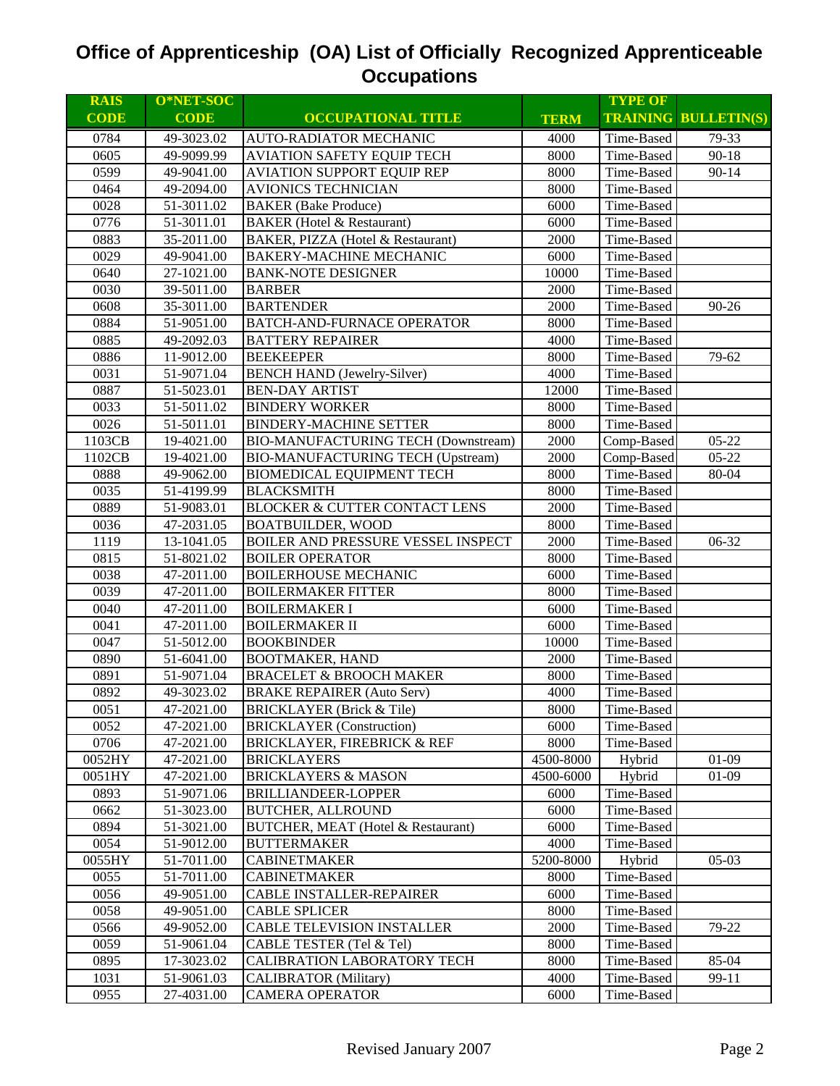| <b>RAIS</b> | O*NET-SOC   |                                          |             | <b>TYPE OF</b> |                             |
|-------------|-------------|------------------------------------------|-------------|----------------|-----------------------------|
| <b>CODE</b> | <b>CODE</b> | <b>OCCUPATIONAL TITLE</b>                | <b>TERM</b> |                | <b>TRAINING BULLETIN(S)</b> |
| 0784        | 49-3023.02  | <b>AUTO-RADIATOR MECHANIC</b>            | 4000        | Time-Based     | 79-33                       |
| 0605        | 49-9099.99  | <b>AVIATION SAFETY EQUIP TECH</b>        | 8000        | Time-Based     | $90 - 18$                   |
| 0599        | 49-9041.00  | <b>AVIATION SUPPORT EQUIP REP</b>        | 8000        | Time-Based     | $90 - 14$                   |
| 0464        | 49-2094.00  | <b>AVIONICS TECHNICIAN</b>               | 8000        | Time-Based     |                             |
| 0028        | 51-3011.02  | <b>BAKER</b> (Bake Produce)              | 6000        | Time-Based     |                             |
| 0776        | 51-3011.01  | <b>BAKER</b> (Hotel & Restaurant)        | 6000        | Time-Based     |                             |
| 0883        | 35-2011.00  | BAKER, PIZZA (Hotel & Restaurant)        | 2000        | Time-Based     |                             |
| 0029        | 49-9041.00  | <b>BAKERY-MACHINE MECHANIC</b>           | 6000        | Time-Based     |                             |
| 0640        | 27-1021.00  | <b>BANK-NOTE DESIGNER</b>                | 10000       | Time-Based     |                             |
| 0030        | 39-5011.00  | <b>BARBER</b>                            | 2000        | Time-Based     |                             |
| 0608        | 35-3011.00  | <b>BARTENDER</b>                         | 2000        | Time-Based     | 90-26                       |
| 0884        | 51-9051.00  | BATCH-AND-FURNACE OPERATOR               | 8000        | Time-Based     |                             |
| 0885        | 49-2092.03  | <b>BATTERY REPAIRER</b>                  | 4000        | Time-Based     |                             |
| 0886        | 11-9012.00  | <b>BEEKEEPER</b>                         | 8000        | Time-Based     | 79-62                       |
| 0031        | 51-9071.04  | <b>BENCH HAND</b> (Jewelry-Silver)       | 4000        | Time-Based     |                             |
| 0887        | 51-5023.01  | <b>BEN-DAY ARTIST</b>                    | 12000       | Time-Based     |                             |
| 0033        | 51-5011.02  | <b>BINDERY WORKER</b>                    | 8000        | Time-Based     |                             |
| 0026        | 51-5011.01  | <b>BINDERY-MACHINE SETTER</b>            | 8000        | Time-Based     |                             |
| 1103CB      | 19-4021.00  | BIO-MANUFACTURING TECH (Downstream)      | 2000        | Comp-Based     | $05 - 22$                   |
| 1102CB      | 19-4021.00  | <b>BIO-MANUFACTURING TECH (Upstream)</b> | 2000        | Comp-Based     | $05 - 22$                   |
| 0888        | 49-9062.00  | <b>BIOMEDICAL EQUIPMENT TECH</b>         | 8000        | Time-Based     | 80-04                       |
| 0035        | 51-4199.99  | <b>BLACKSMITH</b>                        | 8000        | Time-Based     |                             |
| 0889        | 51-9083.01  | <b>BLOCKER &amp; CUTTER CONTACT LENS</b> | 2000        | Time-Based     |                             |
| 0036        | 47-2031.05  | <b>BOATBUILDER, WOOD</b>                 | 8000        | Time-Based     |                             |
| 1119        | 13-1041.05  | BOILER AND PRESSURE VESSEL INSPECT       | 2000        | Time-Based     | 06-32                       |
| 0815        | 51-8021.02  | <b>BOILER OPERATOR</b>                   | 8000        | Time-Based     |                             |
| 0038        | 47-2011.00  | <b>BOILERHOUSE MECHANIC</b>              | 6000        | Time-Based     |                             |
| 0039        | 47-2011.00  | <b>BOILERMAKER FITTER</b>                | 8000        | Time-Based     |                             |
| 0040        | 47-2011.00  | <b>BOILERMAKER I</b>                     | 6000        | Time-Based     |                             |
| 0041        | 47-2011.00  | <b>BOILERMAKER II</b>                    | 6000        | Time-Based     |                             |
| 0047        | 51-5012.00  | <b>BOOKBINDER</b>                        | 10000       | Time-Based     |                             |
| 0890        | 51-6041.00  | <b>BOOTMAKER, HAND</b>                   | 2000        | Time-Based     |                             |
| 0891        | 51-9071.04  | <b>BRACELET &amp; BROOCH MAKER</b>       | 8000        | Time-Based     |                             |
| 0892        | 49-3023.02  | <b>BRAKE REPAIRER (Auto Serv)</b>        | 4000        | Time-Based     |                             |
| 0051        | 47-2021.00  | <b>BRICKLAYER</b> (Brick & Tile)         | 8000        | Time-Based     |                             |
| 0052        | 47-2021.00  | <b>BRICKLAYER</b> (Construction)         | 6000        | Time-Based     |                             |
| 0706        | 47-2021.00  | <b>BRICKLAYER, FIREBRICK &amp; REF</b>   | 8000        | Time-Based     |                             |
| 0052HY      | 47-2021.00  | <b>BRICKLAYERS</b>                       | 4500-8000   | Hybrid         | $01-09$                     |
| 0051HY      | 47-2021.00  | <b>BRICKLAYERS &amp; MASON</b>           | 4500-6000   | Hybrid         | $01-09$                     |
| 0893        | 51-9071.06  | BRILLIANDEER-LOPPER                      | 6000        | Time-Based     |                             |
| 0662        | 51-3023.00  | <b>BUTCHER, ALLROUND</b>                 | 6000        | Time-Based     |                             |
| 0894        | 51-3021.00  | BUTCHER, MEAT (Hotel & Restaurant)       | 6000        | Time-Based     |                             |
| 0054        | 51-9012.00  | <b>BUTTERMAKER</b>                       | 4000        | Time-Based     |                             |
| 0055HY      | 51-7011.00  | <b>CABINETMAKER</b>                      | 5200-8000   | Hybrid         | $05-03$                     |
| 0055        | 51-7011.00  | <b>CABINETMAKER</b>                      | 8000        | Time-Based     |                             |
| 0056        | 49-9051.00  | CABLE INSTALLER-REPAIRER                 | 6000        | Time-Based     |                             |
| 0058        | 49-9051.00  | <b>CABLE SPLICER</b>                     | 8000        | Time-Based     |                             |
| 0566        | 49-9052.00  | <b>CABLE TELEVISION INSTALLER</b>        | 2000        | Time-Based     | 79-22                       |
| 0059        | 51-9061.04  | CABLE TESTER (Tel & Tel)                 | 8000        | Time-Based     |                             |
| 0895        | 17-3023.02  | CALIBRATION LABORATORY TECH              | 8000        | Time-Based     | 85-04                       |
| 1031        | 51-9061.03  | <b>CALIBRATOR</b> (Military)             | 4000        | Time-Based     | 99-11                       |
| 0955        | 27-4031.00  | <b>CAMERA OPERATOR</b>                   | 6000        | Time-Based     |                             |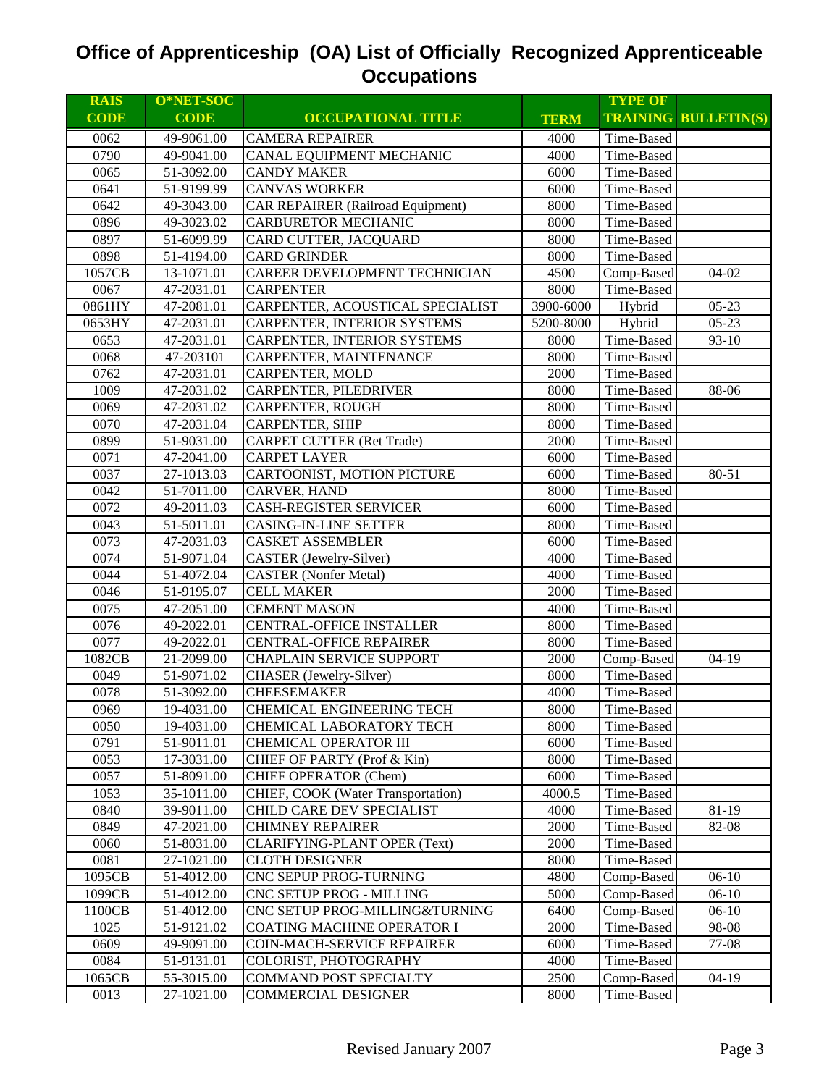| <b>RAIS</b> | O*NET-SOC   |                                          |             | <b>TYPE OF</b> |                             |
|-------------|-------------|------------------------------------------|-------------|----------------|-----------------------------|
| <b>CODE</b> | <b>CODE</b> | <b>OCCUPATIONAL TITLE</b>                | <b>TERM</b> |                | <b>TRAINING BULLETIN(S)</b> |
| 0062        | 49-9061.00  | <b>CAMERA REPAIRER</b>                   | 4000        | Time-Based     |                             |
| 0790        | 49-9041.00  | CANAL EQUIPMENT MECHANIC                 | 4000        | Time-Based     |                             |
| 0065        | 51-3092.00  | <b>CANDY MAKER</b>                       | 6000        | Time-Based     |                             |
| 0641        | 51-9199.99  | <b>CANVAS WORKER</b>                     | 6000        | Time-Based     |                             |
| 0642        | 49-3043.00  | <b>CAR REPAIRER (Railroad Equipment)</b> | 8000        | Time-Based     |                             |
| 0896        | 49-3023.02  | <b>CARBURETOR MECHANIC</b>               | 8000        | Time-Based     |                             |
| 0897        | 51-6099.99  | CARD CUTTER, JACQUARD                    | 8000        | Time-Based     |                             |
| 0898        | 51-4194.00  | <b>CARD GRINDER</b>                      | 8000        | Time-Based     |                             |
| 1057CB      | 13-1071.01  | CAREER DEVELOPMENT TECHNICIAN            | 4500        | Comp-Based     | $04-02$                     |
| 0067        | 47-2031.01  | <b>CARPENTER</b>                         | 8000        | Time-Based     |                             |
| 0861HY      | 47-2081.01  | CARPENTER, ACOUSTICAL SPECIALIST         | 3900-6000   | Hybrid         | $05 - 23$                   |
| 0653HY      | 47-2031.01  | CARPENTER, INTERIOR SYSTEMS              | 5200-8000   | Hybrid         | $05-23$                     |
| 0653        | 47-2031.01  | CARPENTER, INTERIOR SYSTEMS              | 8000        | Time-Based     | $93-10$                     |
| 0068        | 47-203101   | CARPENTER, MAINTENANCE                   | 8000        | Time-Based     |                             |
| 0762        | 47-2031.01  | CARPENTER, MOLD                          | 2000        | Time-Based     |                             |
| 1009        | 47-2031.02  | CARPENTER, PILEDRIVER                    | 8000        | Time-Based     | 88-06                       |
| 0069        | 47-2031.02  | CARPENTER, ROUGH                         | 8000        | Time-Based     |                             |
| 0070        | 47-2031.04  | <b>CARPENTER, SHIP</b>                   | 8000        | Time-Based     |                             |
| 0899        | 51-9031.00  | <b>CARPET CUTTER (Ret Trade)</b>         | 2000        | Time-Based     |                             |
| 0071        | 47-2041.00  | <b>CARPET LAYER</b>                      | 6000        | Time-Based     |                             |
| 0037        | 27-1013.03  | CARTOONIST, MOTION PICTURE               | 6000        | Time-Based     | 80-51                       |
| 0042        | 51-7011.00  | CARVER, HAND                             | 8000        | Time-Based     |                             |
| 0072        | 49-2011.03  | <b>CASH-REGISTER SERVICER</b>            | 6000        | Time-Based     |                             |
| 0043        | 51-5011.01  | <b>CASING-IN-LINE SETTER</b>             | 8000        | Time-Based     |                             |
| 0073        | 47-2031.03  | <b>CASKET ASSEMBLER</b>                  | 6000        | Time-Based     |                             |
| 0074        | 51-9071.04  | <b>CASTER</b> (Jewelry-Silver)           | 4000        | Time-Based     |                             |
| 0044        | 51-4072.04  | <b>CASTER</b> (Nonfer Metal)             | 4000        | Time-Based     |                             |
| 0046        | 51-9195.07  | <b>CELL MAKER</b>                        | 2000        | Time-Based     |                             |
| 0075        | 47-2051.00  | <b>CEMENT MASON</b>                      | 4000        | Time-Based     |                             |
| 0076        | 49-2022.01  | <b>CENTRAL-OFFICE INSTALLER</b>          | 8000        | Time-Based     |                             |
| 0077        | 49-2022.01  | <b>CENTRAL-OFFICE REPAIRER</b>           | 8000        | Time-Based     |                             |
| 1082CB      | 21-2099.00  | <b>CHAPLAIN SERVICE SUPPORT</b>          | 2000        | Comp-Based     | $04-19$                     |
| 0049        | 51-9071.02  | CHASER (Jewelry-Silver)                  | 8000        | Time-Based     |                             |
| 0078        | 51-3092.00  | <b>CHEESEMAKER</b>                       | 4000        | Time-Based     |                             |
| 0969        | 19-4031.00  | <b>CHEMICAL ENGINEERING TECH</b>         | 8000        | Time-Based     |                             |
| 0050        | 19-4031.00  | CHEMICAL LABORATORY TECH                 | 8000        | Time-Based     |                             |
| 0791        | 51-9011.01  | CHEMICAL OPERATOR III                    | 6000        | Time-Based     |                             |
| 0053        | 17-3031.00  | CHIEF OF PARTY (Prof & Kin)              | 8000        | Time-Based     |                             |
| 0057        | 51-8091.00  | <b>CHIEF OPERATOR (Chem)</b>             | 6000        | Time-Based     |                             |
| 1053        | 35-1011.00  | CHIEF, COOK (Water Transportation)       | 4000.5      | Time-Based     |                             |
| 0840        | 39-9011.00  | CHILD CARE DEV SPECIALIST                | 4000        | Time-Based     | 81-19                       |
| 0849        | 47-2021.00  | <b>CHIMNEY REPAIRER</b>                  | 2000        | Time-Based     | 82-08                       |
| 0060        | 51-8031.00  | <b>CLARIFYING-PLANT OPER (Text)</b>      | 2000        | Time-Based     |                             |
| 0081        | 27-1021.00  | <b>CLOTH DESIGNER</b>                    | 8000        | Time-Based     |                             |
| 1095CB      | 51-4012.00  | CNC SEPUP PROG-TURNING                   | 4800        | Comp-Based     | $06-10$                     |
| 1099CB      | 51-4012.00  | CNC SETUP PROG - MILLING                 | 5000        | Comp-Based     | $06-10$                     |
| 1100CB      | 51-4012.00  | CNC SETUP PROG-MILLING&TURNING           | 6400        | Comp-Based     | $06-10$                     |
| 1025        | 51-9121.02  | <b>COATING MACHINE OPERATOR I</b>        | 2000        | Time-Based     | 98-08                       |
| 0609        | 49-9091.00  | COIN-MACH-SERVICE REPAIRER               | 6000        | Time-Based     | 77-08                       |
| 0084        | 51-9131.01  | COLORIST, PHOTOGRAPHY                    | 4000        | Time-Based     |                             |
| 1065CB      | 55-3015.00  | COMMAND POST SPECIALTY                   | 2500        | Comp-Based     | $04-19$                     |
| 0013        | 27-1021.00  | <b>COMMERCIAL DESIGNER</b>               | 8000        | Time-Based     |                             |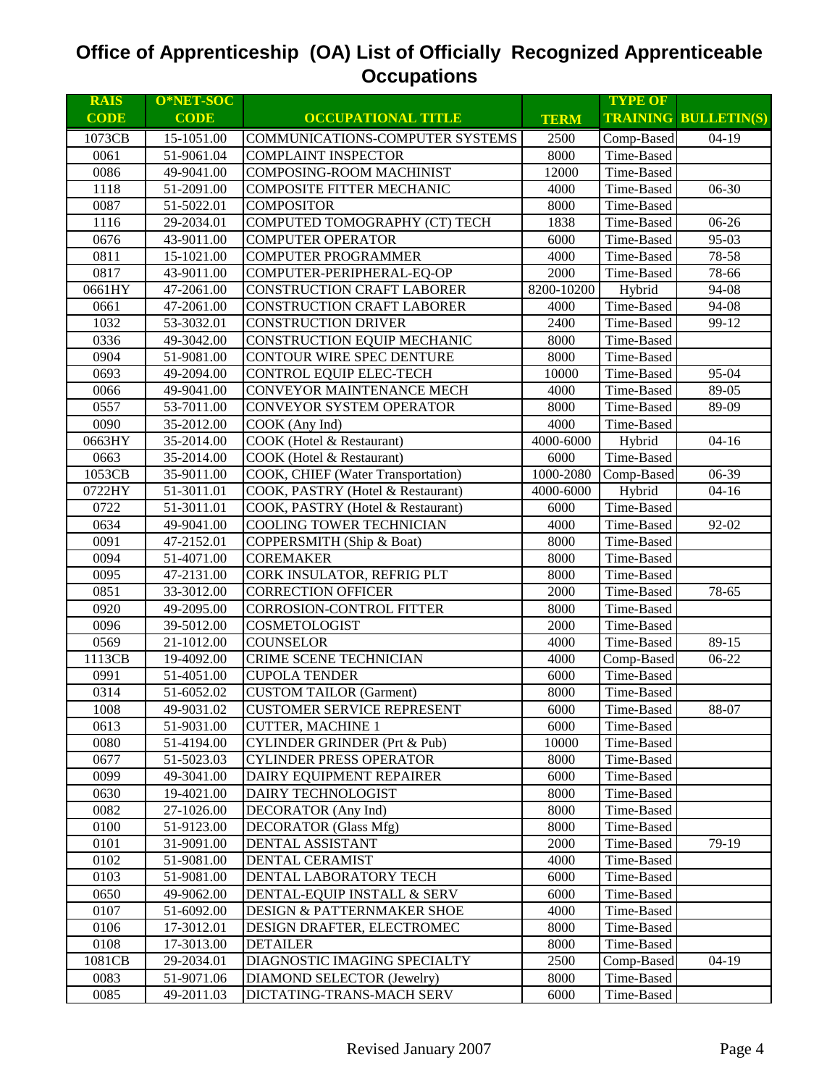| <b>RAIS</b> | O*NET-SOC   |                                         |             | <b>TYPE OF</b> |                             |
|-------------|-------------|-----------------------------------------|-------------|----------------|-----------------------------|
| <b>CODE</b> | <b>CODE</b> | <b>OCCUPATIONAL TITLE</b>               | <b>TERM</b> |                | <b>TRAINING BULLETIN(S)</b> |
| 1073CB      | 15-1051.00  | COMMUNICATIONS-COMPUTER SYSTEMS         | 2500        | Comp-Based     | $04-19$                     |
| 0061        | 51-9061.04  | <b>COMPLAINT INSPECTOR</b>              | 8000        | Time-Based     |                             |
| 0086        | 49-9041.00  | <b>COMPOSING-ROOM MACHINIST</b>         | 12000       | Time-Based     |                             |
| 1118        | 51-2091.00  | COMPOSITE FITTER MECHANIC               | 4000        | Time-Based     | 06-30                       |
| 0087        | 51-5022.01  | <b>COMPOSITOR</b>                       | 8000        | Time-Based     |                             |
| 1116        | 29-2034.01  | COMPUTED TOMOGRAPHY (CT) TECH           | 1838        | Time-Based     | 06-26                       |
| 0676        | 43-9011.00  | <b>COMPUTER OPERATOR</b>                | 6000        | Time-Based     | 95-03                       |
| 0811        | 15-1021.00  | <b>COMPUTER PROGRAMMER</b>              | 4000        | Time-Based     | 78-58                       |
| 0817        | 43-9011.00  | COMPUTER-PERIPHERAL-EQ-OP               | 2000        | Time-Based     | 78-66                       |
| 0661HY      | 47-2061.00  | <b>CONSTRUCTION CRAFT LABORER</b>       | 8200-10200  | Hybrid         | 94-08                       |
| 0661        | 47-2061.00  | CONSTRUCTION CRAFT LABORER              | 4000        | Time-Based     | 94-08                       |
| 1032        | 53-3032.01  | <b>CONSTRUCTION DRIVER</b>              | 2400        | Time-Based     | 99-12                       |
| 0336        | 49-3042.00  | CONSTRUCTION EQUIP MECHANIC             | 8000        | Time-Based     |                             |
| 0904        | 51-9081.00  | CONTOUR WIRE SPEC DENTURE               | 8000        | Time-Based     |                             |
| 0693        | 49-2094.00  | CONTROL EQUIP ELEC-TECH                 | 10000       | Time-Based     | 95-04                       |
| 0066        | 49-9041.00  | CONVEYOR MAINTENANCE MECH               | 4000        | Time-Based     | 89-05                       |
| 0557        | 53-7011.00  | CONVEYOR SYSTEM OPERATOR                | 8000        | Time-Based     | 89-09                       |
| 0090        | 35-2012.00  | COOK (Any Ind)                          | 4000        | Time-Based     |                             |
| 0663HY      | 35-2014.00  | COOK (Hotel & Restaurant)               | 4000-6000   | Hybrid         | $04-16$                     |
| 0663        | 35-2014.00  | COOK (Hotel & Restaurant)               | 6000        | Time-Based     |                             |
| 1053CB      | 35-9011.00  | COOK, CHIEF (Water Transportation)      | 1000-2080   | Comp-Based     | 06-39                       |
| 0722HY      | 51-3011.01  | COOK, PASTRY (Hotel & Restaurant)       | 4000-6000   | Hybrid         | $04-16$                     |
| 0722        | 51-3011.01  | COOK, PASTRY (Hotel & Restaurant)       | 6000        | Time-Based     |                             |
| 0634        | 49-9041.00  | COOLING TOWER TECHNICIAN                | 4000        | Time-Based     | 92-02                       |
| 0091        | 47-2152.01  | COPPERSMITH (Ship & Boat)               | 8000        | Time-Based     |                             |
| 0094        | 51-4071.00  | <b>COREMAKER</b>                        | 8000        | Time-Based     |                             |
| 0095        | 47-2131.00  | CORK INSULATOR, REFRIG PLT              | 8000        | Time-Based     |                             |
| 0851        | 33-3012.00  | <b>CORRECTION OFFICER</b>               | 2000        | Time-Based     | 78-65                       |
| 0920        | 49-2095.00  | CORROSION-CONTROL FITTER                | 8000        | Time-Based     |                             |
| 0096        | 39-5012.00  | COSMETOLOGIST                           | 2000        | Time-Based     |                             |
| 0569        | 21-1012.00  | <b>COUNSELOR</b>                        | 4000        | Time-Based     | 89-15                       |
| 1113CB      | 19-4092.00  | CRIME SCENE TECHNICIAN                  | 4000        | Comp-Based     | 06-22                       |
| 0991        | 51-4051.00  | <b>CUPOLA TENDER</b>                    | 6000        | Time-Based     |                             |
| 0314        | 51-6052.02  | <b>CUSTOM TAILOR (Garment)</b>          | 8000        | Time-Based     |                             |
| 1008        | 49-9031.02  | <b>CUSTOMER SERVICE REPRESENT</b>       | 6000        | Time-Based     | 88-07                       |
| 0613        | 51-9031.00  | <b>CUTTER, MACHINE 1</b>                | 6000        | Time-Based     |                             |
| 0080        | 51-4194.00  | <b>CYLINDER GRINDER (Prt &amp; Pub)</b> | 10000       | Time-Based     |                             |
| 0677        | 51-5023.03  | <b>CYLINDER PRESS OPERATOR</b>          | 8000        | Time-Based     |                             |
| 0099        | 49-3041.00  | DAIRY EQUIPMENT REPAIRER                | 6000        | Time-Based     |                             |
| 0630        | 19-4021.00  | DAIRY TECHNOLOGIST                      | 8000        | Time-Based     |                             |
| 0082        | 27-1026.00  | DECORATOR (Any Ind)                     | 8000        | Time-Based     |                             |
| 0100        | 51-9123.00  | <b>DECORATOR</b> (Glass Mfg)            | 8000        | Time-Based     |                             |
| 0101        | 31-9091.00  | DENTAL ASSISTANT                        | 2000        | Time-Based     | 79-19                       |
| 0102        | 51-9081.00  | DENTAL CERAMIST                         | 4000        | Time-Based     |                             |
| 0103        | 51-9081.00  | DENTAL LABORATORY TECH                  | 6000        | Time-Based     |                             |
| 0650        | 49-9062.00  | DENTAL-EQUIP INSTALL & SERV             | 6000        | Time-Based     |                             |
| 0107        | 51-6092.00  | DESIGN & PATTERNMAKER SHOE              | 4000        | Time-Based     |                             |
| 0106        | 17-3012.01  | DESIGN DRAFTER, ELECTROMEC              | 8000        | Time-Based     |                             |
| 0108        | 17-3013.00  | <b>DETAILER</b>                         | 8000        | Time-Based     |                             |
| 1081CB      | 29-2034.01  | DIAGNOSTIC IMAGING SPECIALTY            | 2500        | Comp-Based     | $04-19$                     |
| 0083        | 51-9071.06  | DIAMOND SELECTOR (Jewelry)              | 8000        | Time-Based     |                             |
| 0085        | 49-2011.03  | DICTATING-TRANS-MACH SERV               | 6000        | Time-Based     |                             |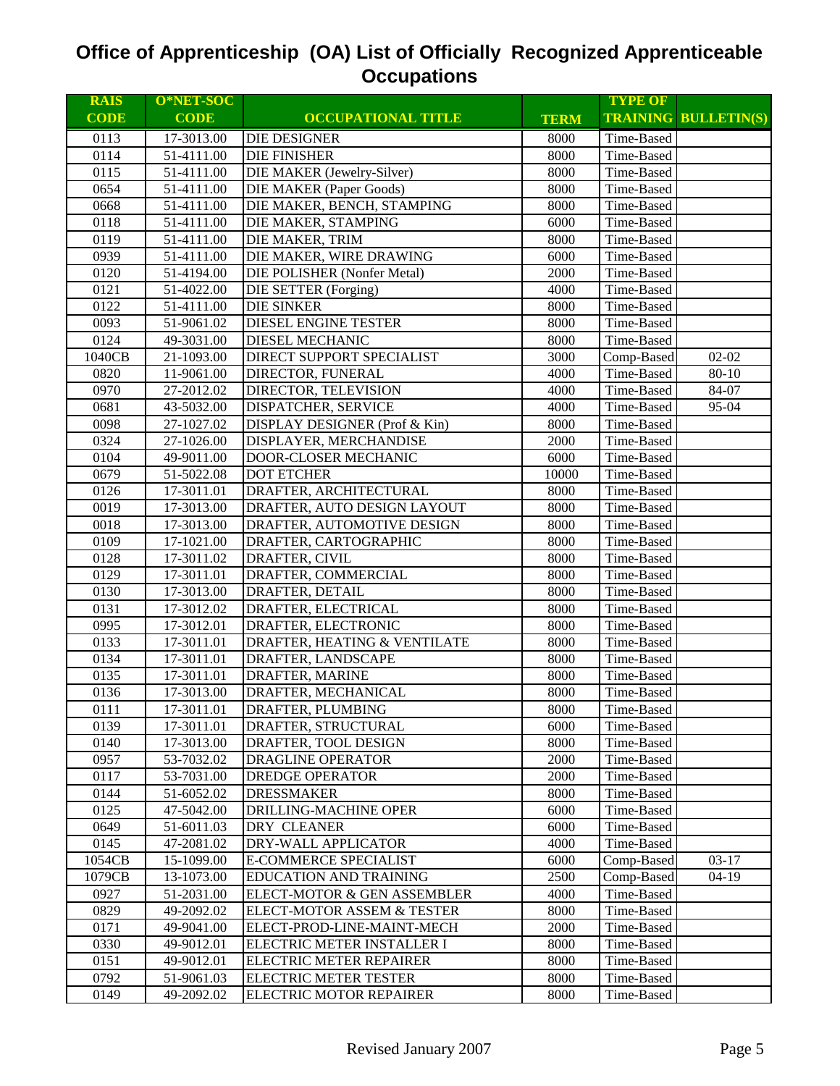| <b>RAIS</b> | O*NET-SOC   |                                |             | <b>TYPE OF</b> |                             |
|-------------|-------------|--------------------------------|-------------|----------------|-----------------------------|
| <b>CODE</b> | <b>CODE</b> | <b>OCCUPATIONAL TITLE</b>      | <b>TERM</b> |                | <b>TRAINING BULLETIN(S)</b> |
| 0113        | 17-3013.00  | <b>DIE DESIGNER</b>            | 8000        | Time-Based     |                             |
| 0114        | 51-4111.00  | <b>DIE FINISHER</b>            | 8000        | Time-Based     |                             |
| 0115        | 51-4111.00  | DIE MAKER (Jewelry-Silver)     | 8000        | Time-Based     |                             |
| 0654        | 51-4111.00  | <b>DIE MAKER</b> (Paper Goods) | 8000        | Time-Based     |                             |
| 0668        | 51-4111.00  | DIE MAKER, BENCH, STAMPING     | 8000        | Time-Based     |                             |
| 0118        | 51-4111.00  | DIE MAKER, STAMPING            | 6000        | Time-Based     |                             |
| 0119        | 51-4111.00  | DIE MAKER, TRIM                | 8000        | Time-Based     |                             |
| 0939        | 51-4111.00  | DIE MAKER, WIRE DRAWING        | 6000        | Time-Based     |                             |
| 0120        | 51-4194.00  | DIE POLISHER (Nonfer Metal)    | 2000        | Time-Based     |                             |
| 0121        | 51-4022.00  | <b>DIE SETTER</b> (Forging)    | 4000        | Time-Based     |                             |
| 0122        | 51-4111.00  | <b>DIE SINKER</b>              | 8000        | Time-Based     |                             |
| 0093        | 51-9061.02  | DIESEL ENGINE TESTER           | 8000        | Time-Based     |                             |
| 0124        | 49-3031.00  | DIESEL MECHANIC                | 8000        | Time-Based     |                             |
| 1040CB      | 21-1093.00  | DIRECT SUPPORT SPECIALIST      | 3000        | Comp-Based     | $02 - 02$                   |
| 0820        | 11-9061.00  | DIRECTOR, FUNERAL              | 4000        | Time-Based     | 80-10                       |
| 0970        | 27-2012.02  | DIRECTOR, TELEVISION           | 4000        | Time-Based     | 84-07                       |
| 0681        | 43-5032.00  | DISPATCHER, SERVICE            | 4000        | Time-Based     | 95-04                       |
| 0098        | 27-1027.02  | DISPLAY DESIGNER (Prof & Kin)  | 8000        | Time-Based     |                             |
| 0324        | 27-1026.00  | DISPLAYER, MERCHANDISE         | 2000        | Time-Based     |                             |
| 0104        | 49-9011.00  | DOOR-CLOSER MECHANIC           | 6000        | Time-Based     |                             |
| 0679        | 51-5022.08  | <b>DOT ETCHER</b>              | 10000       | Time-Based     |                             |
| 0126        | 17-3011.01  | DRAFTER, ARCHITECTURAL         | 8000        | Time-Based     |                             |
| 0019        | 17-3013.00  | DRAFTER, AUTO DESIGN LAYOUT    | 8000        | Time-Based     |                             |
| 0018        | 17-3013.00  | DRAFTER, AUTOMOTIVE DESIGN     | 8000        | Time-Based     |                             |
| 0109        | 17-1021.00  | DRAFTER, CARTOGRAPHIC          | 8000        | Time-Based     |                             |
| 0128        | 17-3011.02  | DRAFTER, CIVIL                 | 8000        | Time-Based     |                             |
| 0129        | 17-3011.01  | DRAFTER, COMMERCIAL            | 8000        | Time-Based     |                             |
| 0130        | 17-3013.00  | DRAFTER, DETAIL                | 8000        | Time-Based     |                             |
| 0131        | 17-3012.02  | DRAFTER, ELECTRICAL            | 8000        | Time-Based     |                             |
| 0995        | 17-3012.01  | DRAFTER, ELECTRONIC            | 8000        | Time-Based     |                             |
| 0133        | 17-3011.01  | DRAFTER, HEATING & VENTILATE   | 8000        | Time-Based     |                             |
| 0134        | 17-3011.01  | DRAFTER, LANDSCAPE             | 8000        | Time-Based     |                             |
| 0135        | 17-3011.01  | DRAFTER, MARINE                | 8000        | Time-Based     |                             |
| 0136        | 17-3013.00  | DRAFTER, MECHANICAL            | 8000        | Time-Based     |                             |
| 0111        | 17-3011.01  | DRAFTER, PLUMBING              | 8000        | Time-Based     |                             |
| 0139        | 17-3011.01  | DRAFTER, STRUCTURAL            | 6000        | Time-Based     |                             |
| 0140        | 17-3013.00  | DRAFTER, TOOL DESIGN           | 8000        | Time-Based     |                             |
| 0957        | 53-7032.02  | DRAGLINE OPERATOR              | 2000        | Time-Based     |                             |
| 0117        | 53-7031.00  | DREDGE OPERATOR                | 2000        | Time-Based     |                             |
| 0144        | 51-6052.02  | <b>DRESSMAKER</b>              | 8000        | Time-Based     |                             |
| 0125        | 47-5042.00  | DRILLING-MACHINE OPER          | 6000        | Time-Based     |                             |
| 0649        | 51-6011.03  | DRY CLEANER                    | 6000        | Time-Based     |                             |
| 0145        | 47-2081.02  | DRY-WALL APPLICATOR            | 4000        | Time-Based     |                             |
| 1054CB      | 15-1099.00  | <b>E-COMMERCE SPECIALIST</b>   | 6000        | Comp-Based     | $03-17$                     |
| 1079CB      | 13-1073.00  | EDUCATION AND TRAINING         | 2500        | Comp-Based     | $04-19$                     |
| 0927        | 51-2031.00  | ELECT-MOTOR & GEN ASSEMBLER    | 4000        | Time-Based     |                             |
| 0829        | 49-2092.02  | ELECT-MOTOR ASSEM & TESTER     | 8000        | Time-Based     |                             |
| 0171        | 49-9041.00  | ELECT-PROD-LINE-MAINT-MECH     | 2000        | Time-Based     |                             |
| 0330        | 49-9012.01  | ELECTRIC METER INSTALLER I     | 8000        | Time-Based     |                             |
| 0151        | 49-9012.01  | ELECTRIC METER REPAIRER        | 8000        | Time-Based     |                             |
| 0792        | 51-9061.03  | <b>ELECTRIC METER TESTER</b>   | 8000        | Time-Based     |                             |
| 0149        | 49-2092.02  | ELECTRIC MOTOR REPAIRER        | 8000        | Time-Based     |                             |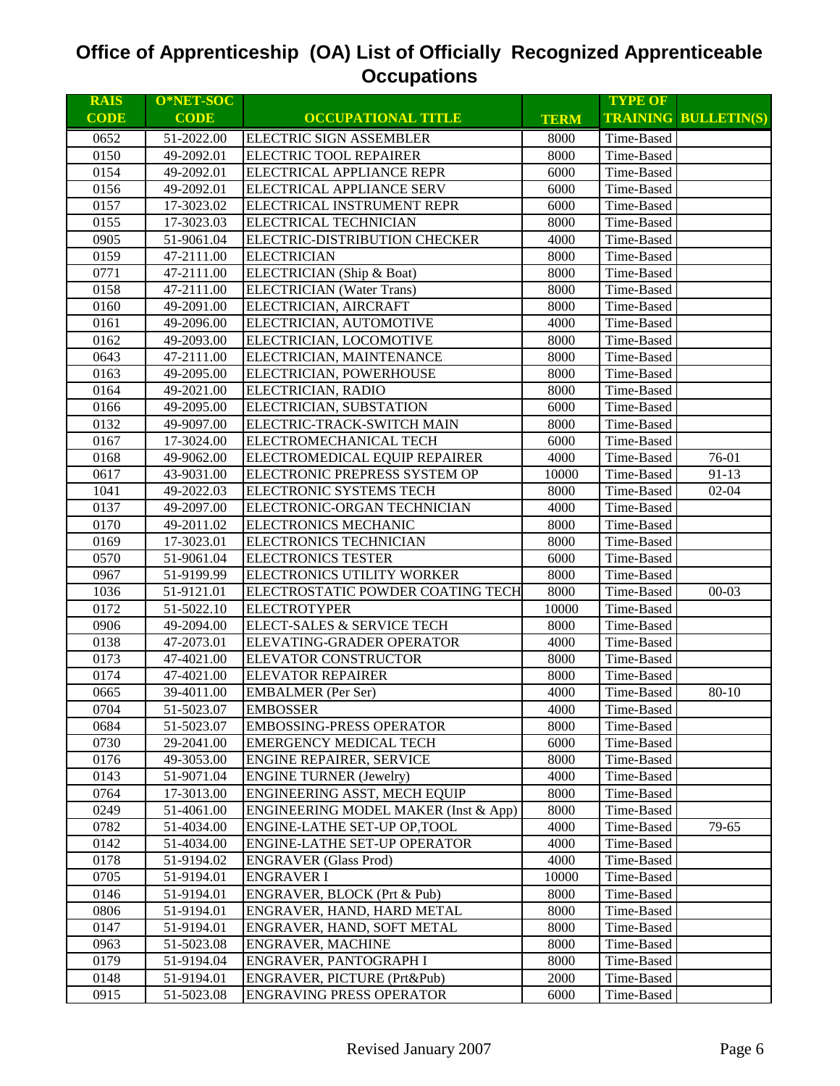| <b>RAIS</b> | O*NET-SOC   |                                      |             | <b>TYPE OF</b> |                             |
|-------------|-------------|--------------------------------------|-------------|----------------|-----------------------------|
| <b>CODE</b> | <b>CODE</b> | <b>OCCUPATIONAL TITLE</b>            | <b>TERM</b> |                | <b>TRAINING BULLETIN(S)</b> |
| 0652        | 51-2022.00  | <b>ELECTRIC SIGN ASSEMBLER</b>       | 8000        | Time-Based     |                             |
| 0150        | 49-2092.01  | ELECTRIC TOOL REPAIRER               | 8000        | Time-Based     |                             |
| 0154        | 49-2092.01  | ELECTRICAL APPLIANCE REPR            | 6000        | Time-Based     |                             |
| 0156        | 49-2092.01  | ELECTRICAL APPLIANCE SERV            | 6000        | Time-Based     |                             |
| 0157        | 17-3023.02  | ELECTRICAL INSTRUMENT REPR           | 6000        | Time-Based     |                             |
| 0155        | 17-3023.03  | ELECTRICAL TECHNICIAN                | 8000        | Time-Based     |                             |
| 0905        | 51-9061.04  | ELECTRIC-DISTRIBUTION CHECKER        | 4000        | Time-Based     |                             |
| 0159        | 47-2111.00  | <b>ELECTRICIAN</b>                   | 8000        | Time-Based     |                             |
| 0771        | 47-2111.00  | ELECTRICIAN (Ship & Boat)            | 8000        | Time-Based     |                             |
| 0158        | 47-2111.00  | <b>ELECTRICIAN</b> (Water Trans)     | 8000        | Time-Based     |                             |
| 0160        | 49-2091.00  | ELECTRICIAN, AIRCRAFT                | 8000        | Time-Based     |                             |
| 0161        | 49-2096.00  | ELECTRICIAN, AUTOMOTIVE              | 4000        | Time-Based     |                             |
| 0162        | 49-2093.00  | ELECTRICIAN, LOCOMOTIVE              | 8000        | Time-Based     |                             |
| 0643        | 47-2111.00  | ELECTRICIAN, MAINTENANCE             | 8000        | Time-Based     |                             |
| 0163        | 49-2095.00  | ELECTRICIAN, POWERHOUSE              | 8000        | Time-Based     |                             |
| 0164        | 49-2021.00  | ELECTRICIAN, RADIO                   | 8000        | Time-Based     |                             |
| 0166        | 49-2095.00  | ELECTRICIAN, SUBSTATION              | 6000        | Time-Based     |                             |
| 0132        | 49-9097.00  | ELECTRIC-TRACK-SWITCH MAIN           | 8000        | Time-Based     |                             |
| 0167        | 17-3024.00  | ELECTROMECHANICAL TECH               | 6000        | Time-Based     |                             |
| 0168        | 49-9062.00  | ELECTROMEDICAL EQUIP REPAIRER        | 4000        | Time-Based     | 76-01                       |
| 0617        | 43-9031.00  | ELECTRONIC PREPRESS SYSTEM OP        | 10000       | Time-Based     | $91-13$                     |
| 1041        | 49-2022.03  | ELECTRONIC SYSTEMS TECH              | 8000        | Time-Based     | $02 - 04$                   |
| 0137        | 49-2097.00  | ELECTRONIC-ORGAN TECHNICIAN          | 4000        | Time-Based     |                             |
| 0170        | 49-2011.02  | ELECTRONICS MECHANIC                 | 8000        | Time-Based     |                             |
| 0169        | 17-3023.01  | ELECTRONICS TECHNICIAN               | 8000        | Time-Based     |                             |
| 0570        | 51-9061.04  | <b>ELECTRONICS TESTER</b>            | 6000        | Time-Based     |                             |
| 0967        | 51-9199.99  | ELECTRONICS UTILITY WORKER           | 8000        | Time-Based     |                             |
| 1036        | 51-9121.01  | ELECTROSTATIC POWDER COATING TECH    | 8000        | Time-Based     | $00 - 03$                   |
| 0172        | 51-5022.10  | <b>ELECTROTYPER</b>                  | 10000       | Time-Based     |                             |
| 0906        | 49-2094.00  | ELECT-SALES & SERVICE TECH           | 8000        | Time-Based     |                             |
| 0138        | 47-2073.01  | ELEVATING-GRADER OPERATOR            | 4000        | Time-Based     |                             |
| 0173        | 47-4021.00  | ELEVATOR CONSTRUCTOR                 | 8000        | Time-Based     |                             |
| 0174        | 47-4021.00  | <b>ELEVATOR REPAIRER</b>             | 8000        | Time-Based     |                             |
| 0665        | 39-4011.00  | <b>EMBALMER</b> (Per Ser)            | 4000        | Time-Based     | 80-10                       |
| 0704        | 51-5023.07  | <b>EMBOSSER</b>                      | 4000        | Time-Based     |                             |
| 0684        | 51-5023.07  | EMBOSSING-PRESS OPERATOR             | 8000        | Time-Based     |                             |
| 0730        | 29-2041.00  | <b>EMERGENCY MEDICAL TECH</b>        | 6000        | Time-Based     |                             |
| 0176        | 49-3053.00  | <b>ENGINE REPAIRER, SERVICE</b>      | 8000        | Time-Based     |                             |
| 0143        | 51-9071.04  | <b>ENGINE TURNER (Jewelry)</b>       | 4000        | Time-Based     |                             |
| 0764        | 17-3013.00  | ENGINEERING ASST, MECH EQUIP         | 8000        | Time-Based     |                             |
| 0249        | 51-4061.00  | ENGINEERING MODEL MAKER (Inst & App) | 8000        | Time-Based     |                             |
| 0782        | 51-4034.00  | ENGINE-LATHE SET-UP OP, TOOL         | 4000        | Time-Based     | 79-65                       |
| 0142        | 51-4034.00  | ENGINE-LATHE SET-UP OPERATOR         | 4000        | Time-Based     |                             |
| 0178        | 51-9194.02  | <b>ENGRAVER</b> (Glass Prod)         | 4000        | Time-Based     |                             |
| 0705        | 51-9194.01  | <b>ENGRAVER I</b>                    | 10000       | Time-Based     |                             |
| 0146        | 51-9194.01  | ENGRAVER, BLOCK (Prt & Pub)          | 8000        | Time-Based     |                             |
| 0806        | 51-9194.01  | ENGRAVER, HAND, HARD METAL           | 8000        | Time-Based     |                             |
| 0147        | 51-9194.01  | ENGRAVER, HAND, SOFT METAL           | 8000        | Time-Based     |                             |
| 0963        | 51-5023.08  | <b>ENGRAVER, MACHINE</b>             | 8000        | Time-Based     |                             |
| 0179        | 51-9194.04  | ENGRAVER, PANTOGRAPH I               | 8000        | Time-Based     |                             |
| 0148        | 51-9194.01  | ENGRAVER, PICTURE (Prt&Pub)          | 2000        | Time-Based     |                             |
| 0915        | 51-5023.08  | <b>ENGRAVING PRESS OPERATOR</b>      | 6000        | Time-Based     |                             |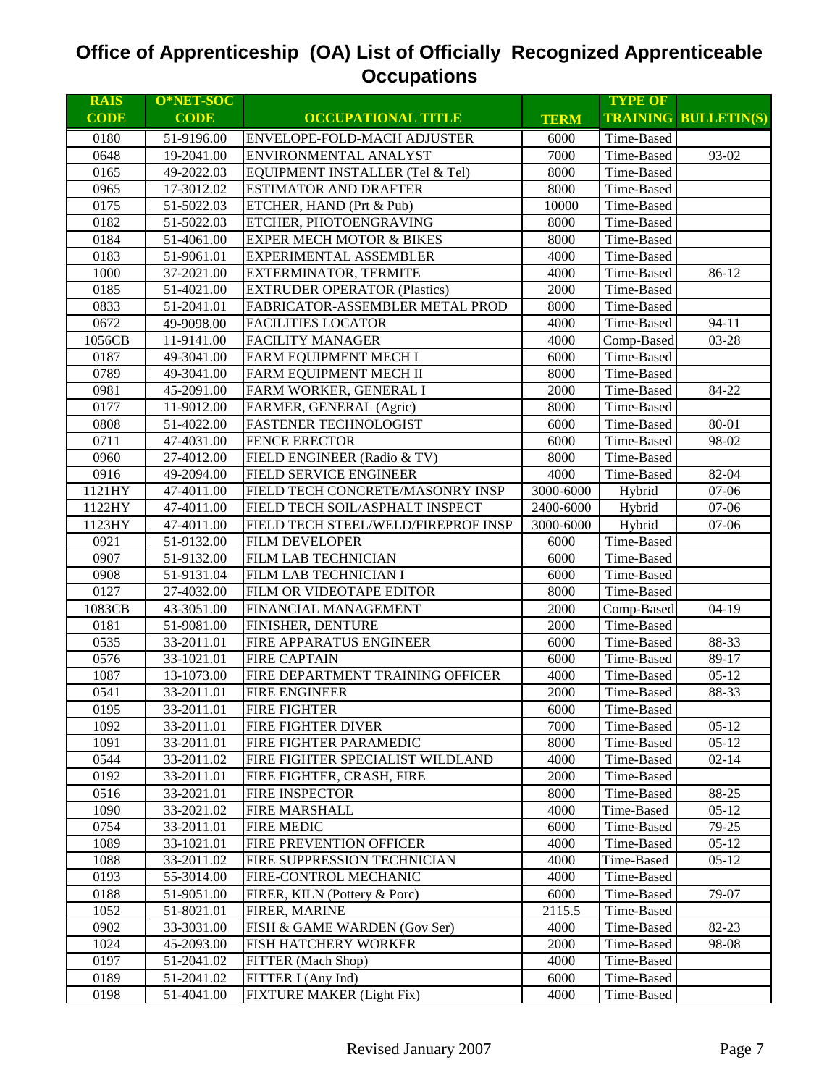| <b>RAIS</b> | O*NET-SOC   |                                     |                         | <b>TYPE OF</b> |                             |
|-------------|-------------|-------------------------------------|-------------------------|----------------|-----------------------------|
| <b>CODE</b> | <b>CODE</b> | <b>OCCUPATIONAL TITLE</b>           | <b>TERM</b>             |                | <b>TRAINING BULLETIN(S)</b> |
| 0180        | 51-9196.00  | <b>ENVELOPE-FOLD-MACH ADJUSTER</b>  | 6000                    | Time-Based     |                             |
| 0648        | 19-2041.00  | ENVIRONMENTAL ANALYST               | 7000                    | Time-Based     | 93-02                       |
| 0165        | 49-2022.03  | EQUIPMENT INSTALLER (Tel & Tel)     | 8000                    | Time-Based     |                             |
| 0965        | 17-3012.02  | <b>ESTIMATOR AND DRAFTER</b>        | 8000                    | Time-Based     |                             |
| 0175        | 51-5022.03  | ETCHER, HAND (Prt & Pub)            | 10000                   | Time-Based     |                             |
| 0182        | 51-5022.03  | ETCHER, PHOTOENGRAVING              | 8000                    | Time-Based     |                             |
| 0184        | 51-4061.00  | <b>EXPER MECH MOTOR &amp; BIKES</b> | 8000                    | Time-Based     |                             |
| 0183        | 51-9061.01  | EXPERIMENTAL ASSEMBLER              | 4000                    | Time-Based     |                             |
| 1000        | 37-2021.00  | EXTERMINATOR, TERMITE               | 4000                    | Time-Based     | 86-12                       |
| 0185        | 51-4021.00  | <b>EXTRUDER OPERATOR (Plastics)</b> | 2000                    | Time-Based     |                             |
| 0833        | 51-2041.01  | FABRICATOR-ASSEMBLER METAL PROD     | 8000                    | Time-Based     |                             |
| 0672        | 49-9098.00  | <b>FACILITIES LOCATOR</b>           | 4000                    | Time-Based     | $94 - 11$                   |
| 1056CB      | 11-9141.00  | <b>FACILITY MANAGER</b>             | 4000                    | Comp-Based     | 03-28                       |
| 0187        | 49-3041.00  | FARM EQUIPMENT MECH I               | 6000                    | Time-Based     |                             |
| 0789        | 49-3041.00  | FARM EQUIPMENT MECH II              | 8000                    | Time-Based     |                             |
| 0981        | 45-2091.00  | FARM WORKER, GENERAL I              | 2000                    | Time-Based     | 84-22                       |
| 0177        | 11-9012.00  | FARMER, GENERAL (Agric)             | 8000                    | Time-Based     |                             |
| 0808        | 51-4022.00  | <b>FASTENER TECHNOLOGIST</b>        | 6000                    | Time-Based     | 80-01                       |
| 0711        | 47-4031.00  | <b>FENCE ERECTOR</b>                | 6000                    | Time-Based     | 98-02                       |
| 0960        | 27-4012.00  | FIELD ENGINEER (Radio & TV)         | 8000                    | Time-Based     |                             |
| 0916        | 49-2094.00  | FIELD SERVICE ENGINEER              | 4000                    | Time-Based     | 82-04                       |
| 1121HY      | 47-4011.00  | FIELD TECH CONCRETE/MASONRY INSP    | 3000-6000               | Hybrid         | 07-06                       |
| 1122HY      | 47-4011.00  | FIELD TECH SOIL/ASPHALT INSPECT     | 2400-6000               | Hybrid         | 07-06                       |
| 1123HY      | 47-4011.00  | FIELD TECH STEEL/WELD/FIREPROF INSP | $\overline{3000}$ -6000 | Hybrid         | $07-06$                     |
| 0921        | 51-9132.00  | <b>FILM DEVELOPER</b>               | 6000                    | Time-Based     |                             |
| 0907        | 51-9132.00  | FILM LAB TECHNICIAN                 | 6000                    | Time-Based     |                             |
| 0908        | 51-9131.04  | FILM LAB TECHNICIAN I               | 6000                    | Time-Based     |                             |
| 0127        | 27-4032.00  | FILM OR VIDEOTAPE EDITOR            | 8000                    | Time-Based     |                             |
| 1083CB      | 43-3051.00  | FINANCIAL MANAGEMENT                | 2000                    | Comp-Based     | $04-19$                     |
| 0181        | 51-9081.00  | FINISHER, DENTURE                   | 2000                    | Time-Based     |                             |
| 0535        | 33-2011.01  | FIRE APPARATUS ENGINEER             | 6000                    | Time-Based     | 88-33                       |
| 0576        | 33-1021.01  | <b>FIRE CAPTAIN</b>                 | 6000                    | Time-Based     | 89-17                       |
| 1087        | 13-1073.00  | FIRE DEPARTMENT TRAINING OFFICER    | 4000                    | Time-Based     | $05-12$                     |
| 0541        | 33-2011.01  | <b>FIRE ENGINEER</b>                | 2000                    | Time-Based     | 88-33                       |
| 0195        | 33-2011.01  | <b>FIRE FIGHTER</b>                 | 6000                    | Time-Based     |                             |
| 1092        | 33-2011.01  | FIRE FIGHTER DIVER                  | 7000                    | Time-Based     | $05 - 12$                   |
| 1091        | 33-2011.01  | FIRE FIGHTER PARAMEDIC              | 8000                    | Time-Based     | $05-12$                     |
| 0544        | 33-2011.02  | FIRE FIGHTER SPECIALIST WILDLAND    | 4000                    | Time-Based     | $02 - 14$                   |
| 0192        | 33-2011.01  | FIRE FIGHTER, CRASH, FIRE           | 2000                    | Time-Based     |                             |
| 0516        | 33-2021.01  | FIRE INSPECTOR                      | 8000                    | Time-Based     | 88-25                       |
| 1090        | 33-2021.02  | <b>FIRE MARSHALL</b>                | 4000                    | Time-Based     | $05-12$                     |
| 0754        | 33-2011.01  | <b>FIRE MEDIC</b>                   | 6000                    | Time-Based     | 79-25                       |
| 1089        | 33-1021.01  | FIRE PREVENTION OFFICER             | 4000                    | Time-Based     | $05-12$                     |
| 1088        | 33-2011.02  | FIRE SUPPRESSION TECHNICIAN         | 4000                    | Time-Based     | $05-12$                     |
| 0193        | 55-3014.00  | FIRE-CONTROL MECHANIC               | 4000                    | Time-Based     |                             |
| 0188        | 51-9051.00  | FIRER, KILN (Pottery & Porc)        | 6000                    | Time-Based     | 79-07                       |
| 1052        | 51-8021.01  | FIRER, MARINE                       | 2115.5                  | Time-Based     |                             |
| 0902        | 33-3031.00  | FISH & GAME WARDEN (Gov Ser)        | 4000                    | Time-Based     | 82-23                       |
| 1024        | 45-2093.00  | FISH HATCHERY WORKER                | 2000                    | Time-Based     | 98-08                       |
| 0197        | 51-2041.02  | FITTER (Mach Shop)                  | 4000                    | Time-Based     |                             |
| 0189        | 51-2041.02  | FITTER I (Any Ind)                  | 6000                    | Time-Based     |                             |
| 0198        | 51-4041.00  | FIXTURE MAKER (Light Fix)           | 4000                    | Time-Based     |                             |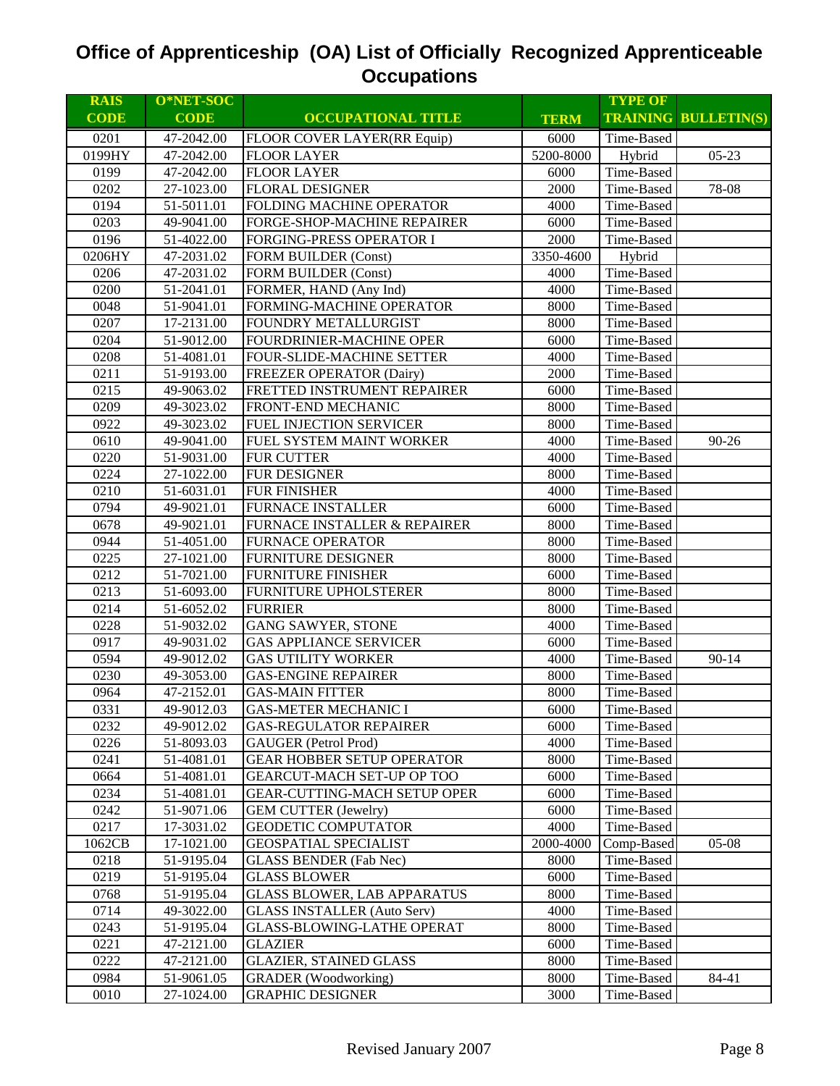| <b>RAIS</b> | O*NET-SOC   |                                     |             | <b>TYPE OF</b> |                             |
|-------------|-------------|-------------------------------------|-------------|----------------|-----------------------------|
| <b>CODE</b> | <b>CODE</b> | <b>OCCUPATIONAL TITLE</b>           | <b>TERM</b> |                | <b>TRAINING BULLETIN(S)</b> |
| 0201        | 47-2042.00  | FLOOR COVER LAYER(RR Equip)         | 6000        | Time-Based     |                             |
| 0199HY      | 47-2042.00  | <b>FLOOR LAYER</b>                  | 5200-8000   | Hybrid         | $05 - 23$                   |
| 0199        | 47-2042.00  | <b>FLOOR LAYER</b>                  | 6000        | Time-Based     |                             |
| 0202        | 27-1023.00  | <b>FLORAL DESIGNER</b>              | 2000        | Time-Based     | 78-08                       |
| 0194        | 51-5011.01  | FOLDING MACHINE OPERATOR            | 4000        | Time-Based     |                             |
| 0203        | 49-9041.00  | FORGE-SHOP-MACHINE REPAIRER         | 6000        | Time-Based     |                             |
| 0196        | 51-4022.00  | <b>FORGING-PRESS OPERATOR I</b>     | 2000        | Time-Based     |                             |
| 0206HY      | 47-2031.02  | <b>FORM BUILDER (Const)</b>         | 3350-4600   | Hybrid         |                             |
| 0206        | 47-2031.02  | <b>FORM BUILDER (Const)</b>         | 4000        | Time-Based     |                             |
| 0200        | 51-2041.01  | FORMER, HAND (Any Ind)              | 4000        | Time-Based     |                             |
| 0048        | 51-9041.01  | FORMING-MACHINE OPERATOR            | 8000        | Time-Based     |                             |
| 0207        | 17-2131.00  | FOUNDRY METALLURGIST                | 8000        | Time-Based     |                             |
| 0204        | 51-9012.00  | FOURDRINIER-MACHINE OPER            | 6000        | Time-Based     |                             |
| 0208        | 51-4081.01  | FOUR-SLIDE-MACHINE SETTER           | 4000        | Time-Based     |                             |
| 0211        | 51-9193.00  | <b>FREEZER OPERATOR (Dairy)</b>     | 2000        | Time-Based     |                             |
| 0215        | 49-9063.02  | FRETTED INSTRUMENT REPAIRER         | 6000        | Time-Based     |                             |
| 0209        | 49-3023.02  | FRONT-END MECHANIC                  | 8000        | Time-Based     |                             |
| 0922        | 49-3023.02  | FUEL INJECTION SERVICER             | 8000        | Time-Based     |                             |
| 0610        | 49-9041.00  | FUEL SYSTEM MAINT WORKER            | 4000        | Time-Based     | $90 - 26$                   |
| 0220        | 51-9031.00  | FUR CUTTER                          | 4000        | Time-Based     |                             |
| 0224        | 27-1022.00  | FUR DESIGNER                        | 8000        | Time-Based     |                             |
| 0210        | 51-6031.01  | <b>FUR FINISHER</b>                 | 4000        | Time-Based     |                             |
| 0794        | 49-9021.01  | <b>FURNACE INSTALLER</b>            | 6000        | Time-Based     |                             |
| 0678        | 49-9021.01  | FURNACE INSTALLER & REPAIRER        | 8000        | Time-Based     |                             |
| 0944        | 51-4051.00  | <b>FURNACE OPERATOR</b>             | 8000        | Time-Based     |                             |
| 0225        | 27-1021.00  | <b>FURNITURE DESIGNER</b>           | 8000        | Time-Based     |                             |
| 0212        | 51-7021.00  | <b>FURNITURE FINISHER</b>           | 6000        | Time-Based     |                             |
| 0213        | 51-6093.00  | FURNITURE UPHOLSTERER               | 8000        | Time-Based     |                             |
| 0214        | 51-6052.02  | <b>FURRIER</b>                      | 8000        | Time-Based     |                             |
| 0228        | 51-9032.02  | <b>GANG SAWYER, STONE</b>           | 4000        | Time-Based     |                             |
| 0917        | 49-9031.02  | <b>GAS APPLIANCE SERVICER</b>       | 6000        | Time-Based     |                             |
| 0594        | 49-9012.02  | <b>GAS UTILITY WORKER</b>           | 4000        | Time-Based     | $90 - 14$                   |
| 0230        | 49-3053.00  | <b>GAS-ENGINE REPAIRER</b>          | 8000        | Time-Based     |                             |
| 0964        | 47-2152.01  | <b>GAS-MAIN FITTER</b>              | 8000        | Time-Based     |                             |
| 0331        | 49-9012.03  | <b>GAS-METER MECHANIC I</b>         | 6000        | Time-Based     |                             |
| 0232        | 49-9012.02  | <b>GAS-REGULATOR REPAIRER</b>       | 6000        | Time-Based     |                             |
| 0226        | 51-8093.03  | <b>GAUGER</b> (Petrol Prod)         | 4000        | Time-Based     |                             |
| 0241        | 51-4081.01  | <b>GEAR HOBBER SETUP OPERATOR</b>   | 8000        | Time-Based     |                             |
| 0664        | 51-4081.01  | GEARCUT-MACH SET-UP OP TOO          | 6000        | Time-Based     |                             |
| 0234        | 51-4081.01  | <b>GEAR-CUTTING-MACH SETUP OPER</b> | 6000        | Time-Based     |                             |
| 0242        | 51-9071.06  | <b>GEM CUTTER (Jewelry)</b>         | 6000        | Time-Based     |                             |
| 0217        | 17-3031.02  | <b>GEODETIC COMPUTATOR</b>          | 4000        | Time-Based     |                             |
| 1062CB      | 17-1021.00  | <b>GEOSPATIAL SPECIALIST</b>        | 2000-4000   | Comp-Based     | $05-08$                     |
| 0218        | 51-9195.04  | <b>GLASS BENDER (Fab Nec)</b>       | 8000        | Time-Based     |                             |
| 0219        | 51-9195.04  | <b>GLASS BLOWER</b>                 | 6000        | Time-Based     |                             |
| 0768        | 51-9195.04  | <b>GLASS BLOWER, LAB APPARATUS</b>  | 8000        | Time-Based     |                             |
| 0714        | 49-3022.00  | <b>GLASS INSTALLER (Auto Serv)</b>  | 4000        | Time-Based     |                             |
| 0243        | 51-9195.04  | <b>GLASS-BLOWING-LATHE OPERAT</b>   | 8000        | Time-Based     |                             |
| 0221        | 47-2121.00  | <b>GLAZIER</b>                      | 6000        | Time-Based     |                             |
| 0222        | 47-2121.00  | <b>GLAZIER, STAINED GLASS</b>       | 8000        | Time-Based     |                             |
| 0984        | 51-9061.05  | <b>GRADER</b> (Woodworking)         | 8000        | Time-Based     | 84-41                       |
| 0010        | 27-1024.00  | <b>GRAPHIC DESIGNER</b>             | 3000        | Time-Based     |                             |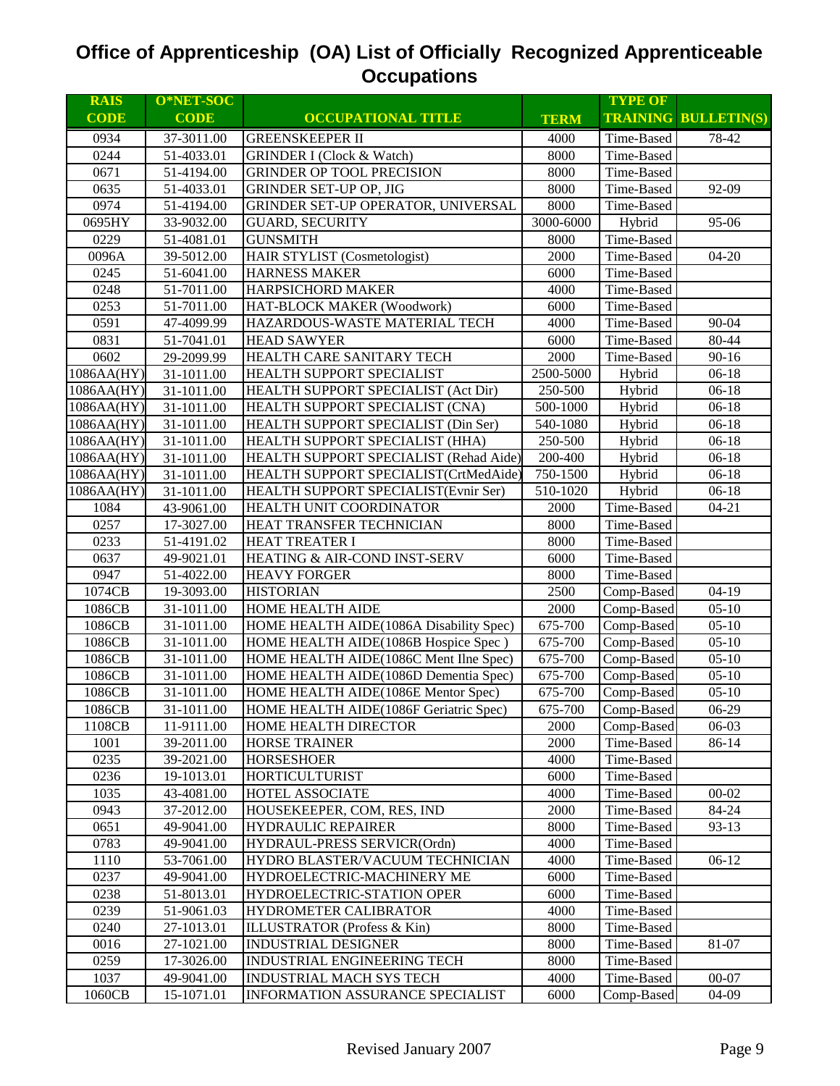| <b>RAIS</b> | O*NET-SOC   |                                         |             | <b>TYPE OF</b> |                             |
|-------------|-------------|-----------------------------------------|-------------|----------------|-----------------------------|
| <b>CODE</b> | <b>CODE</b> | <b>OCCUPATIONAL TITLE</b>               | <b>TERM</b> |                | <b>TRAINING BULLETIN(S)</b> |
| 0934        | 37-3011.00  | <b>GREENSKEEPER II</b>                  | 4000        | Time-Based     | 78-42                       |
| 0244        | 51-4033.01  | <b>GRINDER I (Clock &amp; Watch)</b>    | 8000        | Time-Based     |                             |
| 0671        | 51-4194.00  | <b>GRINDER OP TOOL PRECISION</b>        | 8000        | Time-Based     |                             |
| 0635        | 51-4033.01  | <b>GRINDER SET-UP OP, JIG</b>           | 8000        | Time-Based     | 92-09                       |
| 0974        | 51-4194.00  | GRINDER SET-UP OPERATOR, UNIVERSAL      | 8000        | Time-Based     |                             |
| 0695HY      | 33-9032.00  | <b>GUARD, SECURITY</b>                  | 3000-6000   | Hybrid         | 95-06                       |
| 0229        | 51-4081.01  | <b>GUNSMITH</b>                         | 8000        | Time-Based     |                             |
| 0096A       | 39-5012.00  | <b>HAIR STYLIST (Cosmetologist)</b>     | 2000        | Time-Based     | $04 - 20$                   |
| 0245        | 51-6041.00  | <b>HARNESS MAKER</b>                    | 6000        | Time-Based     |                             |
| 0248        | 51-7011.00  | <b>HARPSICHORD MAKER</b>                | 4000        | Time-Based     |                             |
| 0253        | 51-7011.00  | HAT-BLOCK MAKER (Woodwork)              | 6000        | Time-Based     |                             |
| 0591        | 47-4099.99  | HAZARDOUS-WASTE MATERIAL TECH           | 4000        | Time-Based     | 90-04                       |
| 0831        | 51-7041.01  | <b>HEAD SAWYER</b>                      | 6000        | Time-Based     | 80-44                       |
| 0602        | 29-2099.99  | HEALTH CARE SANITARY TECH               | 2000        | Time-Based     | $90 - 16$                   |
| 1086AA(HY)  | 31-1011.00  | HEALTH SUPPORT SPECIALIST               | 2500-5000   | Hybrid         | $06-18$                     |
| 1086AA(HY)  | 31-1011.00  | HEALTH SUPPORT SPECIALIST (Act Dir)     | 250-500     | Hybrid         | $06-18$                     |
| 1086AA(HY)  | 31-1011.00  | HEALTH SUPPORT SPECIALIST (CNA)         | 500-1000    | Hybrid         | $06-18$                     |
| 1086AA(HY)  | 31-1011.00  | HEALTH SUPPORT SPECIALIST (Din Ser)     | 540-1080    | Hybrid         | $06 - 18$                   |
| 1086AA(HY)  | 31-1011.00  | HEALTH SUPPORT SPECIALIST (HHA)         | 250-500     | Hybrid         | $06 - 18$                   |
| 1086AA(HY)  | 31-1011.00  | HEALTH SUPPORT SPECIALIST (Rehad Aide)  | 200-400     | Hybrid         | $06 - 18$                   |
| 1086AA(HY)  | 31-1011.00  | HEALTH SUPPORT SPECIALIST(CrtMedAide)   | 750-1500    | Hybrid         | $06-18$                     |
| 1086AA(HY)  | 31-1011.00  | HEALTH SUPPORT SPECIALIST(Evnir Ser)    | 510-1020    | Hybrid         | $06-18$                     |
| 1084        | 43-9061.00  | HEALTH UNIT COORDINATOR                 | 2000        | Time-Based     | $04 - 21$                   |
| 0257        | 17-3027.00  | HEAT TRANSFER TECHNICIAN                | 8000        | Time-Based     |                             |
| 0233        | 51-4191.02  | <b>HEAT TREATER I</b>                   | 8000        | Time-Based     |                             |
| 0637        | 49-9021.01  | <b>HEATING &amp; AIR-COND INST-SERV</b> | 6000        | Time-Based     |                             |
| 0947        | 51-4022.00  | <b>HEAVY FORGER</b>                     | 8000        | Time-Based     |                             |
| 1074CB      | 19-3093.00  | <b>HISTORIAN</b>                        | 2500        | Comp-Based     | $04-19$                     |
| 1086CB      | 31-1011.00  | <b>HOME HEALTH AIDE</b>                 | 2000        | Comp-Based     | $05-10$                     |
| 1086CB      | 31-1011.00  | HOME HEALTH AIDE(1086A Disability Spec) | 675-700     | Comp-Based     | $05-10$                     |
| 1086CB      | 31-1011.00  | HOME HEALTH AIDE(1086B Hospice Spec)    | 675-700     | Comp-Based     | $05-10$                     |
| 1086CB      | 31-1011.00  | HOME HEALTH AIDE(1086C Ment Ilne Spec)  | 675-700     | Comp-Based     | $05-10$                     |
| 1086CB      | 31-1011.00  | HOME HEALTH AIDE(1086D Dementia Spec)   | 675-700     | Comp-Based     | $05-10$                     |
| 1086CB      | 31-1011.00  | HOME HEALTH AIDE(1086E Mentor Spec)     | 675-700     | Comp-Based     | $05-10$                     |
| 1086CB      | 31-1011.00  | HOME HEALTH AIDE(1086F Geriatric Spec)  | 675-700     | Comp-Based     | $06-29$                     |
| 1108CB      | 11-9111.00  | HOME HEALTH DIRECTOR                    | 2000        | Comp-Based     | $06-03$                     |
| 1001        | 39-2011.00  | <b>HORSE TRAINER</b>                    | 2000        | Time-Based     | 86-14                       |
| 0235        | 39-2021.00  | <b>HORSESHOER</b>                       | 4000        | Time-Based     |                             |
| 0236        | 19-1013.01  | <b>HORTICULTURIST</b>                   | 6000        | Time-Based     |                             |
| 1035        | 43-4081.00  | HOTEL ASSOCIATE                         | 4000        | Time-Based     | $00 - 02$                   |
| 0943        | 37-2012.00  | HOUSEKEEPER, COM, RES, IND              | 2000        | Time-Based     | 84-24                       |
| 0651        | 49-9041.00  | <b>HYDRAULIC REPAIRER</b>               | 8000        | Time-Based     | $93-13$                     |
| 0783        | 49-9041.00  | HYDRAUL-PRESS SERVICR(Ordn)             | 4000        | Time-Based     |                             |
| 1110        | 53-7061.00  | HYDRO BLASTER/VACUUM TECHNICIAN         | 4000        | Time-Based     | $06-12$                     |
| 0237        | 49-9041.00  | HYDROELECTRIC-MACHINERY ME              | 6000        | Time-Based     |                             |
| 0238        | 51-8013.01  | HYDROELECTRIC-STATION OPER              | 6000        | Time-Based     |                             |
| 0239        | 51-9061.03  | HYDROMETER CALIBRATOR                   | 4000        | Time-Based     |                             |
| 0240        | 27-1013.01  | ILLUSTRATOR (Profess & Kin)             | 8000        | Time-Based     |                             |
| 0016        | 27-1021.00  | <b>INDUSTRIAL DESIGNER</b>              | 8000        | Time-Based     | 81-07                       |
| 0259        | 17-3026.00  | INDUSTRIAL ENGINEERING TECH             | 8000        | Time-Based     |                             |
| 1037        | 49-9041.00  | INDUSTRIAL MACH SYS TECH                | 4000        | Time-Based     | $00 - 07$                   |
| 1060CB      | 15-1071.01  | INFORMATION ASSURANCE SPECIALIST        | 6000        | Comp-Based     | $04-09$                     |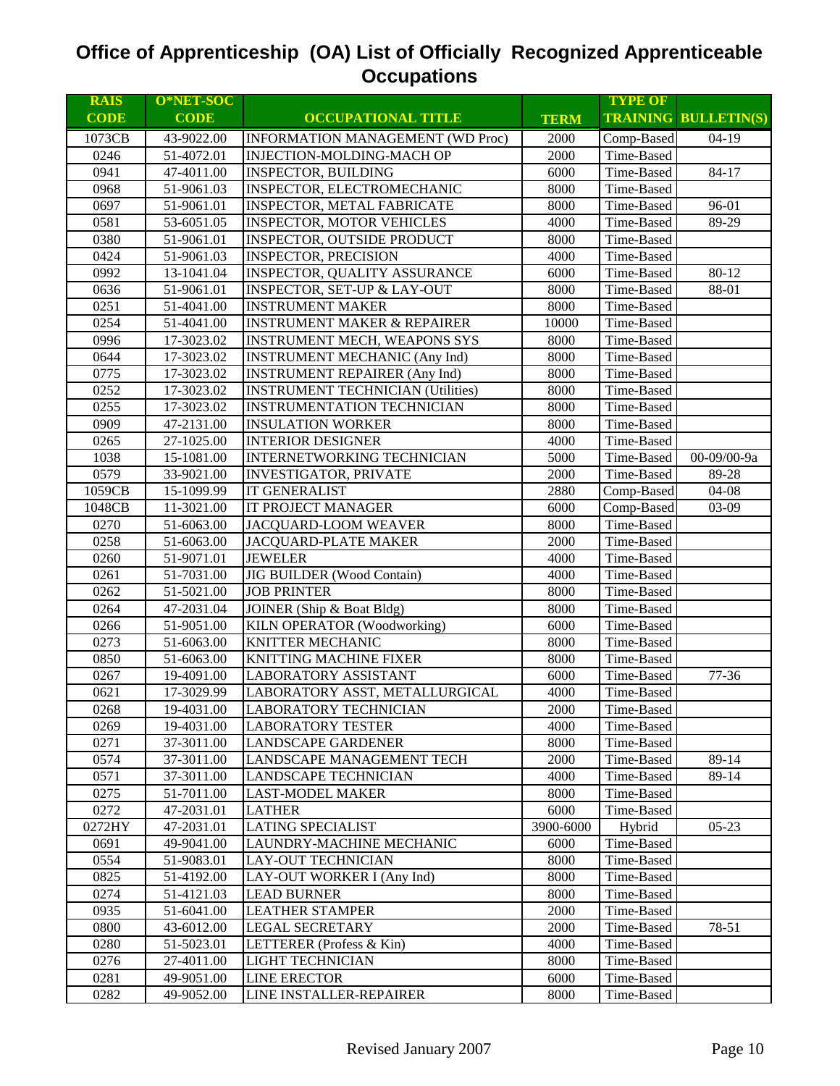| <b>RAIS</b> | O*NET-SOC   |                                          |             | <b>TYPE OF</b> |                             |
|-------------|-------------|------------------------------------------|-------------|----------------|-----------------------------|
| <b>CODE</b> | <b>CODE</b> | <b>OCCUPATIONAL TITLE</b>                | <b>TERM</b> |                | <b>TRAINING BULLETIN(S)</b> |
| 1073CB      | 43-9022.00  | <b>INFORMATION MANAGEMENT (WD Proc)</b>  | 2000        | Comp-Based     | $04-19$                     |
| 0246        | 51-4072.01  | INJECTION-MOLDING-MACH OP                | 2000        | Time-Based     |                             |
| 0941        | 47-4011.00  | <b>INSPECTOR, BUILDING</b>               | 6000        | Time-Based     | 84-17                       |
| 0968        | 51-9061.03  | INSPECTOR, ELECTROMECHANIC               | 8000        | Time-Based     |                             |
| 0697        | 51-9061.01  | <b>INSPECTOR, METAL FABRICATE</b>        | 8000        | Time-Based     | 96-01                       |
| 0581        | 53-6051.05  | <b>INSPECTOR, MOTOR VEHICLES</b>         | 4000        | Time-Based     | 89-29                       |
| 0380        | 51-9061.01  | <b>INSPECTOR, OUTSIDE PRODUCT</b>        | 8000        | Time-Based     |                             |
| 0424        | 51-9061.03  | <b>INSPECTOR, PRECISION</b>              | 4000        | Time-Based     |                             |
| 0992        | 13-1041.04  | INSPECTOR, QUALITY ASSURANCE             | 6000        | Time-Based     | 80-12                       |
| 0636        | 51-9061.01  | <b>INSPECTOR, SET-UP &amp; LAY-OUT</b>   | 8000        | Time-Based     | 88-01                       |
| 0251        | 51-4041.00  | <b>INSTRUMENT MAKER</b>                  | 8000        | Time-Based     |                             |
| 0254        | 51-4041.00  | <b>INSTRUMENT MAKER &amp; REPAIRER</b>   | 10000       | Time-Based     |                             |
| 0996        | 17-3023.02  | <b>INSTRUMENT MECH, WEAPONS SYS</b>      | 8000        | Time-Based     |                             |
| 0644        | 17-3023.02  | <b>INSTRUMENT MECHANIC (Any Ind)</b>     | 8000        | Time-Based     |                             |
| 0775        | 17-3023.02  | <b>INSTRUMENT REPAIRER (Any Ind)</b>     | 8000        | Time-Based     |                             |
| 0252        | 17-3023.02  | <b>INSTRUMENT TECHNICIAN (Utilities)</b> | 8000        | Time-Based     |                             |
| 0255        | 17-3023.02  | <b>INSTRUMENTATION TECHNICIAN</b>        | 8000        | Time-Based     |                             |
| 0909        | 47-2131.00  | <b>INSULATION WORKER</b>                 | 8000        | Time-Based     |                             |
| 0265        | 27-1025.00  | <b>INTERIOR DESIGNER</b>                 | 4000        | Time-Based     |                             |
| 1038        | 15-1081.00  | INTERNETWORKING TECHNICIAN               | 5000        | Time-Based     | 00-09/00-9a                 |
| 0579        | 33-9021.00  | <b>INVESTIGATOR, PRIVATE</b>             | 2000        | Time-Based     | 89-28                       |
| 1059CB      | 15-1099.99  | <b>IT GENERALIST</b>                     | 2880        | Comp-Based     | $04 - 08$                   |
| 1048CB      | 11-3021.00  | <b>IT PROJECT MANAGER</b>                | 6000        | Comp-Based     | 03-09                       |
| 0270        | 51-6063.00  | JACQUARD-LOOM WEAVER                     | 8000        | Time-Based     |                             |
| 0258        | 51-6063.00  | <b>JACQUARD-PLATE MAKER</b>              | 2000        | Time-Based     |                             |
| 0260        | 51-9071.01  | <b>JEWELER</b>                           | 4000        | Time-Based     |                             |
| 0261        | 51-7031.00  | JIG BUILDER (Wood Contain)               | 4000        | Time-Based     |                             |
| 0262        | 51-5021.00  | <b>JOB PRINTER</b>                       | 8000        | Time-Based     |                             |
| 0264        | 47-2031.04  | JOINER (Ship & Boat Bldg)                | 8000        | Time-Based     |                             |
| 0266        | 51-9051.00  | KILN OPERATOR (Woodworking)              | 6000        | Time-Based     |                             |
| 0273        | 51-6063.00  | KNITTER MECHANIC                         | 8000        | Time-Based     |                             |
| 0850        | 51-6063.00  | <b>KNITTING MACHINE FIXER</b>            | 8000        | Time-Based     |                             |
| 0267        | 19-4091.00  | <b>LABORATORY ASSISTANT</b>              | 6000        | Time-Based     | 77-36                       |
| 0621        | 17-3029.99  | LABORATORY ASST, METALLURGICAL           | 4000        | Time-Based     |                             |
| 0268        | 19-4031.00  | <b>LABORATORY TECHNICIAN</b>             | 2000        | Time-Based     |                             |
| 0269        | 19-4031.00  | <b>LABORATORY TESTER</b>                 | 4000        | Time-Based     |                             |
| 0271        | 37-3011.00  | <b>LANDSCAPE GARDENER</b>                | 8000        | Time-Based     |                             |
| 0574        | 37-3011.00  | LANDSCAPE MANAGEMENT TECH                | 2000        | Time-Based     | 89-14                       |
| 0571        | 37-3011.00  | <b>LANDSCAPE TECHNICIAN</b>              | 4000        | Time-Based     | 89-14                       |
| 0275        | 51-7011.00  | <b>LAST-MODEL MAKER</b>                  | 8000        | Time-Based     |                             |
| 0272        | 47-2031.01  | <b>LATHER</b>                            | 6000        | Time-Based     |                             |
| 0272HY      | 47-2031.01  | <b>LATING SPECIALIST</b>                 | 3900-6000   | Hybrid         | $05-23$                     |
| 0691        | 49-9041.00  | LAUNDRY-MACHINE MECHANIC                 | 6000        | Time-Based     |                             |
| 0554        | 51-9083.01  | <b>LAY-OUT TECHNICIAN</b>                | 8000        | Time-Based     |                             |
| 0825        | 51-4192.00  | LAY-OUT WORKER I (Any Ind)               | 8000        | Time-Based     |                             |
| 0274        | 51-4121.03  | <b>LEAD BURNER</b>                       | 8000        | Time-Based     |                             |
| 0935        | 51-6041.00  | <b>LEATHER STAMPER</b>                   | 2000        | Time-Based     |                             |
| 0800        | 43-6012.00  | <b>LEGAL SECRETARY</b>                   | 2000        | Time-Based     | 78-51                       |
| 0280        | 51-5023.01  | LETTERER (Profess & Kin)                 | 4000        | Time-Based     |                             |
| 0276        | 27-4011.00  | LIGHT TECHNICIAN                         | 8000        | Time-Based     |                             |
| 0281        | 49-9051.00  | <b>LINE ERECTOR</b>                      | 6000        | Time-Based     |                             |
| 0282        | 49-9052.00  | LINE INSTALLER-REPAIRER                  | 8000        | Time-Based     |                             |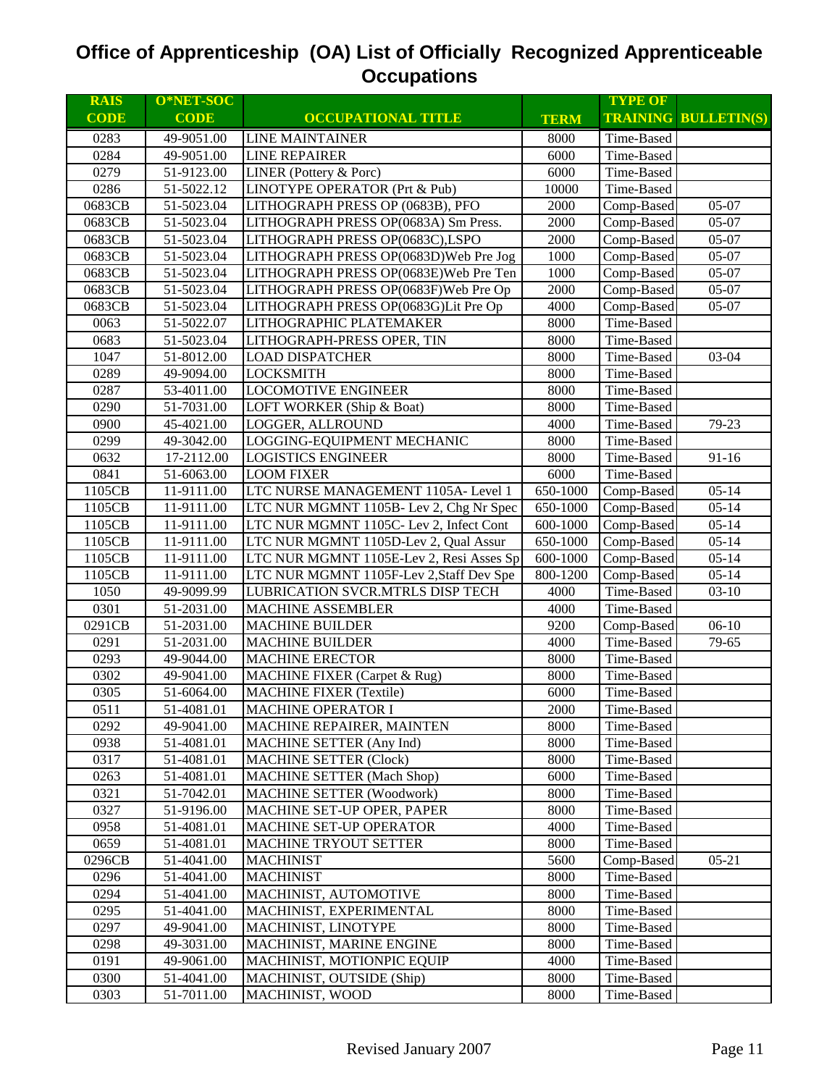| <b>RAIS</b> | O*NET-SOC   |                                          |             | <b>TYPE OF</b> |                             |
|-------------|-------------|------------------------------------------|-------------|----------------|-----------------------------|
| <b>CODE</b> | <b>CODE</b> | <b>OCCUPATIONAL TITLE</b>                | <b>TERM</b> |                | <b>TRAINING BULLETIN(S)</b> |
| 0283        | 49-9051.00  | <b>LINE MAINTAINER</b>                   | 8000        | Time-Based     |                             |
| 0284        | 49-9051.00  | <b>LINE REPAIRER</b>                     | 6000        | Time-Based     |                             |
| 0279        | 51-9123.00  | LINER (Pottery & Porc)                   | 6000        | Time-Based     |                             |
| 0286        | 51-5022.12  | LINOTYPE OPERATOR (Prt & Pub)            | 10000       | Time-Based     |                             |
| 0683CB      | 51-5023.04  | LITHOGRAPH PRESS OP (0683B), PFO         | 2000        | Comp-Based     | 05-07                       |
| 0683CB      | 51-5023.04  | LITHOGRAPH PRESS OP(0683A) Sm Press.     | 2000        | Comp-Based     | 05-07                       |
| 0683CB      | 51-5023.04  | LITHOGRAPH PRESS OP(0683C),LSPO          | 2000        | Comp-Based     | 05-07                       |
| 0683CB      | 51-5023.04  | LITHOGRAPH PRESS OP(0683D) Web Pre Jog   | 1000        | Comp-Based     | 05-07                       |
| 0683CB      | 51-5023.04  | LITHOGRAPH PRESS OP(0683E)Web Pre Ten    | 1000        | Comp-Based     | 05-07                       |
| 0683CB      | 51-5023.04  | LITHOGRAPH PRESS OP(0683F) Web Pre Op    | 2000        | Comp-Based     | 05-07                       |
| 0683CB      | 51-5023.04  | LITHOGRAPH PRESS OP(0683G)Lit Pre Op     | 4000        | Comp-Based     | 05-07                       |
| 0063        | 51-5022.07  | LITHOGRAPHIC PLATEMAKER                  | 8000        | Time-Based     |                             |
| 0683        | 51-5023.04  | LITHOGRAPH-PRESS OPER, TIN               | 8000        | Time-Based     |                             |
| 1047        | 51-8012.00  | <b>LOAD DISPATCHER</b>                   | 8000        | Time-Based     | 03-04                       |
| 0289        | 49-9094.00  | <b>LOCKSMITH</b>                         | 8000        | Time-Based     |                             |
| 0287        | 53-4011.00  | <b>LOCOMOTIVE ENGINEER</b>               | 8000        | Time-Based     |                             |
| 0290        | 51-7031.00  | LOFT WORKER (Ship & Boat)                | 8000        | Time-Based     |                             |
| 0900        | 45-4021.00  | LOGGER, ALLROUND                         | 4000        | Time-Based     | 79-23                       |
| 0299        | 49-3042.00  | LOGGING-EQUIPMENT MECHANIC               | 8000        | Time-Based     |                             |
| 0632        | 17-2112.00  | <b>LOGISTICS ENGINEER</b>                | 8000        | Time-Based     | $91 - 16$                   |
| 0841        | 51-6063.00  | <b>LOOM FIXER</b>                        | 6000        | Time-Based     |                             |
| 1105CB      | 11-9111.00  | LTC NURSE MANAGEMENT 1105A- Level 1      | 650-1000    | Comp-Based     | $05 - 14$                   |
| 1105CB      | 11-9111.00  | LTC NUR MGMNT 1105B- Lev 2, Chg Nr Spec  | 650-1000    | Comp-Based     | $05 - 14$                   |
| 1105CB      | 11-9111.00  | LTC NUR MGMNT 1105C- Lev 2, Infect Cont  | 600-1000    | Comp-Based     | $05 - 14$                   |
| 1105CB      | 11-9111.00  | LTC NUR MGMNT 1105D-Lev 2, Qual Assur    | 650-1000    | Comp-Based     | $05 - 14$                   |
| 1105CB      | 11-9111.00  | LTC NUR MGMNT 1105E-Lev 2, Resi Asses Sp | 600-1000    | Comp-Based     | $05 - 14$                   |
| 1105CB      | 11-9111.00  | LTC NUR MGMNT 1105F-Lev 2, Staff Dev Spe | 800-1200    | Comp-Based     | $05 - 14$                   |
| 1050        | 49-9099.99  | LUBRICATION SVCR.MTRLS DISP TECH         | 4000        | Time-Based     | $03-10$                     |
| 0301        | 51-2031.00  | <b>MACHINE ASSEMBLER</b>                 | 4000        | Time-Based     |                             |
| 0291CB      | 51-2031.00  | <b>MACHINE BUILDER</b>                   | 9200        | Comp-Based     | $06-10$                     |
| 0291        | 51-2031.00  | <b>MACHINE BUILDER</b>                   | 4000        | Time-Based     | 79-65                       |
| 0293        | 49-9044.00  | <b>MACHINE ERECTOR</b>                   | 8000        | Time-Based     |                             |
| 0302        | 49-9041.00  | MACHINE FIXER (Carpet & Rug)             | 8000        | Time-Based     |                             |
| 0305        | 51-6064.00  | <b>MACHINE FIXER (Textile)</b>           | 6000        | Time-Based     |                             |
| 0511        | 51-4081.01  | <b>MACHINE OPERATOR I</b>                | 2000        | Time-Based     |                             |
| 0292        | 49-9041.00  | MACHINE REPAIRER, MAINTEN                | 8000        | Time-Based     |                             |
| 0938        | 51-4081.01  | <b>MACHINE SETTER (Any Ind)</b>          | 8000        | Time-Based     |                             |
| 0317        | 51-4081.01  | <b>MACHINE SETTER (Clock)</b>            | 8000        | Time-Based     |                             |
| 0263        | 51-4081.01  | <b>MACHINE SETTER (Mach Shop)</b>        | 6000        | Time-Based     |                             |
| 0321        | 51-7042.01  | <b>MACHINE SETTER (Woodwork)</b>         | 8000        | Time-Based     |                             |
| 0327        | 51-9196.00  | MACHINE SET-UP OPER, PAPER               | 8000        | Time-Based     |                             |
| 0958        | 51-4081.01  | <b>MACHINE SET-UP OPERATOR</b>           | 4000        | Time-Based     |                             |
| 0659        | 51-4081.01  | <b>MACHINE TRYOUT SETTER</b>             | 8000        | Time-Based     |                             |
| 0296CB      | 51-4041.00  | <b>MACHINIST</b>                         | 5600        | Comp-Based     | $05 - 21$                   |
| 0296        | 51-4041.00  | <b>MACHINIST</b>                         | 8000        | Time-Based     |                             |
| 0294        | 51-4041.00  | MACHINIST, AUTOMOTIVE                    | 8000        | Time-Based     |                             |
| 0295        | 51-4041.00  | MACHINIST, EXPERIMENTAL                  | 8000        | Time-Based     |                             |
| 0297        | 49-9041.00  | MACHINIST, LINOTYPE                      | 8000        | Time-Based     |                             |
| 0298        | 49-3031.00  | MACHINIST, MARINE ENGINE                 | 8000        | Time-Based     |                             |
| 0191        | 49-9061.00  | MACHINIST, MOTIONPIC EQUIP               | 4000        | Time-Based     |                             |
| 0300        | 51-4041.00  | MACHINIST, OUTSIDE (Ship)                | 8000        | Time-Based     |                             |
| 0303        | 51-7011.00  | MACHINIST, WOOD                          | 8000        | Time-Based     |                             |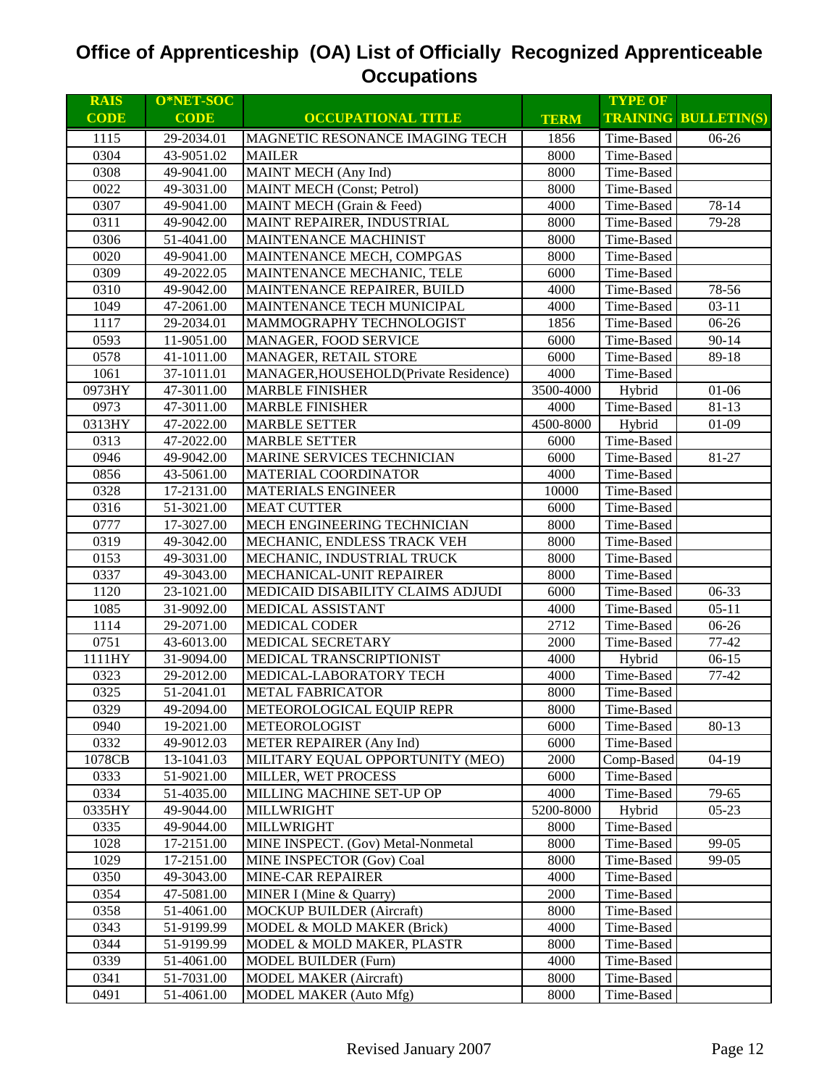| <b>RAIS</b> | O*NET-SOC   |                                       |             | <b>TYPE OF</b> |                             |
|-------------|-------------|---------------------------------------|-------------|----------------|-----------------------------|
| <b>CODE</b> | <b>CODE</b> | <b>OCCUPATIONAL TITLE</b>             | <b>TERM</b> |                | <b>TRAINING BULLETIN(S)</b> |
| 1115        | 29-2034.01  | MAGNETIC RESONANCE IMAGING TECH       | 1856        | Time-Based     | $06-26$                     |
| 0304        | 43-9051.02  | <b>MAILER</b>                         | 8000        | Time-Based     |                             |
| 0308        | 49-9041.00  | MAINT MECH (Any Ind)                  | 8000        | Time-Based     |                             |
| 0022        | 49-3031.00  | <b>MAINT MECH (Const; Petrol)</b>     | 8000        | Time-Based     |                             |
| 0307        | 49-9041.00  | MAINT MECH (Grain & Feed)             | 4000        | Time-Based     | 78-14                       |
| 0311        | 49-9042.00  | MAINT REPAIRER, INDUSTRIAL            | 8000        | Time-Based     | 79-28                       |
| 0306        | 51-4041.00  | MAINTENANCE MACHINIST                 | 8000        | Time-Based     |                             |
| 0020        | 49-9041.00  | MAINTENANCE MECH, COMPGAS             | 8000        | Time-Based     |                             |
| 0309        | 49-2022.05  | MAINTENANCE MECHANIC, TELE            | 6000        | Time-Based     |                             |
| 0310        | 49-9042.00  | MAINTENANCE REPAIRER, BUILD           | 4000        | Time-Based     | 78-56                       |
| 1049        | 47-2061.00  | MAINTENANCE TECH MUNICIPAL            | 4000        | Time-Based     | $03 - 11$                   |
| 1117        | 29-2034.01  | MAMMOGRAPHY TECHNOLOGIST              | 1856        | Time-Based     | 06-26                       |
| 0593        | 11-9051.00  | MANAGER, FOOD SERVICE                 | 6000        | Time-Based     | $90 - 14$                   |
| 0578        | 41-1011.00  | MANAGER, RETAIL STORE                 | 6000        | Time-Based     | 89-18                       |
| 1061        | 37-1011.01  | MANAGER, HOUSEHOLD(Private Residence) | 4000        | Time-Based     |                             |
| 0973HY      | 47-3011.00  | <b>MARBLE FINISHER</b>                | 3500-4000   | Hybrid         | $01 - 06$                   |
| 0973        | 47-3011.00  | <b>MARBLE FINISHER</b>                | 4000        | Time-Based     | $81 - 13$                   |
| 0313HY      | 47-2022.00  | <b>MARBLE SETTER</b>                  | 4500-8000   | Hybrid         | $01-09$                     |
| 0313        | 47-2022.00  | <b>MARBLE SETTER</b>                  | 6000        | Time-Based     |                             |
| 0946        | 49-9042.00  | MARINE SERVICES TECHNICIAN            | 6000        | Time-Based     | 81-27                       |
| 0856        | 43-5061.00  | MATERIAL COORDINATOR                  | 4000        | Time-Based     |                             |
| 0328        | 17-2131.00  | <b>MATERIALS ENGINEER</b>             | 10000       | Time-Based     |                             |
| 0316        | 51-3021.00  | <b>MEAT CUTTER</b>                    | 6000        | Time-Based     |                             |
| 0777        | 17-3027.00  | MECH ENGINEERING TECHNICIAN           | 8000        | Time-Based     |                             |
| 0319        | 49-3042.00  | MECHANIC, ENDLESS TRACK VEH           | 8000        | Time-Based     |                             |
| 0153        | 49-3031.00  | MECHANIC, INDUSTRIAL TRUCK            | 8000        | Time-Based     |                             |
| 0337        | 49-3043.00  | MECHANICAL-UNIT REPAIRER              | 8000        | Time-Based     |                             |
| 1120        | 23-1021.00  | MEDICAID DISABILITY CLAIMS ADJUDI     | 6000        | Time-Based     | 06-33                       |
| 1085        | 31-9092.00  | MEDICAL ASSISTANT                     | 4000        | Time-Based     | $05 - 11$                   |
| 1114        | 29-2071.00  | <b>MEDICAL CODER</b>                  | 2712        | Time-Based     | 06-26                       |
| 0751        | 43-6013.00  | MEDICAL SECRETARY                     | 2000        | Time-Based     | $77 - 42$                   |
| 1111HY      | 31-9094.00  | MEDICAL TRANSCRIPTIONIST              | 4000        | Hybrid         | $06-15$                     |
| 0323        | 29-2012.00  | MEDICAL-LABORATORY TECH               | 4000        | Time-Based     | $77 - 42$                   |
| 0325        | 51-2041.01  | <b>METAL FABRICATOR</b>               | 8000        | Time-Based     |                             |
| 0329        | 49-2094.00  | METEOROLOGICAL EQUIP REPR             | 8000        | Time-Based     |                             |
| 0940        | 19-2021.00  | METEOROLOGIST                         | 6000        | Time-Based     | 80-13                       |
| 0332        | 49-9012.03  | METER REPAIRER (Any Ind)              | 6000        | Time-Based     |                             |
| 1078CB      | 13-1041.03  | MILITARY EQUAL OPPORTUNITY (MEO)      | 2000        | Comp-Based     | $04-19$                     |
| 0333        | 51-9021.00  | MILLER, WET PROCESS                   | 6000        | Time-Based     |                             |
| 0334        | 51-4035.00  | MILLING MACHINE SET-UP OP             | 4000        | Time-Based     | 79-65                       |
| 0335HY      | 49-9044.00  | MILLWRIGHT                            | 5200-8000   | Hybrid         | $05 - 23$                   |
| 0335        | 49-9044.00  | MILLWRIGHT                            | 8000        | Time-Based     |                             |
| 1028        | 17-2151.00  | MINE INSPECT. (Gov) Metal-Nonmetal    | 8000        | Time-Based     | 99-05                       |
| 1029        | 17-2151.00  | MINE INSPECTOR (Gov) Coal             | 8000        | Time-Based     | 99-05                       |
| 0350        | 49-3043.00  | MINE-CAR REPAIRER                     | 4000        | Time-Based     |                             |
| 0354        | 47-5081.00  | MINER I (Mine & Quarry)               | 2000        | Time-Based     |                             |
| 0358        | 51-4061.00  | <b>MOCKUP BUILDER (Aircraft)</b>      | 8000        | Time-Based     |                             |
| 0343        | 51-9199.99  | MODEL & MOLD MAKER (Brick)            | 4000        | Time-Based     |                             |
| 0344        | 51-9199.99  | MODEL & MOLD MAKER, PLASTR            | 8000        | Time-Based     |                             |
| 0339        | 51-4061.00  | MODEL BUILDER (Furn)                  | 4000        | Time-Based     |                             |
| 0341        | 51-7031.00  | <b>MODEL MAKER (Aircraft)</b>         | 8000        | Time-Based     |                             |
| 0491        | 51-4061.00  | MODEL MAKER (Auto Mfg)                | 8000        | Time-Based     |                             |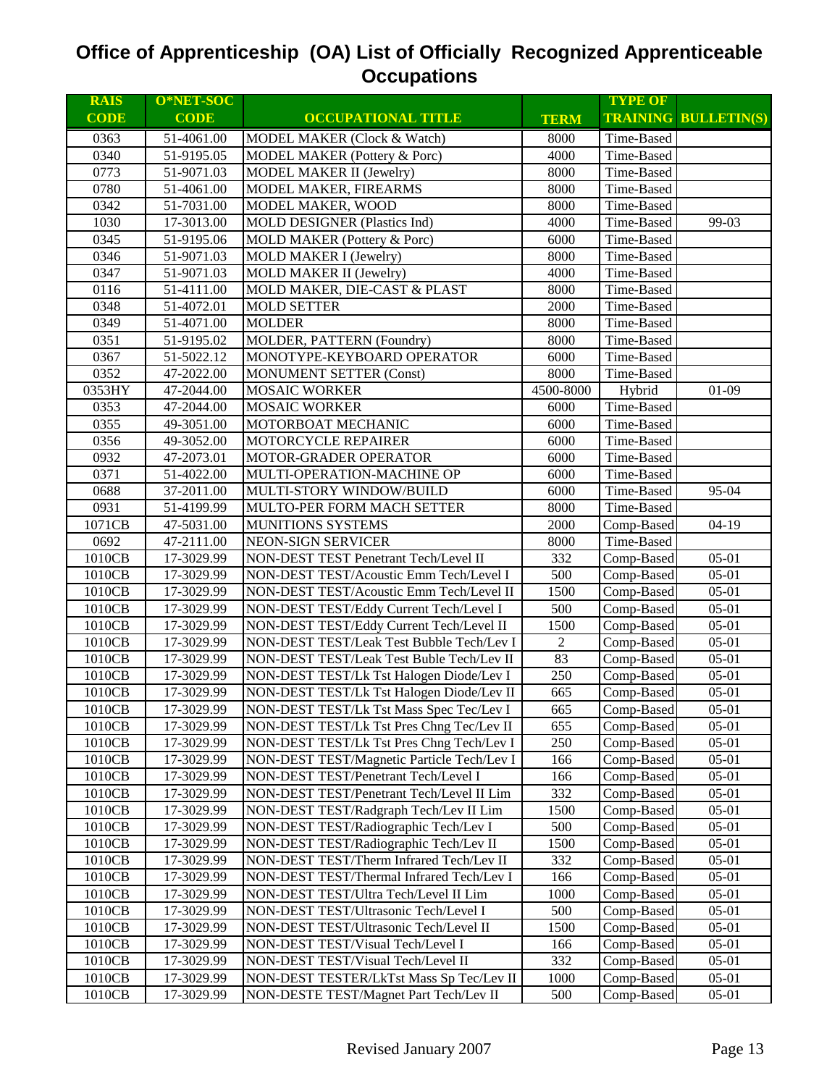| <b>RAIS</b> | O*NET-SOC   |                                            |                | <b>TYPE OF</b> |                             |
|-------------|-------------|--------------------------------------------|----------------|----------------|-----------------------------|
| <b>CODE</b> | <b>CODE</b> | <b>OCCUPATIONAL TITLE</b>                  | <b>TERM</b>    |                | <b>TRAINING BULLETIN(S)</b> |
| 0363        | 51-4061.00  | MODEL MAKER (Clock & Watch)                | 8000           | Time-Based     |                             |
| 0340        | 51-9195.05  | MODEL MAKER (Pottery & Porc)               | 4000           | Time-Based     |                             |
| 0773        | 51-9071.03  | <b>MODEL MAKER II (Jewelry)</b>            | 8000           | Time-Based     |                             |
| 0780        | 51-4061.00  | MODEL MAKER, FIREARMS                      | 8000           | Time-Based     |                             |
| 0342        | 51-7031.00  | MODEL MAKER, WOOD                          | 8000           | Time-Based     |                             |
| 1030        | 17-3013.00  | MOLD DESIGNER (Plastics Ind)               | 4000           | Time-Based     | 99-03                       |
| 0345        | 51-9195.06  | MOLD MAKER (Pottery & Porc)                | 6000           | Time-Based     |                             |
| 0346        | 51-9071.03  | MOLD MAKER I (Jewelry)                     | 8000           | Time-Based     |                             |
| 0347        | 51-9071.03  | <b>MOLD MAKER II (Jewelry)</b>             | 4000           | Time-Based     |                             |
| 0116        | 51-4111.00  | MOLD MAKER, DIE-CAST & PLAST               | 8000           | Time-Based     |                             |
| 0348        | 51-4072.01  | <b>MOLD SETTER</b>                         | 2000           | Time-Based     |                             |
| 0349        | 51-4071.00  | <b>MOLDER</b>                              | 8000           | Time-Based     |                             |
| 0351        | 51-9195.02  | MOLDER, PATTERN (Foundry)                  | 8000           | Time-Based     |                             |
| 0367        | 51-5022.12  | MONOTYPE-KEYBOARD OPERATOR                 | 6000           | Time-Based     |                             |
| 0352        | 47-2022.00  | <b>MONUMENT SETTER (Const)</b>             | 8000           | Time-Based     |                             |
| 0353HY      | 47-2044.00  | <b>MOSAIC WORKER</b>                       | 4500-8000      | Hybrid         | $01-09$                     |
| 0353        | 47-2044.00  | <b>MOSAIC WORKER</b>                       | 6000           | Time-Based     |                             |
| 0355        | 49-3051.00  | MOTORBOAT MECHANIC                         | 6000           | Time-Based     |                             |
| 0356        | 49-3052.00  | MOTORCYCLE REPAIRER                        | 6000           | Time-Based     |                             |
| 0932        | 47-2073.01  | MOTOR-GRADER OPERATOR                      | 6000           | Time-Based     |                             |
| 0371        | 51-4022.00  | MULTI-OPERATION-MACHINE OP                 | 6000           | Time-Based     |                             |
| 0688        | 37-2011.00  | MULTI-STORY WINDOW/BUILD                   | 6000           | Time-Based     | 95-04                       |
| 0931        | 51-4199.99  | MULTO-PER FORM MACH SETTER                 | 8000           | Time-Based     |                             |
| 1071CB      | 47-5031.00  | MUNITIONS SYSTEMS                          | 2000           | Comp-Based     | $04-19$                     |
| 0692        | 47-2111.00  | <b>NEON-SIGN SERVICER</b>                  | 8000           | Time-Based     |                             |
| 1010CB      | 17-3029.99  | NON-DEST TEST Penetrant Tech/Level II      | 332            | Comp-Based     | $05-01$                     |
| 1010CB      | 17-3029.99  | NON-DEST TEST/Acoustic Emm Tech/Level I    | 500            | Comp-Based     | $05-01$                     |
| 1010CB      | 17-3029.99  | NON-DEST TEST/Acoustic Emm Tech/Level II   | 1500           | Comp-Based     | $05-01$                     |
| 1010CB      | 17-3029.99  | NON-DEST TEST/Eddy Current Tech/Level I    | 500            | Comp-Based     | $05 - 01$                   |
| 1010CB      | 17-3029.99  | NON-DEST TEST/Eddy Current Tech/Level II   | 1500           | Comp-Based     | $05 - 01$                   |
| 1010CB      | 17-3029.99  | NON-DEST TEST/Leak Test Bubble Tech/Lev I  | $\overline{2}$ | Comp-Based     | $05-01$                     |
| 1010CB      | 17-3029.99  | NON-DEST TEST/Leak Test Buble Tech/Lev II  | 83             | Comp-Based     | $05 - 01$                   |
| 1010CB      | 17-3029.99  | NON-DEST TEST/Lk Tst Halogen Diode/Lev I   | 250            | Comp-Based     | $05-01$                     |
| 1010CB      | 17-3029.99  | NON-DEST TEST/Lk Tst Halogen Diode/Lev II  | 665            | Comp-Based     | $05-01$                     |
| 1010CB      | 17-3029.99  | NON-DEST TEST/Lk Tst Mass Spec Tec/Lev I   | 665            | Comp-Based     | $05-01$                     |
| 1010CB      | 17-3029.99  | NON-DEST TEST/Lk Tst Pres Chng Tec/Lev II  | 655            | Comp-Based     | $05-01$                     |
| 1010CB      | 17-3029.99  | NON-DEST TEST/Lk Tst Pres Chng Tech/Lev I  | 250            | Comp-Based     | $05 - 01$                   |
| 1010CB      | 17-3029.99  | NON-DEST TEST/Magnetic Particle Tech/Lev I | 166            | Comp-Based     | $05-01$                     |
| 1010CB      | 17-3029.99  | NON-DEST TEST/Penetrant Tech/Level I       | 166            | Comp-Based     | $05-01$                     |
| 1010CB      | 17-3029.99  | NON-DEST TEST/Penetrant Tech/Level II Lim  | 332            | Comp-Based     | $05-01$                     |
| 1010CB      | 17-3029.99  | NON-DEST TEST/Radgraph Tech/Lev II Lim     | 1500           | Comp-Based     | $05-01$                     |
| 1010CB      | 17-3029.99  | NON-DEST TEST/Radiographic Tech/Lev I      | 500            | Comp-Based     | $05-01$                     |
| 1010CB      | 17-3029.99  | NON-DEST TEST/Radiographic Tech/Lev II     | 1500           | Comp-Based     | $05 - 01$                   |
| 1010CB      | 17-3029.99  | NON-DEST TEST/Therm Infrared Tech/Lev II   | 332            | Comp-Based     | $05-01$                     |
| 1010CB      | 17-3029.99  | NON-DEST TEST/Thermal Infrared Tech/Lev I  | 166            | Comp-Based     | $05-01$                     |
| 1010CB      | 17-3029.99  | NON-DEST TEST/Ultra Tech/Level II Lim      | 1000           | Comp-Based     | $05-01$                     |
| 1010CB      | 17-3029.99  | NON-DEST TEST/Ultrasonic Tech/Level I      | 500            | Comp-Based     | $05-01$                     |
| 1010CB      | 17-3029.99  | NON-DEST TEST/Ultrasonic Tech/Level II     | 1500           | Comp-Based     | $05-01$                     |
| 1010CB      | 17-3029.99  | NON-DEST TEST/Visual Tech/Level I          | 166            | Comp-Based     | $05-01$                     |
| 1010CB      | 17-3029.99  | NON-DEST TEST/Visual Tech/Level II         | 332            | Comp-Based     | $05-01$                     |
| 1010CB      | 17-3029.99  | NON-DEST TESTER/LkTst Mass Sp Tec/Lev II   | 1000           | Comp-Based     | $05-01$                     |
| 1010CB      | 17-3029.99  | NON-DESTE TEST/Magnet Part Tech/Lev II     | 500            | Comp-Based     | 05-01                       |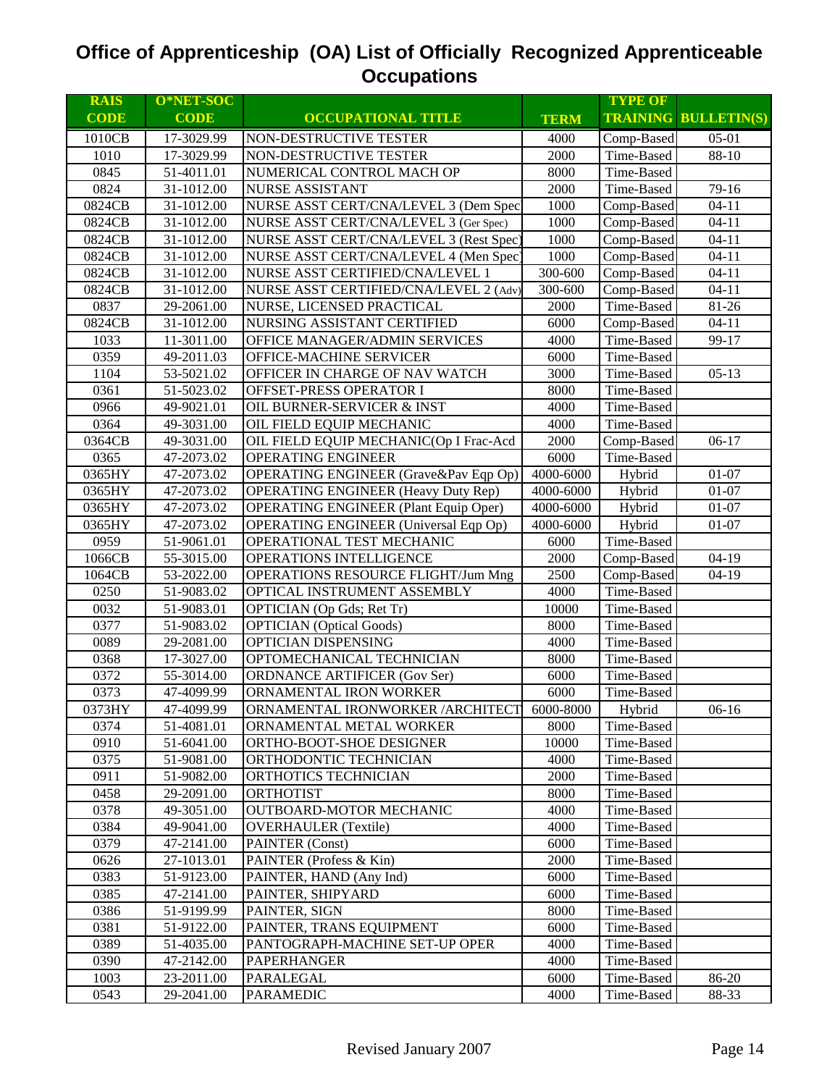| <b>RAIS</b>  | O*NET-SOC                |                                              |              | <b>TYPE OF</b>           |                             |
|--------------|--------------------------|----------------------------------------------|--------------|--------------------------|-----------------------------|
| <b>CODE</b>  | <b>CODE</b>              | <b>OCCUPATIONAL TITLE</b>                    | <b>TERM</b>  |                          | <b>TRAINING BULLETIN(S)</b> |
| 1010CB       | 17-3029.99               | NON-DESTRUCTIVE TESTER                       | 4000         | Comp-Based               | $05-01$                     |
| 1010         | 17-3029.99               | NON-DESTRUCTIVE TESTER                       | 2000         | Time-Based               | 88-10                       |
| 0845         | 51-4011.01               | NUMERICAL CONTROL MACH OP                    | 8000         | Time-Based               |                             |
| 0824         | 31-1012.00               | <b>NURSE ASSISTANT</b>                       | 2000         | Time-Based               | 79-16                       |
| 0824CB       | 31-1012.00               | NURSE ASST CERT/CNA/LEVEL 3 (Dem Spec        | 1000         | Comp-Based               | $04 - 11$                   |
| 0824CB       | 31-1012.00               | NURSE ASST CERT/CNA/LEVEL 3 (Ger Spec)       | 1000         | Comp-Based               | $04 - 11$                   |
| 0824CB       | 31-1012.00               | NURSE ASST CERT/CNA/LEVEL 3 (Rest Spec)      | 1000         | Comp-Based               | $04 - 11$                   |
| 0824CB       | 31-1012.00               | NURSE ASST CERT/CNA/LEVEL 4 (Men Spec)       | 1000         | Comp-Based               | $04 - 11$                   |
| 0824CB       | 31-1012.00               | NURSE ASST CERTIFIED/CNA/LEVEL 1             | 300-600      | Comp-Based               | $04 - 11$                   |
| 0824CB       | 31-1012.00               | NURSE ASST CERTIFIED/CNA/LEVEL 2 (Adv)       | 300-600      | Comp-Based               | $04 - 11$                   |
| 0837         | 29-2061.00               | NURSE, LICENSED PRACTICAL                    | 2000         | Time-Based               | 81-26                       |
| 0824CB       | 31-1012.00               | NURSING ASSISTANT CERTIFIED                  | 6000         | Comp-Based               | $04 - 11$                   |
| 1033         | 11-3011.00               | OFFICE MANAGER/ADMIN SERVICES                | 4000         | Time-Based               | 99-17                       |
| 0359         | 49-2011.03               | OFFICE-MACHINE SERVICER                      | 6000         | Time-Based               |                             |
| 1104         | 53-5021.02               | OFFICER IN CHARGE OF NAV WATCH               | 3000         | Time-Based               | $05-13$                     |
| 0361         | 51-5023.02               | OFFSET-PRESS OPERATOR I                      | 8000         | Time-Based               |                             |
| 0966         | 49-9021.01               | OIL BURNER-SERVICER & INST                   | 4000         | Time-Based               |                             |
| 0364         | 49-3031.00               | OIL FIELD EQUIP MECHANIC                     | 4000         | Time-Based               |                             |
| 0364CB       | 49-3031.00               | OIL FIELD EQUIP MECHANIC(Op I Frac-Acd       | 2000         | Comp-Based               | $06-17$                     |
| 0365         | 47-2073.02               | <b>OPERATING ENGINEER</b>                    | 6000         | Time-Based               |                             |
| 0365HY       | 47-2073.02               | OPERATING ENGINEER (Grave&Pav Eqp Op)        | 4000-6000    | Hybrid                   | $01 - 07$                   |
| 0365HY       | 47-2073.02               | <b>OPERATING ENGINEER (Heavy Duty Rep)</b>   | 4000-6000    | Hybrid                   | $01 - 07$                   |
| 0365HY       | 47-2073.02               | <b>OPERATING ENGINEER (Plant Equip Oper)</b> | 4000-6000    | Hybrid                   | $01 - 07$                   |
| 0365HY       | 47-2073.02               | <b>OPERATING ENGINEER</b> (Universal Eqp Op) | 4000-6000    | Hybrid                   | $01 - 07$                   |
| 0959         | 51-9061.01               | OPERATIONAL TEST MECHANIC                    | 6000         | Time-Based               |                             |
| 1066CB       | 55-3015.00               | OPERATIONS INTELLIGENCE                      | 2000         | Comp-Based               | $04-19$                     |
| 1064CB       | 53-2022.00               | <b>OPERATIONS RESOURCE FLIGHT/Jum Mng</b>    | 2500         | Comp-Based               | $04-19$                     |
| 0250         | 51-9083.02               | OPTICAL INSTRUMENT ASSEMBLY                  | 4000         | Time-Based               |                             |
| 0032         | 51-9083.01               | OPTICIAN (Op Gds; Ret Tr)                    | 10000        | Time-Based               |                             |
| 0377         | 51-9083.02               | <b>OPTICIAN</b> (Optical Goods)              | 8000         | Time-Based               |                             |
| 0089         | 29-2081.00               | OPTICIAN DISPENSING                          | 4000         | Time-Based               |                             |
| 0368         | 17-3027.00               | OPTOMECHANICAL TECHNICIAN                    | 8000         | Time-Based               |                             |
| 0372         | 55-3014.00               | ORDNANCE ARTIFICER (Gov Ser)                 | 6000         | Time-Based               |                             |
| 0373         | 47-4099.99               | ORNAMENTAL IRON WORKER                       | 6000         | Time-Based               |                             |
| 0373HY       | 47-4099.99               | ORNAMENTAL IRONWORKER / ARCHITECT 6000-8000  |              | Hybrid                   | $06-16$                     |
| 0374         | 51-4081.01               | ORNAMENTAL METAL WORKER                      | 8000         | Time-Based               |                             |
| 0910         | 51-6041.00<br>51-9081.00 | ORTHO-BOOT-SHOE DESIGNER                     | 10000        | Time-Based               |                             |
| 0375         |                          | ORTHODONTIC TECHNICIAN                       | 4000         | Time-Based               |                             |
| 0911<br>0458 | 51-9082.00<br>29-2091.00 | ORTHOTICS TECHNICIAN<br><b>ORTHOTIST</b>     | 2000<br>8000 | Time-Based<br>Time-Based |                             |
| 0378         | 49-3051.00               | OUTBOARD-MOTOR MECHANIC                      | 4000         | Time-Based               |                             |
| 0384         | 49-9041.00               | <b>OVERHAULER</b> (Textile)                  | 4000         | Time-Based               |                             |
| 0379         | 47-2141.00               | PAINTER (Const)                              | 6000         | Time-Based               |                             |
| 0626         | 27-1013.01               | PAINTER (Profess & Kin)                      | 2000         | Time-Based               |                             |
| 0383         | 51-9123.00               | PAINTER, HAND (Any Ind)                      | 6000         | Time-Based               |                             |
| 0385         | 47-2141.00               | PAINTER, SHIPYARD                            | 6000         | Time-Based               |                             |
| 0386         | 51-9199.99               | PAINTER, SIGN                                | 8000         | Time-Based               |                             |
| 0381         | 51-9122.00               | PAINTER, TRANS EQUIPMENT                     | 6000         | Time-Based               |                             |
| 0389         | 51-4035.00               | PANTOGRAPH-MACHINE SET-UP OPER               | 4000         | Time-Based               |                             |
| 0390         | 47-2142.00               | <b>PAPERHANGER</b>                           | 4000         | Time-Based               |                             |
| 1003         | 23-2011.00               | <b>PARALEGAL</b>                             | 6000         | Time-Based               | 86-20                       |
| 0543         | 29-2041.00               | <b>PARAMEDIC</b>                             | 4000         | Time-Based               | 88-33                       |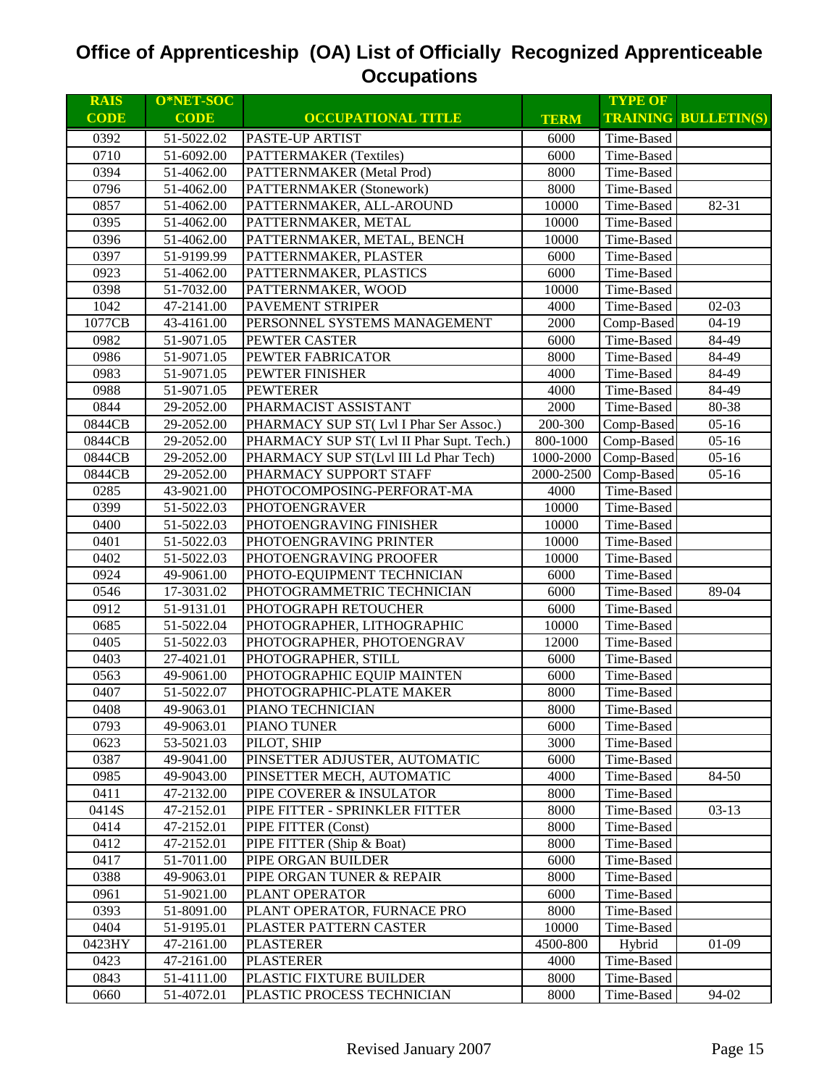| <b>RAIS</b>  | O*NET-SOC                |                                                       |               | <b>TYPE OF</b>           |                             |
|--------------|--------------------------|-------------------------------------------------------|---------------|--------------------------|-----------------------------|
| <b>CODE</b>  | <b>CODE</b>              | <b>OCCUPATIONAL TITLE</b>                             | <b>TERM</b>   |                          | <b>TRAINING BULLETIN(S)</b> |
| 0392         | 51-5022.02               | <b>PASTE-UP ARTIST</b>                                | 6000          | Time-Based               |                             |
| 0710         | 51-6092.00               | <b>PATTERMAKER</b> (Textiles)                         | 6000          | Time-Based               |                             |
| 0394         | 51-4062.00               | PATTERNMAKER (Metal Prod)                             | 8000          | Time-Based               |                             |
| 0796         | 51-4062.00               | PATTERNMAKER (Stonework)                              | 8000          | Time-Based               |                             |
| 0857         | 51-4062.00               | PATTERNMAKER, ALL-AROUND                              | 10000         | Time-Based               | 82-31                       |
| 0395         | 51-4062.00               | PATTERNMAKER, METAL                                   | 10000         | Time-Based               |                             |
| 0396         | 51-4062.00               | PATTERNMAKER, METAL, BENCH                            | 10000         | Time-Based               |                             |
| 0397         | 51-9199.99               | PATTERNMAKER, PLASTER                                 | 6000          | Time-Based               |                             |
| 0923         | 51-4062.00               | PATTERNMAKER, PLASTICS                                | 6000          | Time-Based               |                             |
| 0398         | 51-7032.00               | PATTERNMAKER, WOOD                                    | 10000         | Time-Based               |                             |
| 1042         | 47-2141.00               | PAVEMENT STRIPER                                      | 4000          | Time-Based               | $02-03$                     |
| 1077CB       | 43-4161.00               | PERSONNEL SYSTEMS MANAGEMENT                          | 2000          | Comp-Based               | $04-19$                     |
| 0982         | 51-9071.05               | PEWTER CASTER                                         | 6000          | Time-Based               | 84-49                       |
| 0986         | 51-9071.05               | PEWTER FABRICATOR                                     | 8000          | Time-Based               | 84-49                       |
| 0983         | 51-9071.05               | PEWTER FINISHER                                       | 4000          | Time-Based               | 84-49                       |
| 0988         | 51-9071.05               | <b>PEWTERER</b>                                       | 4000          | Time-Based               | 84-49                       |
| 0844         | 29-2052.00               | PHARMACIST ASSISTANT                                  | 2000          | Time-Based               | 80-38                       |
| 0844CB       | 29-2052.00               | PHARMACY SUP ST(Lvl I Phar Ser Assoc.)                | 200-300       | Comp-Based               | $05-16$                     |
| 0844CB       | 29-2052.00               | PHARMACY SUP ST(Lvl II Phar Supt. Tech.)              | 800-1000      | Comp-Based               | $05-16$                     |
| 0844CB       | 29-2052.00               | PHARMACY SUP ST(Lvl III Ld Phar Tech)                 | 1000-2000     | Comp-Based               | $05-16$                     |
| 0844CB       | 29-2052.00               | PHARMACY SUPPORT STAFF                                | 2000-2500     | Comp-Based               | $05-16$                     |
| 0285         | 43-9021.00               | PHOTOCOMPOSING-PERFORAT-MA                            | 4000          | Time-Based               |                             |
| 0399         | 51-5022.03               | <b>PHOTOENGRAVER</b>                                  | 10000         | Time-Based               |                             |
| 0400         | 51-5022.03               | PHOTOENGRAVING FINISHER                               | 10000         | Time-Based               |                             |
| 0401         | 51-5022.03               | PHOTOENGRAVING PRINTER                                | 10000         | Time-Based               |                             |
| 0402         | 51-5022.03               | PHOTOENGRAVING PROOFER                                | 10000         | Time-Based               |                             |
| 0924         | 49-9061.00               | PHOTO-EQUIPMENT TECHNICIAN                            | 6000          | Time-Based               |                             |
| 0546         | 17-3031.02               | PHOTOGRAMMETRIC TECHNICIAN                            | 6000          | Time-Based               | 89-04                       |
| 0912         | 51-9131.01               | PHOTOGRAPH RETOUCHER                                  | 6000          | Time-Based               |                             |
| 0685         | 51-5022.04               | PHOTOGRAPHER, LITHOGRAPHIC                            | 10000         | Time-Based               |                             |
| 0405         | 51-5022.03               | PHOTOGRAPHER, PHOTOENGRAV                             | 12000         | Time-Based               |                             |
| 0403         | 27-4021.01               | PHOTOGRAPHER, STILL                                   | 6000          | Time-Based               |                             |
| 0563         | 49-9061.00               | PHOTOGRAPHIC EQUIP MAINTEN                            | 6000          | Time-Based               |                             |
| 0407         | 51-5022.07               | PHOTOGRAPHIC-PLATE MAKER                              | 8000          | Time-Based               |                             |
| 0408         | 49-9063.01               | PIANO TECHNICIAN                                      | 8000          | Time-Based               |                             |
| 0793         | 49-9063.01               | PIANO TUNER                                           | 6000          | Time-Based               |                             |
| 0623         | 53-5021.03               | PILOT, SHIP                                           | 3000          | Time-Based               |                             |
| 0387         | 49-9041.00               | PINSETTER ADJUSTER, AUTOMATIC                         | 6000          | Time-Based               |                             |
| 0985         | 49-9043.00               | PINSETTER MECH, AUTOMATIC                             | 4000          | Time-Based               | 84-50                       |
| 0411         | 47-2132.00               | PIPE COVERER & INSULATOR                              | 8000          | Time-Based               |                             |
| 0414S        | 47-2152.01               | PIPE FITTER - SPRINKLER FITTER                        | 8000          | Time-Based               | $03-13$                     |
| 0414         | 47-2152.01               | PIPE FITTER (Const)                                   | 8000          | Time-Based               |                             |
| 0412         | 47-2152.01               | PIPE FITTER (Ship & Boat)                             | 8000          | Time-Based               |                             |
| 0417         | 51-7011.00               | PIPE ORGAN BUILDER                                    | 6000          | Time-Based               |                             |
| 0388         | 49-9063.01               | PIPE ORGAN TUNER & REPAIR                             | 8000          | Time-Based               |                             |
| 0961         | 51-9021.00               | PLANT OPERATOR                                        | 6000          | Time-Based               |                             |
| 0393<br>0404 | 51-8091.00               | PLANT OPERATOR, FURNACE PRO<br>PLASTER PATTERN CASTER | 8000<br>10000 | Time-Based<br>Time-Based |                             |
| 0423HY       | 51-9195.01<br>47-2161.00 | <b>PLASTERER</b>                                      | 4500-800      | Hybrid                   | $01-09$                     |
| 0423         | 47-2161.00               | <b>PLASTERER</b>                                      | 4000          | Time-Based               |                             |
| 0843         | 51-4111.00               | PLASTIC FIXTURE BUILDER                               | 8000          | Time-Based               |                             |
| 0660         | 51-4072.01               | PLASTIC PROCESS TECHNICIAN                            | 8000          | Time-Based               | 94-02                       |
|              |                          |                                                       |               |                          |                             |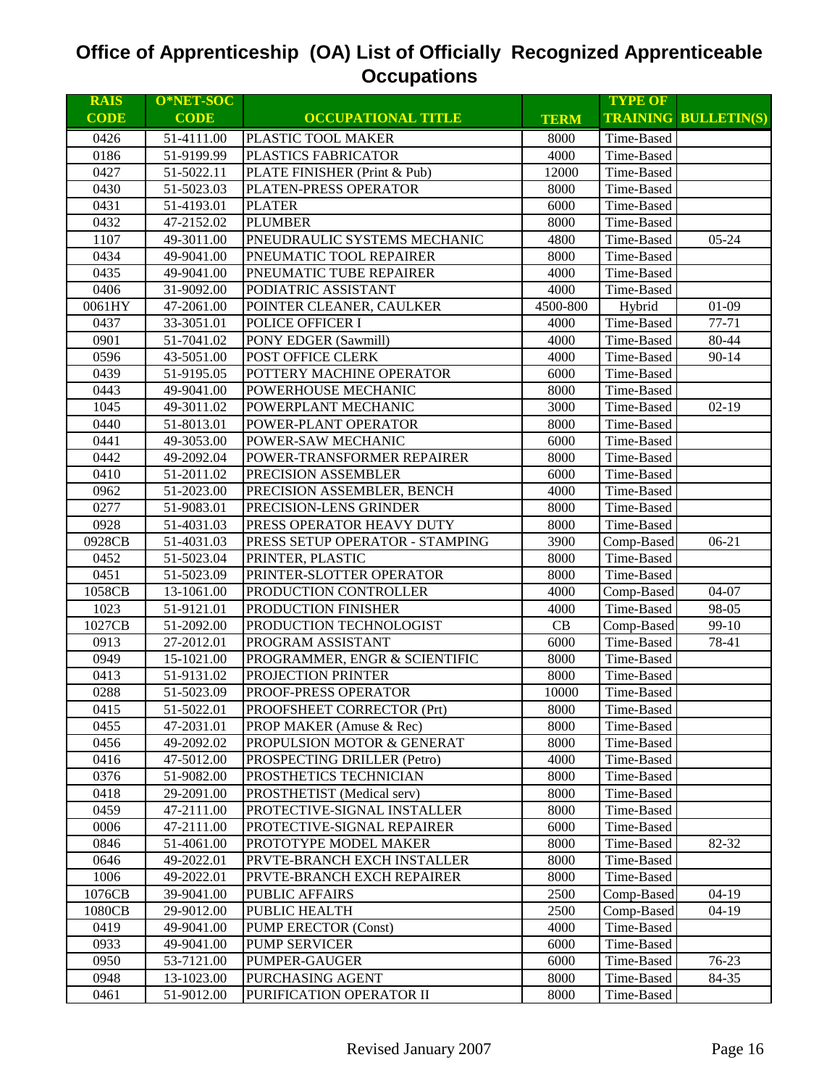| <b>RAIS</b> | O*NET-SOC   |                                 |             | <b>TYPE OF</b> |                             |
|-------------|-------------|---------------------------------|-------------|----------------|-----------------------------|
| <b>CODE</b> | <b>CODE</b> | <b>OCCUPATIONAL TITLE</b>       | <b>TERM</b> |                | <b>TRAINING BULLETIN(S)</b> |
| 0426        | 51-4111.00  | PLASTIC TOOL MAKER              | 8000        | Time-Based     |                             |
| 0186        | 51-9199.99  | PLASTICS FABRICATOR             | 4000        | Time-Based     |                             |
| 0427        | 51-5022.11  | PLATE FINISHER (Print & Pub)    | 12000       | Time-Based     |                             |
| 0430        | 51-5023.03  | PLATEN-PRESS OPERATOR           | 8000        | Time-Based     |                             |
| 0431        | 51-4193.01  | <b>PLATER</b>                   | 6000        | Time-Based     |                             |
| 0432        | 47-2152.02  | <b>PLUMBER</b>                  | 8000        | Time-Based     |                             |
| 1107        | 49-3011.00  | PNEUDRAULIC SYSTEMS MECHANIC    | 4800        | Time-Based     | $05 - 24$                   |
| 0434        | 49-9041.00  | PNEUMATIC TOOL REPAIRER         | 8000        | Time-Based     |                             |
| 0435        | 49-9041.00  | PNEUMATIC TUBE REPAIRER         | 4000        | Time-Based     |                             |
| 0406        | 31-9092.00  | PODIATRIC ASSISTANT             | 4000        | Time-Based     |                             |
| 0061HY      | 47-2061.00  | POINTER CLEANER, CAULKER        | 4500-800    | Hybrid         | $01-09$                     |
| 0437        | 33-3051.01  | POLICE OFFICER I                | 4000        | Time-Based     | $77 - 71$                   |
| 0901        | 51-7041.02  | PONY EDGER (Sawmill)            | 4000        | Time-Based     | 80-44                       |
| 0596        | 43-5051.00  | POST OFFICE CLERK               | 4000        | Time-Based     | $90 - 14$                   |
| 0439        | 51-9195.05  | POTTERY MACHINE OPERATOR        | 6000        | Time-Based     |                             |
| 0443        | 49-9041.00  | POWERHOUSE MECHANIC             | 8000        | Time-Based     |                             |
| 1045        | 49-3011.02  | POWERPLANT MECHANIC             | 3000        | Time-Based     | $02-19$                     |
| 0440        | 51-8013.01  | POWER-PLANT OPERATOR            | 8000        | Time-Based     |                             |
| 0441        | 49-3053.00  | POWER-SAW MECHANIC              | 6000        | Time-Based     |                             |
| 0442        | 49-2092.04  | POWER-TRANSFORMER REPAIRER      | 8000        | Time-Based     |                             |
| 0410        | 51-2011.02  | PRECISION ASSEMBLER             | 6000        | Time-Based     |                             |
| 0962        | 51-2023.00  | PRECISION ASSEMBLER, BENCH      | 4000        | Time-Based     |                             |
| 0277        | 51-9083.01  | PRECISION-LENS GRINDER          | 8000        | Time-Based     |                             |
| 0928        | 51-4031.03  | PRESS OPERATOR HEAVY DUTY       | 8000        | Time-Based     |                             |
| 0928CB      | 51-4031.03  | PRESS SETUP OPERATOR - STAMPING | 3900        | Comp-Based     | $06 - 21$                   |
| 0452        | 51-5023.04  | PRINTER, PLASTIC                | 8000        | Time-Based     |                             |
| 0451        | 51-5023.09  | PRINTER-SLOTTER OPERATOR        | 8000        | Time-Based     |                             |
| 1058CB      | 13-1061.00  | PRODUCTION CONTROLLER           | 4000        | Comp-Based     | 04-07                       |
| 1023        | 51-9121.01  | PRODUCTION FINISHER             | 4000        | Time-Based     | 98-05                       |
| 1027CB      | 51-2092.00  | PRODUCTION TECHNOLOGIST         | CB          | Comp-Based     | 99-10                       |
| 0913        | 27-2012.01  | PROGRAM ASSISTANT               | 6000        | Time-Based     | 78-41                       |
| 0949        | 15-1021.00  | PROGRAMMER, ENGR & SCIENTIFIC   | 8000        | Time-Based     |                             |
| 0413        | 51-9131.02  | PROJECTION PRINTER              | 8000        | Time-Based     |                             |
| 0288        | 51-5023.09  | PROOF-PRESS OPERATOR            | 10000       | Time-Based     |                             |
| 0415        | 51-5022.01  | PROOFSHEET CORRECTOR (Prt)      | 8000        | Time-Based     |                             |
| 0455        | 47-2031.01  | PROP MAKER (Amuse & Rec)        | 8000        | Time-Based     |                             |
| 0456        | 49-2092.02  | PROPULSION MOTOR & GENERAT      | 8000        | Time-Based     |                             |
| 0416        | 47-5012.00  | PROSPECTING DRILLER (Petro)     | 4000        | Time-Based     |                             |
| 0376        | 51-9082.00  | PROSTHETICS TECHNICIAN          | 8000        | Time-Based     |                             |
| 0418        | 29-2091.00  | PROSTHETIST (Medical serv)      | 8000        | Time-Based     |                             |
| 0459        | 47-2111.00  | PROTECTIVE-SIGNAL INSTALLER     | 8000        | Time-Based     |                             |
| 0006        | 47-2111.00  | PROTECTIVE-SIGNAL REPAIRER      | 6000        | Time-Based     |                             |
| 0846        | 51-4061.00  | PROTOTYPE MODEL MAKER           | 8000        | Time-Based     | 82-32                       |
| 0646        | 49-2022.01  | PRVTE-BRANCH EXCH INSTALLER     | 8000        | Time-Based     |                             |
| 1006        | 49-2022.01  | PRVTE-BRANCH EXCH REPAIRER      | 8000        | Time-Based     |                             |
| 1076CB      | 39-9041.00  | <b>PUBLIC AFFAIRS</b>           | 2500        | Comp-Based     | $04-19$                     |
| 1080CB      | 29-9012.00  | PUBLIC HEALTH                   | 2500        | Comp-Based     | $04-19$                     |
| 0419        | 49-9041.00  | <b>PUMP ERECTOR (Const)</b>     | 4000        | Time-Based     |                             |
| 0933        | 49-9041.00  | <b>PUMP SERVICER</b>            | 6000        | Time-Based     |                             |
| 0950        | 53-7121.00  | PUMPER-GAUGER                   | 6000        | Time-Based     | 76-23                       |
| 0948        | 13-1023.00  | PURCHASING AGENT                | 8000        | Time-Based     | 84-35                       |
| 0461        | 51-9012.00  | PURIFICATION OPERATOR II        | 8000        | Time-Based     |                             |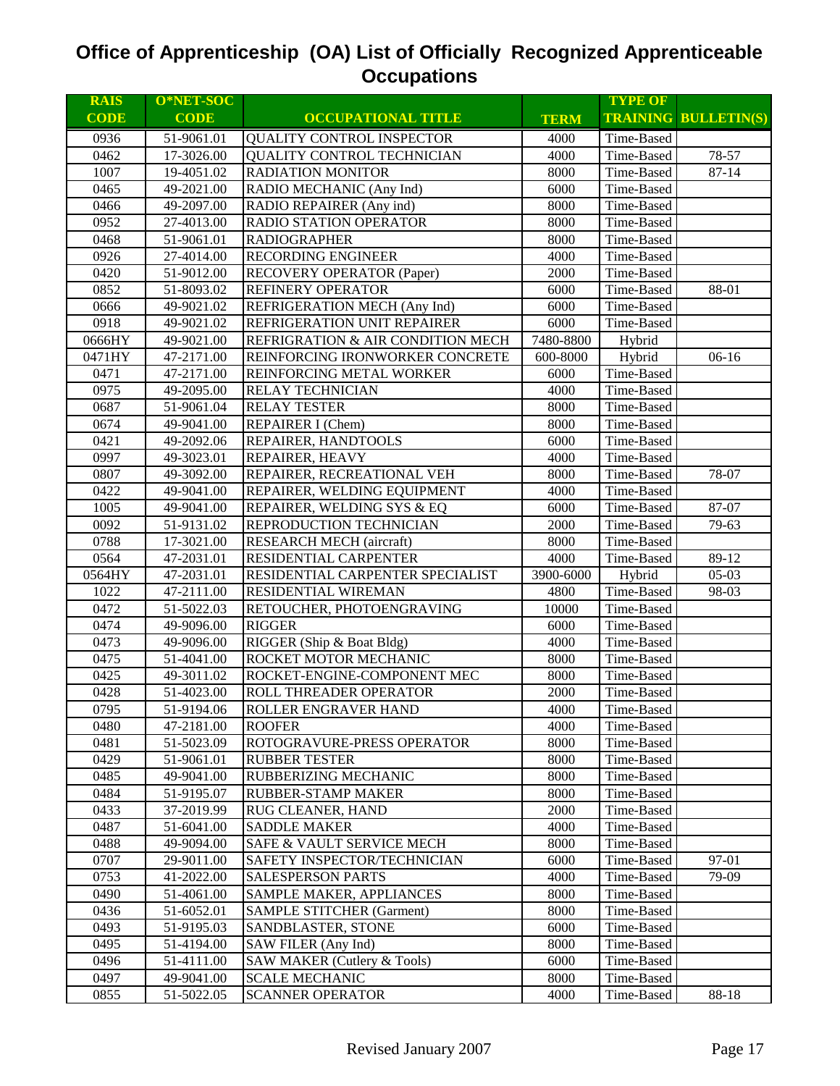| <b>RAIS</b> | O*NET-SOC               |                                      |             | <b>TYPE OF</b> |                             |
|-------------|-------------------------|--------------------------------------|-------------|----------------|-----------------------------|
| <b>CODE</b> | <b>CODE</b>             | <b>OCCUPATIONAL TITLE</b>            | <b>TERM</b> |                | <b>TRAINING BULLETIN(S)</b> |
| 0936        | 51-9061.01              | QUALITY CONTROL INSPECTOR            | 4000        | Time-Based     |                             |
| 0462        | 17-3026.00              | QUALITY CONTROL TECHNICIAN           | 4000        | Time-Based     | 78-57                       |
| 1007        | 19-4051.02              | <b>RADIATION MONITOR</b>             | 8000        | Time-Based     | $87 - 14$                   |
| 0465        | 49-2021.00              | RADIO MECHANIC (Any Ind)             | 6000        | Time-Based     |                             |
| 0466        | 49-2097.00              | RADIO REPAIRER (Any ind)             | 8000        | Time-Based     |                             |
| 0952        | 27-4013.00              | RADIO STATION OPERATOR               | 8000        | Time-Based     |                             |
| 0468        | 51-9061.01              | <b>RADIOGRAPHER</b>                  | 8000        | Time-Based     |                             |
| 0926        | 27-4014.00              | RECORDING ENGINEER                   | 4000        | Time-Based     |                             |
| 0420        | 51-9012.00              | RECOVERY OPERATOR (Paper)            | 2000        | Time-Based     |                             |
| 0852        | 51-8093.02              | REFINERY OPERATOR                    | 6000        | Time-Based     | 88-01                       |
| 0666        | 49-9021.02              | REFRIGERATION MECH (Any Ind)         | 6000        | Time-Based     |                             |
| 0918        | 49-9021.02              | REFRIGERATION UNIT REPAIRER          | 6000        | Time-Based     |                             |
| 0666HY      | 49-9021.00              | REFRIGRATION & AIR CONDITION MECH    | 7480-8800   | Hybrid         |                             |
| 0471HY      | 47-2171.00              | REINFORCING IRONWORKER CONCRETE      | 600-8000    | Hybrid         | $06-16$                     |
| 0471        | 47-2171.00              | REINFORCING METAL WORKER             | 6000        | Time-Based     |                             |
| 0975        | 49-2095.00              | RELAY TECHNICIAN                     | 4000        | Time-Based     |                             |
| 0687        | 51-9061.04              | <b>RELAY TESTER</b>                  | 8000        | Time-Based     |                             |
| 0674        | 49-9041.00              | REPAIRER I (Chem)                    | 8000        | Time-Based     |                             |
| 0421        | 49-2092.06              | REPAIRER, HANDTOOLS                  | 6000        | Time-Based     |                             |
| 0997        | 49-3023.01              | REPAIRER, HEAVY                      | 4000        | Time-Based     |                             |
| 0807        | 49-3092.00              | REPAIRER, RECREATIONAL VEH           | 8000        | Time-Based     | 78-07                       |
| 0422        | 49-9041.00              | REPAIRER, WELDING EQUIPMENT          | 4000        | Time-Based     |                             |
| 1005        | 49-9041.00              | REPAIRER, WELDING SYS & EQ           | 6000        | Time-Based     | 87-07                       |
| 0092        | $\overline{51-91}31.02$ | REPRODUCTION TECHNICIAN              | 2000        | Time-Based     | 79-63                       |
| 0788        | 17-3021.00              | <b>RESEARCH MECH (aircraft)</b>      | 8000        | Time-Based     |                             |
| 0564        | 47-2031.01              | RESIDENTIAL CARPENTER                | 4000        | Time-Based     | 89-12                       |
| 0564HY      | 47-2031.01              | RESIDENTIAL CARPENTER SPECIALIST     | 3900-6000   | Hybrid         | $05-03$                     |
| 1022        | 47-2111.00              | RESIDENTIAL WIREMAN                  | 4800        | Time-Based     | 98-03                       |
| 0472        | 51-5022.03              | RETOUCHER, PHOTOENGRAVING            | 10000       | Time-Based     |                             |
| 0474        | 49-9096.00              | <b>RIGGER</b>                        | 6000        | Time-Based     |                             |
| 0473        | 49-9096.00              | RIGGER (Ship & Boat Bldg)            | 4000        | Time-Based     |                             |
| 0475        | 51-4041.00              | ROCKET MOTOR MECHANIC                | 8000        | Time-Based     |                             |
| 0425        | 49-3011.02              | ROCKET-ENGINE-COMPONENT MEC          | 8000        | Time-Based     |                             |
| 0428        | 51-4023.00              | ROLL THREADER OPERATOR               | 2000        | Time-Based     |                             |
| 0795        | 51-9194.06              | ROLLER ENGRAVER HAND                 | 4000        | Time-Based     |                             |
| 0480        | 47-2181.00              | <b>ROOFER</b>                        | 4000        | Time-Based     |                             |
| 0481        | 51-5023.09              | ROTOGRAVURE-PRESS OPERATOR           | 8000        | Time-Based     |                             |
| 0429        | 51-9061.01              | <b>RUBBER TESTER</b>                 | 8000        | Time-Based     |                             |
| 0485        | 49-9041.00              | RUBBERIZING MECHANIC                 | 8000        | Time-Based     |                             |
| 0484        | 51-9195.07              | RUBBER-STAMP MAKER                   | 8000        | Time-Based     |                             |
| 0433        | 37-2019.99              | RUG CLEANER, HAND                    | 2000        | Time-Based     |                             |
| 0487        | 51-6041.00              | <b>SADDLE MAKER</b>                  | 4000        | Time-Based     |                             |
| 0488        | 49-9094.00              | <b>SAFE &amp; VAULT SERVICE MECH</b> | 8000        | Time-Based     |                             |
| 0707        | 29-9011.00              | SAFETY INSPECTOR/TECHNICIAN          | 6000        | Time-Based     | 97-01                       |
| 0753        | 41-2022.00              | <b>SALESPERSON PARTS</b>             | 4000        | Time-Based     | 79-09                       |
| 0490        | 51-4061.00              | SAMPLE MAKER, APPLIANCES             | 8000        | Time-Based     |                             |
| 0436        | 51-6052.01              | <b>SAMPLE STITCHER (Garment)</b>     | 8000        | Time-Based     |                             |
| 0493        | 51-9195.03              | SANDBLASTER, STONE                   | 6000        | Time-Based     |                             |
| 0495        | 51-4194.00              | SAW FILER (Any Ind)                  | 8000        | Time-Based     |                             |
| 0496        | 51-4111.00              | SAW MAKER (Cutlery & Tools)          | 6000        | Time-Based     |                             |
| 0497        | 49-9041.00              | <b>SCALE MECHANIC</b>                | 8000        | Time-Based     |                             |
| 0855        | 51-5022.05              | <b>SCANNER OPERATOR</b>              | 4000        | Time-Based     | 88-18                       |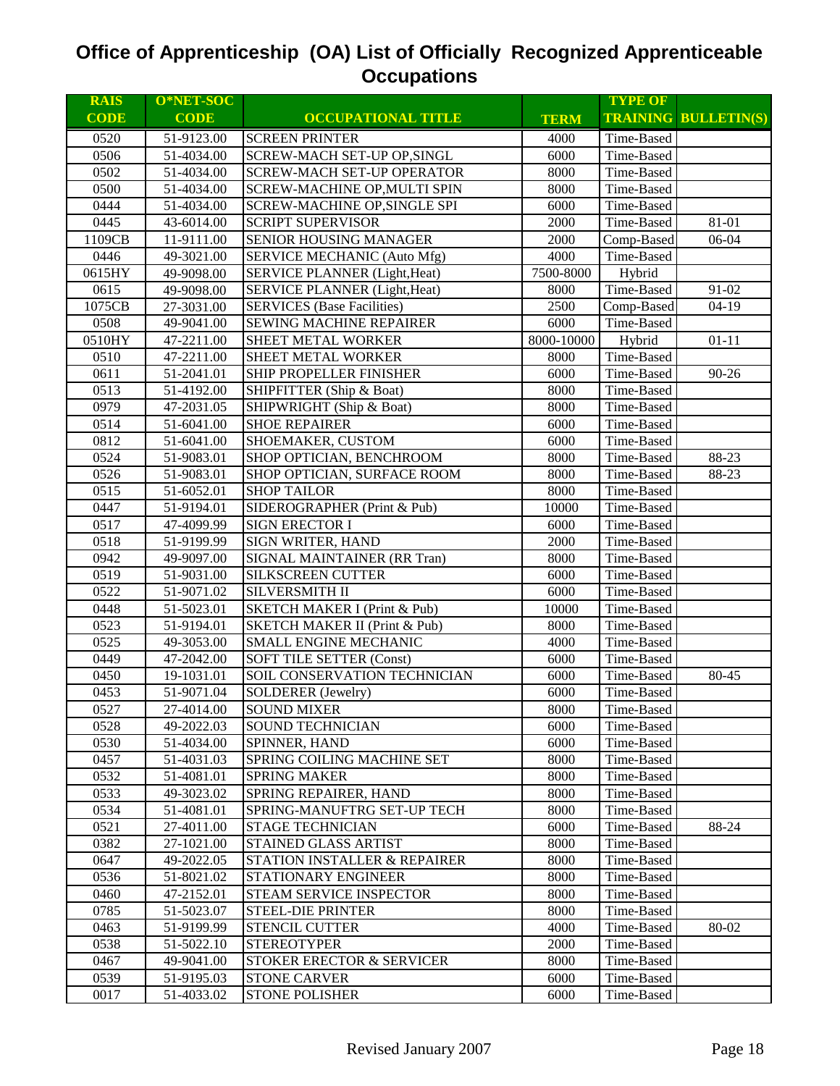| <b>RAIS</b> | O*NET-SOC   |                                          |             | <b>TYPE OF</b> |                             |
|-------------|-------------|------------------------------------------|-------------|----------------|-----------------------------|
| <b>CODE</b> | <b>CODE</b> | <b>OCCUPATIONAL TITLE</b>                | <b>TERM</b> |                | <b>TRAINING BULLETIN(S)</b> |
| 0520        | 51-9123.00  | <b>SCREEN PRINTER</b>                    | 4000        | Time-Based     |                             |
| 0506        | 51-4034.00  | SCREW-MACH SET-UP OP, SINGL              | 6000        | Time-Based     |                             |
| 0502        | 51-4034.00  | <b>SCREW-MACH SET-UP OPERATOR</b>        | 8000        | Time-Based     |                             |
| 0500        | 51-4034.00  | SCREW-MACHINE OP, MULTI SPIN             | 8000        | Time-Based     |                             |
| 0444        | 51-4034.00  | SCREW-MACHINE OP, SINGLE SPI             | 6000        | Time-Based     |                             |
| 0445        | 43-6014.00  | <b>SCRIPT SUPERVISOR</b>                 | 2000        | Time-Based     | 81-01                       |
| 1109CB      | 11-9111.00  | <b>SENIOR HOUSING MANAGER</b>            | 2000        | Comp-Based     | 06-04                       |
| 0446        | 49-3021.00  | SERVICE MECHANIC (Auto Mfg)              | 4000        | Time-Based     |                             |
| 0615HY      | 49-9098.00  | <b>SERVICE PLANNER (Light, Heat)</b>     | 7500-8000   | Hybrid         |                             |
| 0615        | 49-9098.00  | <b>SERVICE PLANNER (Light, Heat)</b>     | 8000        | Time-Based     | 91-02                       |
| 1075CB      | 27-3031.00  | <b>SERVICES</b> (Base Facilities)        | 2500        | Comp-Based     | $04-19$                     |
| 0508        | 49-9041.00  | SEWING MACHINE REPAIRER                  | 6000        | Time-Based     |                             |
| 0510HY      | 47-2211.00  | SHEET METAL WORKER                       | 8000-10000  | Hybrid         | $01 - 11$                   |
| 0510        | 47-2211.00  | SHEET METAL WORKER                       | 8000        | Time-Based     |                             |
| 0611        | 51-2041.01  | SHIP PROPELLER FINISHER                  | 6000        | Time-Based     | 90-26                       |
| 0513        | 51-4192.00  | SHIPFITTER (Ship & Boat)                 | 8000        | Time-Based     |                             |
| 0979        | 47-2031.05  | SHIPWRIGHT (Ship & Boat)                 | 8000        | Time-Based     |                             |
| 0514        | 51-6041.00  | <b>SHOE REPAIRER</b>                     | 6000        | Time-Based     |                             |
| 0812        | 51-6041.00  | SHOEMAKER, CUSTOM                        | 6000        | Time-Based     |                             |
| 0524        | 51-9083.01  | SHOP OPTICIAN, BENCHROOM                 | 8000        | Time-Based     | 88-23                       |
| 0526        | 51-9083.01  | SHOP OPTICIAN, SURFACE ROOM              | 8000        | Time-Based     | 88-23                       |
| 0515        | 51-6052.01  | <b>SHOP TAILOR</b>                       | 8000        | Time-Based     |                             |
| 0447        | 51-9194.01  | SIDEROGRAPHER (Print & Pub)              | 10000       | Time-Based     |                             |
| 0517        | 47-4099.99  | <b>SIGN ERECTOR I</b>                    | 6000        | Time-Based     |                             |
| 0518        | 51-9199.99  | <b>SIGN WRITER, HAND</b>                 | 2000        | Time-Based     |                             |
| 0942        | 49-9097.00  | SIGNAL MAINTAINER (RR Tran)              | 8000        | Time-Based     |                             |
| 0519        | 51-9031.00  | <b>SILKSCREEN CUTTER</b>                 | 6000        | Time-Based     |                             |
| 0522        | 51-9071.02  | SILVERSMITH II                           | 6000        | Time-Based     |                             |
| 0448        | 51-5023.01  | <b>SKETCH MAKER I (Print &amp; Pub)</b>  | 10000       | Time-Based     |                             |
| 0523        | 51-9194.01  | <b>SKETCH MAKER II (Print &amp; Pub)</b> | 8000        | Time-Based     |                             |
| 0525        | 49-3053.00  | <b>SMALL ENGINE MECHANIC</b>             | 4000        | Time-Based     |                             |
| 0449        | 47-2042.00  | <b>SOFT TILE SETTER (Const)</b>          | 6000        | Time-Based     |                             |
| 0450        | 19-1031.01  | SOIL CONSERVATION TECHNICIAN             | 6000        | Time-Based     | 80-45                       |
| 0453        | 51-9071.04  | <b>SOLDERER</b> (Jewelry)                | 6000        | Time-Based     |                             |
| 0527        | 27-4014.00  | <b>SOUND MIXER</b>                       | 8000        | Time-Based     |                             |
| 0528        | 49-2022.03  | <b>SOUND TECHNICIAN</b>                  | 6000        | Time-Based     |                             |
| 0530        | 51-4034.00  | SPINNER, HAND                            | 6000        | Time-Based     |                             |
| 0457        | 51-4031.03  | <b>SPRING COILING MACHINE SET</b>        | 8000        | Time-Based     |                             |
| 0532        | 51-4081.01  | <b>SPRING MAKER</b>                      | 8000        | Time-Based     |                             |
| 0533        | 49-3023.02  | SPRING REPAIRER, HAND                    | 8000        | Time-Based     |                             |
| 0534        | 51-4081.01  | SPRING-MANUFTRG SET-UP TECH              | 8000        | Time-Based     |                             |
| 0521        | 27-4011.00  | <b>STAGE TECHNICIAN</b>                  | 6000        | Time-Based     | 88-24                       |
| 0382        | 27-1021.00  | <b>STAINED GLASS ARTIST</b>              | 8000        | Time-Based     |                             |
| 0647        | 49-2022.05  | STATION INSTALLER & REPAIRER             | 8000        | Time-Based     |                             |
| 0536        | 51-8021.02  | STATIONARY ENGINEER                      | 8000        | Time-Based     |                             |
| 0460        | 47-2152.01  | STEAM SERVICE INSPECTOR                  | 8000        | Time-Based     |                             |
| 0785        | 51-5023.07  | <b>STEEL-DIE PRINTER</b>                 | 8000        | Time-Based     |                             |
| 0463        | 51-9199.99  | <b>STENCIL CUTTER</b>                    | 4000        | Time-Based     | 80-02                       |
| 0538        | 51-5022.10  | <b>STEREOTYPER</b>                       | 2000        | Time-Based     |                             |
| 0467        | 49-9041.00  | <b>STOKER ERECTOR &amp; SERVICER</b>     | 8000        | Time-Based     |                             |
| 0539        | 51-9195.03  | <b>STONE CARVER</b>                      | 6000        | Time-Based     |                             |
| 0017        | 51-4033.02  | <b>STONE POLISHER</b>                    | 6000        | Time-Based     |                             |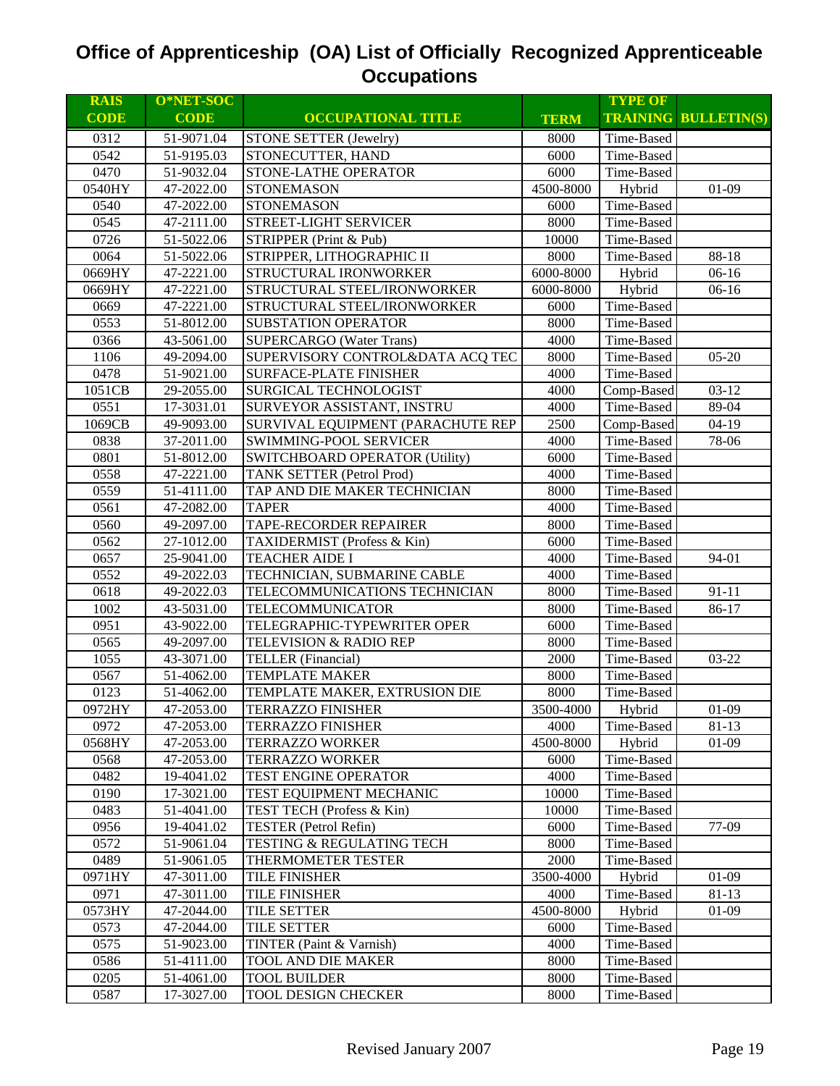| <b>RAIS</b> | O*NET-SOC   |                                       |             | <b>TYPE OF</b> |                             |
|-------------|-------------|---------------------------------------|-------------|----------------|-----------------------------|
| <b>CODE</b> | <b>CODE</b> | <b>OCCUPATIONAL TITLE</b>             | <b>TERM</b> |                | <b>TRAINING BULLETIN(S)</b> |
| 0312        | 51-9071.04  | <b>STONE SETTER (Jewelry)</b>         | 8000        | Time-Based     |                             |
| 0542        | 51-9195.03  | STONECUTTER, HAND                     | 6000        | Time-Based     |                             |
| 0470        | 51-9032.04  | STONE-LATHE OPERATOR                  | 6000        | Time-Based     |                             |
| 0540HY      | 47-2022.00  | <b>STONEMASON</b>                     | 4500-8000   | Hybrid         | $01 - 09$                   |
| 0540        | 47-2022.00  | <b>STONEMASON</b>                     | 6000        | Time-Based     |                             |
| 0545        | 47-2111.00  | STREET-LIGHT SERVICER                 | 8000        | Time-Based     |                             |
| 0726        | 51-5022.06  | STRIPPER (Print & Pub)                | 10000       | Time-Based     |                             |
| 0064        | 51-5022.06  | STRIPPER, LITHOGRAPHIC II             | 8000        | Time-Based     | 88-18                       |
| 0669HY      | 47-2221.00  | STRUCTURAL IRONWORKER                 | 6000-8000   | Hybrid         | $06-16$                     |
| 0669HY      | 47-2221.00  | STRUCTURAL STEEL/IRONWORKER           | 6000-8000   | Hybrid         | $06-16$                     |
| 0669        | 47-2221.00  | STRUCTURAL STEEL/IRONWORKER           | 6000        | Time-Based     |                             |
| 0553        | 51-8012.00  | SUBSTATION OPERATOR                   | 8000        | Time-Based     |                             |
| 0366        | 43-5061.00  | <b>SUPERCARGO</b> (Water Trans)       | 4000        | Time-Based     |                             |
| 1106        | 49-2094.00  | SUPERVISORY CONTROL&DATA ACQ TEC      | 8000        | Time-Based     | $05 - 20$                   |
| 0478        | 51-9021.00  | <b>SURFACE-PLATE FINISHER</b>         | 4000        | Time-Based     |                             |
| 1051CB      | 29-2055.00  | <b>SURGICAL TECHNOLOGIST</b>          | 4000        | Comp-Based     | $03 - 12$                   |
| 0551        | 17-3031.01  | SURVEYOR ASSISTANT, INSTRU            | 4000        | Time-Based     | 89-04                       |
| 1069CB      | 49-9093.00  | SURVIVAL EQUIPMENT (PARACHUTE REP     | 2500        | Comp-Based     | $04-19$                     |
| 0838        | 37-2011.00  | SWIMMING-POOL SERVICER                | 4000        | Time-Based     | 78-06                       |
| 0801        | 51-8012.00  | <b>SWITCHBOARD OPERATOR (Utility)</b> | 6000        | Time-Based     |                             |
| 0558        | 47-2221.00  | TANK SETTER (Petrol Prod)             | 4000        | Time-Based     |                             |
| 0559        | 51-4111.00  | TAP AND DIE MAKER TECHNICIAN          | 8000        | Time-Based     |                             |
| 0561        | 47-2082.00  | <b>TAPER</b>                          | 4000        | Time-Based     |                             |
| 0560        | 49-2097.00  | <b>TAPE-RECORDER REPAIRER</b>         | 8000        | Time-Based     |                             |
| 0562        | 27-1012.00  | TAXIDERMIST (Profess & Kin)           | 6000        | Time-Based     |                             |
| 0657        | 25-9041.00  | <b>TEACHER AIDE I</b>                 | 4000        | Time-Based     | 94-01                       |
| 0552        | 49-2022.03  | TECHNICIAN, SUBMARINE CABLE           | 4000        | Time-Based     |                             |
| 0618        | 49-2022.03  | TELECOMMUNICATIONS TECHNICIAN         | 8000        | Time-Based     | $91 - 11$                   |
| 1002        | 43-5031.00  | TELECOMMUNICATOR                      | 8000        | Time-Based     | 86-17                       |
| 0951        | 43-9022.00  | TELEGRAPHIC-TYPEWRITER OPER           | 6000        | Time-Based     |                             |
| 0565        | 49-2097.00  | TELEVISION & RADIO REP                | 8000        | Time-Based     |                             |
| 1055        | 43-3071.00  | <b>TELLER</b> (Financial)             | 2000        | Time-Based     | 03-22                       |
| 0567        | 51-4062.00  | <b>TEMPLATE MAKER</b>                 | 8000        | Time-Based     |                             |
| 0123        | 51-4062.00  | TEMPLATE MAKER, EXTRUSION DIE         | 8000        | Time-Based     |                             |
| 0972HY      | 47-2053.00  | <b>TERRAZZO FINISHER</b>              | 3500-4000   | Hybrid         | $01 - 09$                   |
| 0972        | 47-2053.00  | <b>TERRAZZO FINISHER</b>              | 4000        | Time-Based     | 81-13                       |
| 0568HY      | 47-2053.00  | <b>TERRAZZO WORKER</b>                | 4500-8000   | Hybrid         | $01-09$                     |
| 0568        | 47-2053.00  | <b>TERRAZZO WORKER</b>                | 6000        | Time-Based     |                             |
| 0482        | 19-4041.02  | TEST ENGINE OPERATOR                  | 4000        | Time-Based     |                             |
| 0190        | 17-3021.00  | TEST EQUIPMENT MECHANIC               | 10000       | Time-Based     |                             |
| 0483        | 51-4041.00  | TEST TECH (Profess & Kin)             | 10000       | Time-Based     |                             |
| 0956        | 19-4041.02  | TESTER (Petrol Refin)                 | 6000        | Time-Based     | 77-09                       |
| 0572        | 51-9061.04  | TESTING & REGULATING TECH             | 8000        | Time-Based     |                             |
| 0489        | 51-9061.05  | THERMOMETER TESTER                    | 2000        | Time-Based     |                             |
| 0971HY      | 47-3011.00  | TILE FINISHER                         | 3500-4000   | Hybrid         | $01-09$                     |
| 0971        | 47-3011.00  | TILE FINISHER                         | 4000        | Time-Based     | $81 - 13$                   |
| 0573HY      | 47-2044.00  | TILE SETTER                           | 4500-8000   | Hybrid         | $01-09$                     |
| 0573        | 47-2044.00  | <b>TILE SETTER</b>                    | 6000        | Time-Based     |                             |
| 0575        | 51-9023.00  | TINTER (Paint & Varnish)              | 4000        | Time-Based     |                             |
| 0586        | 51-4111.00  | TOOL AND DIE MAKER                    | 8000        | Time-Based     |                             |
|             |             | <b>TOOL BUILDER</b>                   |             |                |                             |
| 0205        | 51-4061.00  |                                       | 8000        | Time-Based     |                             |
| 0587        | 17-3027.00  | TOOL DESIGN CHECKER                   | 8000        | Time-Based     |                             |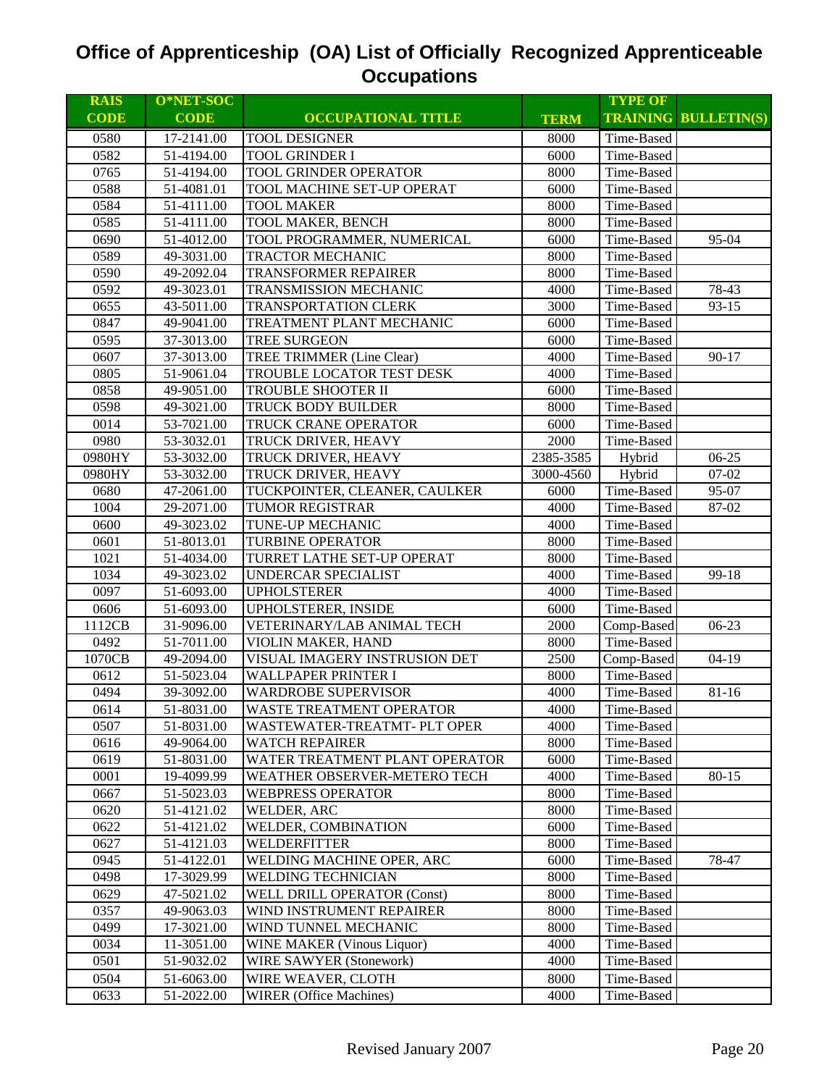| <b>RAIS</b> | O*NET-SOC   |                                   |             | <b>TYPE OF</b> |                             |
|-------------|-------------|-----------------------------------|-------------|----------------|-----------------------------|
| <b>CODE</b> | <b>CODE</b> | <b>OCCUPATIONAL TITLE</b>         | <b>TERM</b> |                | <b>TRAINING BULLETIN(S)</b> |
| 0580        | 17-2141.00  | <b>TOOL DESIGNER</b>              | 8000        | Time-Based     |                             |
| 0582        | 51-4194.00  | <b>TOOL GRINDER I</b>             | 6000        | Time-Based     |                             |
| 0765        | 51-4194.00  | TOOL GRINDER OPERATOR             | 8000        | Time-Based     |                             |
| 0588        | 51-4081.01  | TOOL MACHINE SET-UP OPERAT        | 6000        | Time-Based     |                             |
| 0584        | 51-4111.00  | <b>TOOL MAKER</b>                 | 8000        | Time-Based     |                             |
| 0585        | 51-4111.00  | <b>TOOL MAKER, BENCH</b>          | 8000        | Time-Based     |                             |
| 0690        | 51-4012.00  | TOOL PROGRAMMER, NUMERICAL        | 6000        | Time-Based     | 95-04                       |
| 0589        | 49-3031.00  | <b>TRACTOR MECHANIC</b>           | 8000        | Time-Based     |                             |
| 0590        | 49-2092.04  | <b>TRANSFORMER REPAIRER</b>       | 8000        | Time-Based     |                             |
| 0592        | 49-3023.01  | <b>TRANSMISSION MECHANIC</b>      | 4000        | Time-Based     | 78-43                       |
| 0655        | 43-5011.00  | TRANSPORTATION CLERK              | 3000        | Time-Based     | $93 - 15$                   |
| 0847        | 49-9041.00  | TREATMENT PLANT MECHANIC          | 6000        | Time-Based     |                             |
| 0595        | 37-3013.00  | TREE SURGEON                      | 6000        | Time-Based     |                             |
| 0607        | 37-3013.00  | <b>TREE TRIMMER (Line Clear)</b>  | 4000        | Time-Based     | $90 - 17$                   |
| 0805        | 51-9061.04  | TROUBLE LOCATOR TEST DESK         | 4000        | Time-Based     |                             |
| 0858        | 49-9051.00  | TROUBLE SHOOTER II                | 6000        | Time-Based     |                             |
| 0598        | 49-3021.00  | TRUCK BODY BUILDER                | 8000        | Time-Based     |                             |
| 0014        | 53-7021.00  | TRUCK CRANE OPERATOR              | 6000        | Time-Based     |                             |
| 0980        | 53-3032.01  | TRUCK DRIVER, HEAVY               | 2000        | Time-Based     |                             |
| 0980HY      | 53-3032.00  | TRUCK DRIVER, HEAVY               | 2385-3585   | Hybrid         | 06-25                       |
| 0980HY      | 53-3032.00  | TRUCK DRIVER, HEAVY               | 3000-4560   | Hybrid         | $07 - 02$                   |
| 0680        | 47-2061.00  | TUCKPOINTER, CLEANER, CAULKER     | 6000        | Time-Based     | 95-07                       |
| 1004        | 29-2071.00  | <b>TUMOR REGISTRAR</b>            | 4000        | Time-Based     | 87-02                       |
| 0600        | 49-3023.02  | TUNE-UP MECHANIC                  | 4000        | Time-Based     |                             |
| 0601        | 51-8013.01  | <b>TURBINE OPERATOR</b>           | 8000        | Time-Based     |                             |
| 1021        | 51-4034.00  | TURRET LATHE SET-UP OPERAT        | 8000        | Time-Based     |                             |
| 1034        | 49-3023.02  | UNDERCAR SPECIALIST               | 4000        | Time-Based     | 99-18                       |
| 0097        | 51-6093.00  | <b>UPHOLSTERER</b>                | 4000        | Time-Based     |                             |
| 0606        | 51-6093.00  | UPHOLSTERER, INSIDE               | 6000        | Time-Based     |                             |
| 1112CB      | 31-9096.00  | VETERINARY/LAB ANIMAL TECH        | 2000        | Comp-Based     | $06-23$                     |
| 0492        | 51-7011.00  | VIOLIN MAKER, HAND                | 8000        | Time-Based     |                             |
| 1070CB      | 49-2094.00  | VISUAL IMAGERY INSTRUSION DET     | 2500        | Comp-Based     | $04-19$                     |
| 0612        | 51-5023.04  | <b>WALLPAPER PRINTER I</b>        | 8000        | Time-Based     |                             |
| 0494        | 39-3092.00  | <b>WARDROBE SUPERVISOR</b>        | 4000        | Time-Based     | 81-16                       |
| 0614        | 51-8031.00  | WASTE TREATMENT OPERATOR          | 4000        | Time-Based     |                             |
| 0507        | 51-8031.00  | WASTEWATER-TREATMT- PLT OPER      | 4000        | Time-Based     |                             |
| 0616        | 49-9064.00  | WATCH REPAIRER                    | 8000        | Time-Based     |                             |
| 0619        | 51-8031.00  | WATER TREATMENT PLANT OPERATOR    | 6000        | Time-Based     |                             |
| 0001        | 19-4099.99  | WEATHER OBSERVER-METERO TECH      | 4000        | Time-Based     | 80-15                       |
| 0667        | 51-5023.03  | <b>WEBPRESS OPERATOR</b>          | 8000        | Time-Based     |                             |
| 0620        | 51-4121.02  | WELDER, ARC                       | 8000        | Time-Based     |                             |
| 0622        | 51-4121.02  | WELDER, COMBINATION               | 6000        | Time-Based     |                             |
| 0627        | 51-4121.03  | WELDERFITTER                      | 8000        | Time-Based     |                             |
| 0945        | 51-4122.01  | WELDING MACHINE OPER, ARC         | 6000        | Time-Based     | 78-47                       |
| 0498        | 17-3029.99  | <b>WELDING TECHNICIAN</b>         | 8000        | Time-Based     |                             |
| 0629        | 47-5021.02  | WELL DRILL OPERATOR (Const)       | 8000        | Time-Based     |                             |
| 0357        | 49-9063.03  | WIND INSTRUMENT REPAIRER          | 8000        | Time-Based     |                             |
| 0499        | 17-3021.00  | WIND TUNNEL MECHANIC              | 8000        | Time-Based     |                             |
| 0034        | 11-3051.00  | <b>WINE MAKER (Vinous Liquor)</b> | 4000        | Time-Based     |                             |
| 0501        | 51-9032.02  | <b>WIRE SAWYER (Stonework)</b>    | 4000        | Time-Based     |                             |
| 0504        | 51-6063.00  | WIRE WEAVER, CLOTH                | 8000        | Time-Based     |                             |
| 0633        | 51-2022.00  | <b>WIRER</b> (Office Machines)    | 4000        | Time-Based     |                             |
|             |             |                                   |             |                |                             |